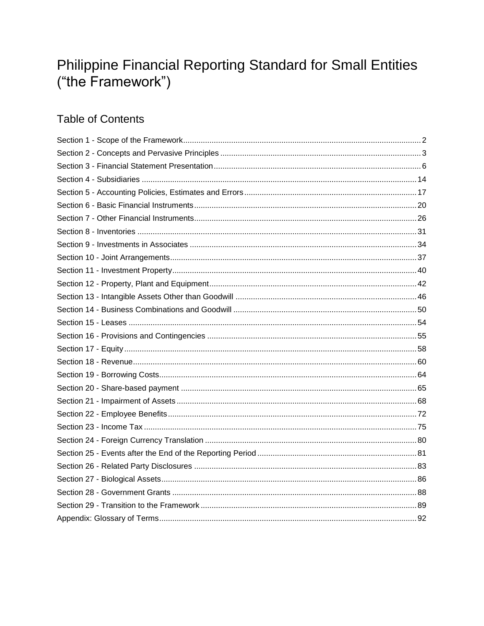# Philippine Financial Reporting Standard for Small Entities ("the Framework")

## **Table of Contents**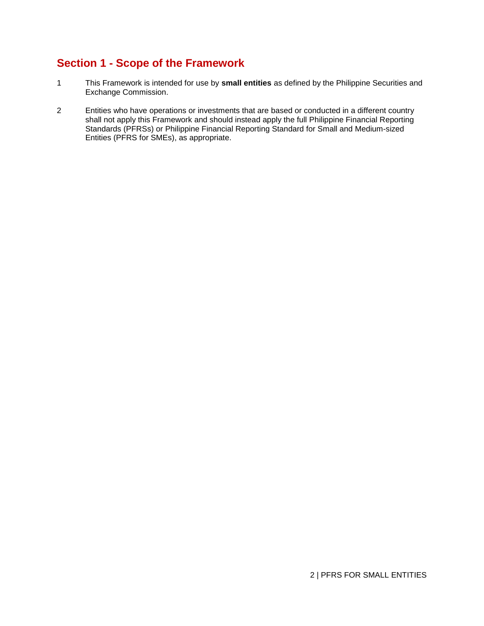## <span id="page-1-0"></span>**Section 1 - Scope of the Framework**

- 1 This Framework is intended for use by **small entities** as defined by the Philippine Securities and Exchange Commission.
- 2 Entities who have operations or investments that are based or conducted in a different country shall not apply this Framework and should instead apply the full Philippine Financial Reporting Standards (PFRSs) or Philippine Financial Reporting Standard for Small and Medium-sized Entities (PFRS for SMEs), as appropriate.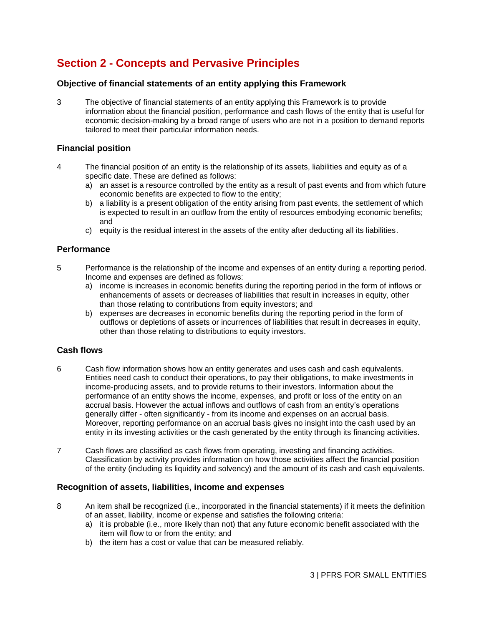## <span id="page-2-0"></span>**Section 2 - Concepts and Pervasive Principles**

## **Objective of financial statements of an entity applying this Framework**

3 The objective of financial statements of an entity applying this Framework is to provide information about the financial position, performance and cash flows of the entity that is useful for economic decision-making by a broad range of users who are not in a position to demand reports tailored to meet their particular information needs.

## **Financial position**

- 4 The financial position of an entity is the relationship of its assets, liabilities and equity as of a specific date. These are defined as follows:
	- a) an asset is a resource controlled by the entity as a result of past events and from which future economic benefits are expected to flow to the entity;
	- b) a liability is a present obligation of the entity arising from past events, the settlement of which is expected to result in an outflow from the entity of resources embodying economic benefits; and
	- c) equity is the residual interest in the assets of the entity after deducting all its liabilities.

#### **Performance**

- 5 Performance is the relationship of the income and expenses of an entity during a reporting period. Income and expenses are defined as follows:
	- a) income is increases in economic benefits during the reporting period in the form of inflows or enhancements of assets or decreases of liabilities that result in increases in equity, other than those relating to contributions from equity investors; and
	- b) expenses are decreases in economic benefits during the reporting period in the form of outflows or depletions of assets or incurrences of liabilities that result in decreases in equity, other than those relating to distributions to equity investors.

## **Cash flows**

- 6 Cash flow information shows how an entity generates and uses cash and cash equivalents. Entities need cash to conduct their operations, to pay their obligations, to make investments in income-producing assets, and to provide returns to their investors. Information about the performance of an entity shows the income, expenses, and profit or loss of the entity on an accrual basis. However the actual inflows and outflows of cash from an entity's operations generally differ - often significantly - from its income and expenses on an accrual basis. Moreover, reporting performance on an accrual basis gives no insight into the cash used by an entity in its investing activities or the cash generated by the entity through its financing activities.
- 7 Cash flows are classified as cash flows from operating, investing and financing activities. Classification by activity provides information on how those activities affect the financial position of the entity (including its liquidity and solvency) and the amount of its cash and cash equivalents.

## **Recognition of assets, liabilities, income and expenses**

- 8 An item shall be recognized (i.e., incorporated in the financial statements) if it meets the definition of an asset, liability, income or expense and satisfies the following criteria:
	- a) it is probable (i.e., more likely than not) that any future economic benefit associated with the item will flow to or from the entity; and
	- b) the item has a cost or value that can be measured reliably.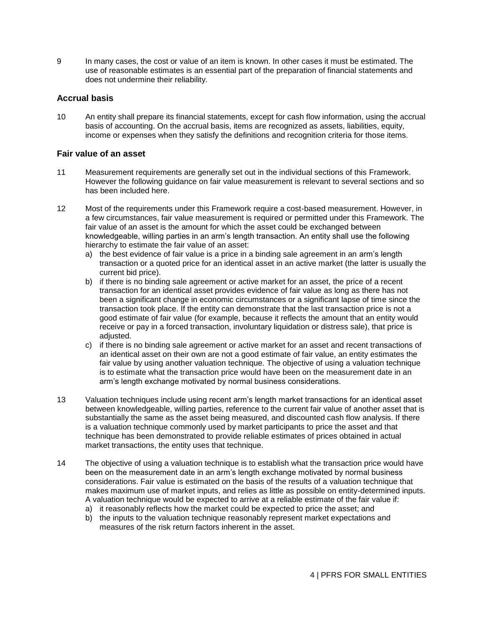9 In many cases, the cost or value of an item is known. In other cases it must be estimated. The use of reasonable estimates is an essential part of the preparation of financial statements and does not undermine their reliability.

## **Accrual basis**

10 An entity shall prepare its financial statements, except for cash flow information, using the accrual basis of accounting. On the accrual basis, items are recognized as assets, liabilities, equity, income or expenses when they satisfy the definitions and recognition criteria for those items.

## **Fair value of an asset**

- 11 Measurement requirements are generally set out in the individual sections of this Framework. However the following guidance on fair value measurement is relevant to several sections and so has been included here.
- 12 Most of the requirements under this Framework require a cost-based measurement. However, in a few circumstances, fair value measurement is required or permitted under this Framework. The fair value of an asset is the amount for which the asset could be exchanged between knowledgeable, willing parties in an arm's length transaction. An entity shall use the following hierarchy to estimate the fair value of an asset:
	- a) the best evidence of fair value is a price in a binding sale agreement in an arm's length transaction or a quoted price for an identical asset in an active market (the latter is usually the current bid price).
	- b) if there is no binding sale agreement or active market for an asset, the price of a recent transaction for an identical asset provides evidence of fair value as long as there has not been a significant change in economic circumstances or a significant lapse of time since the transaction took place. If the entity can demonstrate that the last transaction price is not a good estimate of fair value (for example, because it reflects the amount that an entity would receive or pay in a forced transaction, involuntary liquidation or distress sale), that price is adjusted.
	- c) if there is no binding sale agreement or active market for an asset and recent transactions of an identical asset on their own are not a good estimate of fair value, an entity estimates the fair value by using another valuation technique. The objective of using a valuation technique is to estimate what the transaction price would have been on the measurement date in an arm's length exchange motivated by normal business considerations.
- 13 Valuation techniques include using recent arm's length market transactions for an identical asset between knowledgeable, willing parties, reference to the current fair value of another asset that is substantially the same as the asset being measured, and discounted cash flow analysis. If there is a valuation technique commonly used by market participants to price the asset and that technique has been demonstrated to provide reliable estimates of prices obtained in actual market transactions, the entity uses that technique.
- 14 The objective of using a valuation technique is to establish what the transaction price would have been on the measurement date in an arm's length exchange motivated by normal business considerations. Fair value is estimated on the basis of the results of a valuation technique that makes maximum use of market inputs, and relies as little as possible on entity-determined inputs. A valuation technique would be expected to arrive at a reliable estimate of the fair value if:
	- a) it reasonably reflects how the market could be expected to price the asset; and
	- b) the inputs to the valuation technique reasonably represent market expectations and measures of the risk return factors inherent in the asset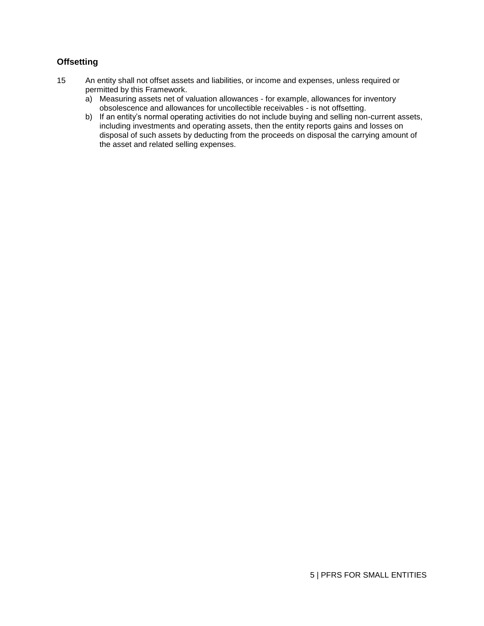## **Offsetting**

- 15 An entity shall not offset assets and liabilities, or income and expenses, unless required or permitted by this Framework.
	- a) Measuring assets net of valuation allowances for example, allowances for inventory obsolescence and allowances for uncollectible receivables - is not offsetting.
	- b) If an entity's normal operating activities do not include buying and selling non-current assets, including investments and operating assets, then the entity reports gains and losses on disposal of such assets by deducting from the proceeds on disposal the carrying amount of the asset and related selling expenses.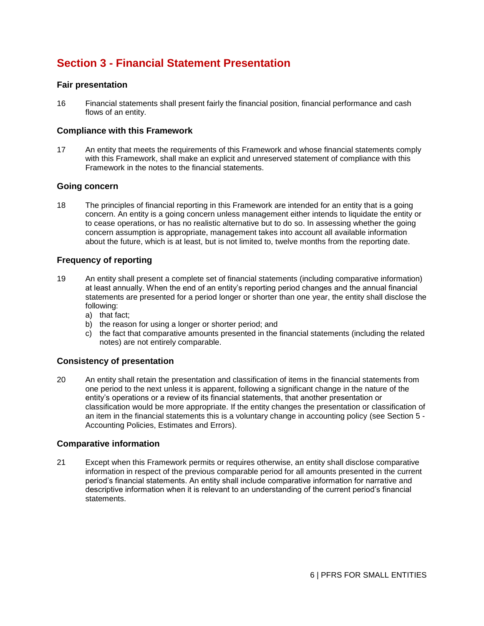## <span id="page-5-0"></span>**Section 3 - Financial Statement Presentation**

## **Fair presentation**

16 Financial statements shall present fairly the financial position, financial performance and cash flows of an entity.

#### **Compliance with this Framework**

17 An entity that meets the requirements of this Framework and whose financial statements comply with this Framework, shall make an explicit and unreserved statement of compliance with this Framework in the notes to the financial statements.

#### **Going concern**

18 The principles of financial reporting in this Framework are intended for an entity that is a going concern. An entity is a going concern unless management either intends to liquidate the entity or to cease operations, or has no realistic alternative but to do so. In assessing whether the going concern assumption is appropriate, management takes into account all available information about the future, which is at least, but is not limited to, twelve months from the reporting date.

#### **Frequency of reporting**

- 19 An entity shall present a complete set of financial statements (including comparative information) at least annually. When the end of an entity's reporting period changes and the annual financial statements are presented for a period longer or shorter than one year, the entity shall disclose the following:
	- a) that fact;
	- b) the reason for using a longer or shorter period; and
	- c) the fact that comparative amounts presented in the financial statements (including the related notes) are not entirely comparable.

## **Consistency of presentation**

20 An entity shall retain the presentation and classification of items in the financial statements from one period to the next unless it is apparent, following a significant change in the nature of the entity's operations or a review of its financial statements, that another presentation or classification would be more appropriate. If the entity changes the presentation or classification of an item in the financial statements this is a voluntary change in accounting policy (see Section 5 - Accounting Policies, Estimates and Errors).

#### **Comparative information**

21 Except when this Framework permits or requires otherwise, an entity shall disclose comparative information in respect of the previous comparable period for all amounts presented in the current period's financial statements. An entity shall include comparative information for narrative and descriptive information when it is relevant to an understanding of the current period's financial statements.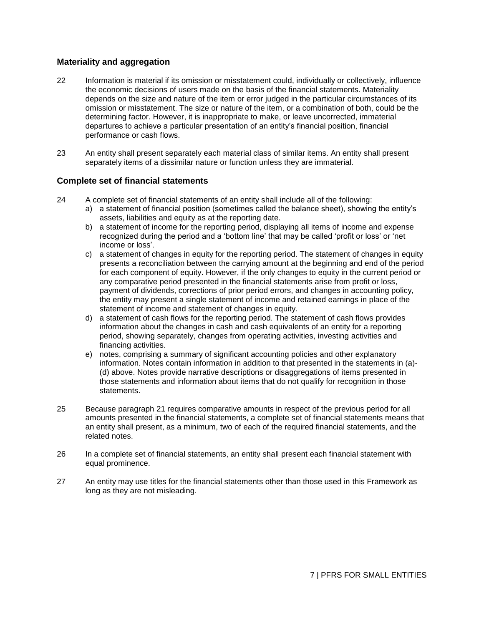## **Materiality and aggregation**

- 22 Information is material if its omission or misstatement could, individually or collectively, influence the economic decisions of users made on the basis of the financial statements. Materiality depends on the size and nature of the item or error judged in the particular circumstances of its omission or misstatement. The size or nature of the item, or a combination of both, could be the determining factor. However, it is inappropriate to make, or leave uncorrected, immaterial departures to achieve a particular presentation of an entity's financial position, financial performance or cash flows.
- 23 An entity shall present separately each material class of similar items. An entity shall present separately items of a dissimilar nature or function unless they are immaterial.

## **Complete set of financial statements**

- 24 A complete set of financial statements of an entity shall include all of the following:
	- a) a statement of financial position (sometimes called the balance sheet), showing the entity's assets, liabilities and equity as at the reporting date.
	- b) a statement of income for the reporting period, displaying all items of income and expense recognized during the period and a 'bottom line' that may be called 'profit or loss' or 'net income or loss'.
	- c) a statement of changes in equity for the reporting period. The statement of changes in equity presents a reconciliation between the carrying amount at the beginning and end of the period for each component of equity. However, if the only changes to equity in the current period or any comparative period presented in the financial statements arise from profit or loss, payment of dividends, corrections of prior period errors, and changes in accounting policy, the entity may present a single statement of income and retained earnings in place of the statement of income and statement of changes in equity.
	- d) a statement of cash flows for the reporting period. The statement of cash flows provides information about the changes in cash and cash equivalents of an entity for a reporting period, showing separately, changes from operating activities, investing activities and financing activities.
	- e) notes, comprising a summary of significant accounting policies and other explanatory information. Notes contain information in addition to that presented in the statements in (a)- (d) above. Notes provide narrative descriptions or disaggregations of items presented in those statements and information about items that do not qualify for recognition in those statements.
- 25 Because paragraph 21 requires comparative amounts in respect of the previous period for all amounts presented in the financial statements, a complete set of financial statements means that an entity shall present, as a minimum, two of each of the required financial statements, and the related notes.
- 26 In a complete set of financial statements, an entity shall present each financial statement with equal prominence.
- 27 An entity may use titles for the financial statements other than those used in this Framework as long as they are not misleading.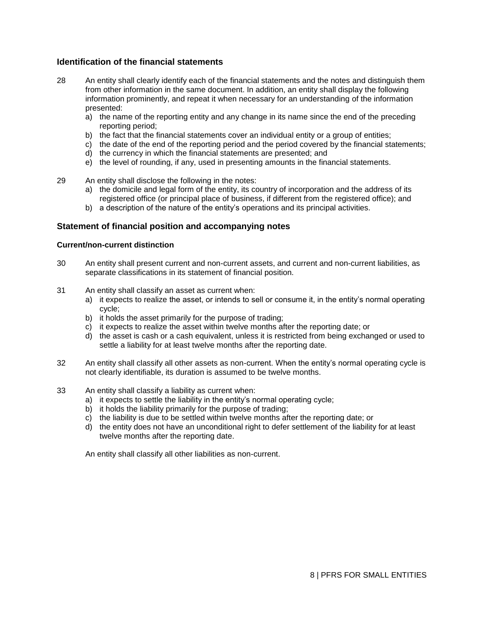## **Identification of the financial statements**

- 28 An entity shall clearly identify each of the financial statements and the notes and distinguish them from other information in the same document. In addition, an entity shall display the following information prominently, and repeat it when necessary for an understanding of the information presented:
	- a) the name of the reporting entity and any change in its name since the end of the preceding reporting period;
	- b) the fact that the financial statements cover an individual entity or a group of entities;
	- c) the date of the end of the reporting period and the period covered by the financial statements;
	- d) the currency in which the financial statements are presented; and
	- e) the level of rounding, if any, used in presenting amounts in the financial statements.
- 29 An entity shall disclose the following in the notes:
	- a) the domicile and legal form of the entity, its country of incorporation and the address of its registered office (or principal place of business, if different from the registered office); and
	- b) a description of the nature of the entity's operations and its principal activities.

#### **Statement of financial position and accompanying notes**

#### **Current/non-current distinction**

- 30 An entity shall present current and non-current assets, and current and non-current liabilities, as separate classifications in its statement of financial position.
- 31 An entity shall classify an asset as current when:
	- a) it expects to realize the asset, or intends to sell or consume it, in the entity's normal operating cycle;
	- b) it holds the asset primarily for the purpose of trading;
	- c) it expects to realize the asset within twelve months after the reporting date; or
	- d) the asset is cash or a cash equivalent, unless it is restricted from being exchanged or used to settle a liability for at least twelve months after the reporting date.
- 32 An entity shall classify all other assets as non-current. When the entity's normal operating cycle is not clearly identifiable, its duration is assumed to be twelve months.
- 33 An entity shall classify a liability as current when:
	- a) it expects to settle the liability in the entity's normal operating cycle;
	- b) it holds the liability primarily for the purpose of trading;
	- c) the liability is due to be settled within twelve months after the reporting date; or
	- d) the entity does not have an unconditional right to defer settlement of the liability for at least twelve months after the reporting date.

An entity shall classify all other liabilities as non-current.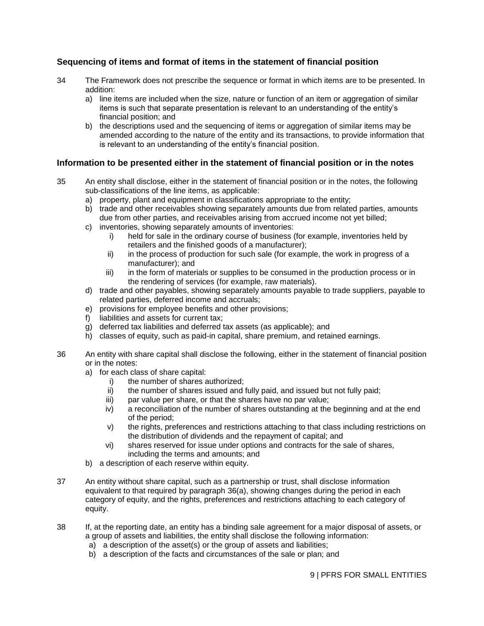## **Sequencing of items and format of items in the statement of financial position**

- 34 The Framework does not prescribe the sequence or format in which items are to be presented. In addition:
	- a) line items are included when the size, nature or function of an item or aggregation of similar items is such that separate presentation is relevant to an understanding of the entity's financial position; and
	- b) the descriptions used and the sequencing of items or aggregation of similar items may be amended according to the nature of the entity and its transactions, to provide information that is relevant to an understanding of the entity's financial position.

## **Information to be presented either in the statement of financial position or in the notes**

- 35 An entity shall disclose, either in the statement of financial position or in the notes, the following sub-classifications of the line items, as applicable:
	- a) property, plant and equipment in classifications appropriate to the entity;
	- b) trade and other receivables showing separately amounts due from related parties, amounts due from other parties, and receivables arising from accrued income not yet billed;
	- c) inventories, showing separately amounts of inventories:
		- i) held for sale in the ordinary course of business (for example, inventories held by retailers and the finished goods of a manufacturer);
		- ii) in the process of production for such sale (for example, the work in progress of a manufacturer); and
		- iii) in the form of materials or supplies to be consumed in the production process or in the rendering of services (for example, raw materials).
	- d) trade and other payables, showing separately amounts payable to trade suppliers, payable to related parties, deferred income and accruals;
	- e) provisions for employee benefits and other provisions;
	- f) liabilities and assets for current tax;
	- g) deferred tax liabilities and deferred tax assets (as applicable); and
	- h) classes of equity, such as paid-in capital, share premium, and retained earnings.
- 36 An entity with share capital shall disclose the following, either in the statement of financial position or in the notes:
	- a) for each class of share capital:
		- i) the number of shares authorized;
		- ii) the number of shares issued and fully paid, and issued but not fully paid;
		- iii) par value per share, or that the shares have no par value;
		- iv) a reconciliation of the number of shares outstanding at the beginning and at the end of the period;
		- v) the rights, preferences and restrictions attaching to that class including restrictions on the distribution of dividends and the repayment of capital; and
		- vi) shares reserved for issue under options and contracts for the sale of shares, including the terms and amounts; and
	- b) a description of each reserve within equity.
- 37 An entity without share capital, such as a partnership or trust, shall disclose information equivalent to that required by paragraph 36(a), showing changes during the period in each category of equity, and the rights, preferences and restrictions attaching to each category of equity.
- 38 If, at the reporting date, an entity has a binding sale agreement for a major disposal of assets, or a group of assets and liabilities, the entity shall disclose the following information:
	- a) a description of the asset(s) or the group of assets and liabilities;
	- b) a description of the facts and circumstances of the sale or plan; and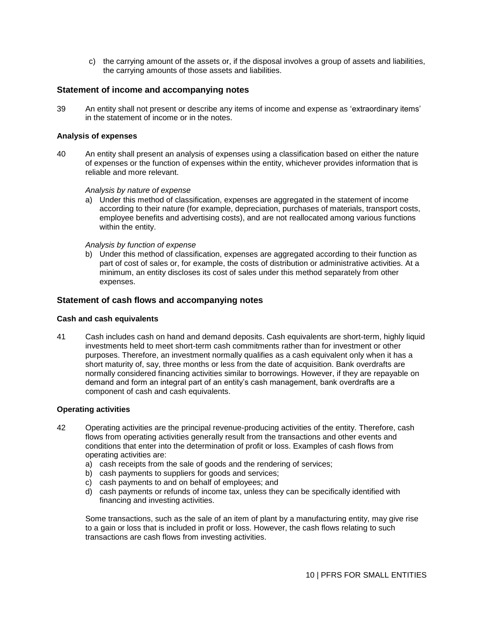c) the carrying amount of the assets or, if the disposal involves a group of assets and liabilities, the carrying amounts of those assets and liabilities.

### **Statement of income and accompanying notes**

39 An entity shall not present or describe any items of income and expense as 'extraordinary items' in the statement of income or in the notes.

#### **Analysis of expenses**

40 An entity shall present an analysis of expenses using a classification based on either the nature of expenses or the function of expenses within the entity, whichever provides information that is reliable and more relevant.

#### *Analysis by nature of expense*

a) Under this method of classification, expenses are aggregated in the statement of income according to their nature (for example, depreciation, purchases of materials, transport costs, employee benefits and advertising costs), and are not reallocated among various functions within the entity.

#### *Analysis by function of expense*

b) Under this method of classification, expenses are aggregated according to their function as part of cost of sales or, for example, the costs of distribution or administrative activities. At a minimum, an entity discloses its cost of sales under this method separately from other expenses.

#### **Statement of cash flows and accompanying notes**

#### **Cash and cash equivalents**

41 Cash includes cash on hand and demand deposits. Cash equivalents are short-term, highly liquid investments held to meet short-term cash commitments rather than for investment or other purposes. Therefore, an investment normally qualifies as a cash equivalent only when it has a short maturity of, say, three months or less from the date of acquisition. Bank overdrafts are normally considered financing activities similar to borrowings. However, if they are repayable on demand and form an integral part of an entity's cash management, bank overdrafts are a component of cash and cash equivalents.

#### **Operating activities**

- 42 Operating activities are the principal revenue-producing activities of the entity. Therefore, cash flows from operating activities generally result from the transactions and other events and conditions that enter into the determination of profit or loss. Examples of cash flows from operating activities are:
	- a) cash receipts from the sale of goods and the rendering of services;
	- b) cash payments to suppliers for goods and services;
	- c) cash payments to and on behalf of employees; and
	- d) cash payments or refunds of income tax, unless they can be specifically identified with financing and investing activities.

Some transactions, such as the sale of an item of plant by a manufacturing entity, may give rise to a gain or loss that is included in profit or loss. However, the cash flows relating to such transactions are cash flows from investing activities.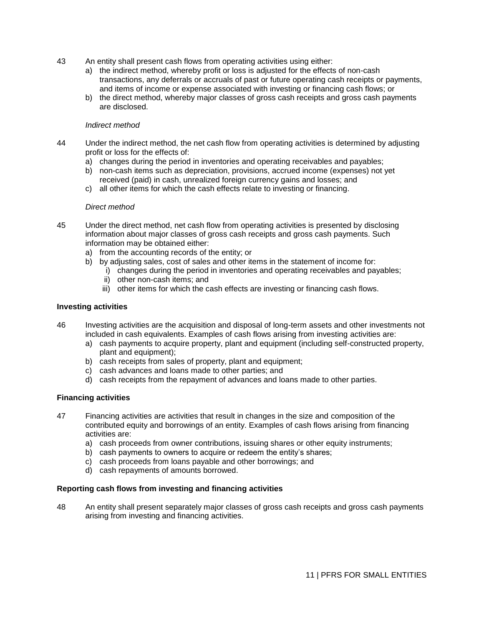- 43 An entity shall present cash flows from operating activities using either:
	- a) the indirect method, whereby profit or loss is adjusted for the effects of non-cash transactions, any deferrals or accruals of past or future operating cash receipts or payments, and items of income or expense associated with investing or financing cash flows; or
	- b) the direct method, whereby major classes of gross cash receipts and gross cash payments are disclosed.

#### *Indirect method*

- 44 Under the indirect method, the net cash flow from operating activities is determined by adjusting profit or loss for the effects of:
	- a) changes during the period in inventories and operating receivables and payables;
	- b) non-cash items such as depreciation, provisions, accrued income (expenses) not yet received (paid) in cash, unrealized foreign currency gains and losses; and
	- c) all other items for which the cash effects relate to investing or financing.

#### *Direct method*

- 45 Under the direct method, net cash flow from operating activities is presented by disclosing information about major classes of gross cash receipts and gross cash payments. Such information may be obtained either:
	- a) from the accounting records of the entity; or
	- b) by adjusting sales, cost of sales and other items in the statement of income for:
		- i) changes during the period in inventories and operating receivables and payables;
			- ii) other non-cash items; and
		- iii) other items for which the cash effects are investing or financing cash flows.

#### **Investing activities**

- 46 Investing activities are the acquisition and disposal of long-term assets and other investments not included in cash equivalents. Examples of cash flows arising from investing activities are:
	- a) cash payments to acquire property, plant and equipment (including self-constructed property, plant and equipment);
	- b) cash receipts from sales of property, plant and equipment;
	- c) cash advances and loans made to other parties; and
	- d) cash receipts from the repayment of advances and loans made to other parties.

#### **Financing activities**

- 47 Financing activities are activities that result in changes in the size and composition of the contributed equity and borrowings of an entity. Examples of cash flows arising from financing activities are:
	- a) cash proceeds from owner contributions, issuing shares or other equity instruments;
	- b) cash payments to owners to acquire or redeem the entity's shares;
	- c) cash proceeds from loans payable and other borrowings; and
	- d) cash repayments of amounts borrowed.

#### **Reporting cash flows from investing and financing activities**

48 An entity shall present separately major classes of gross cash receipts and gross cash payments arising from investing and financing activities.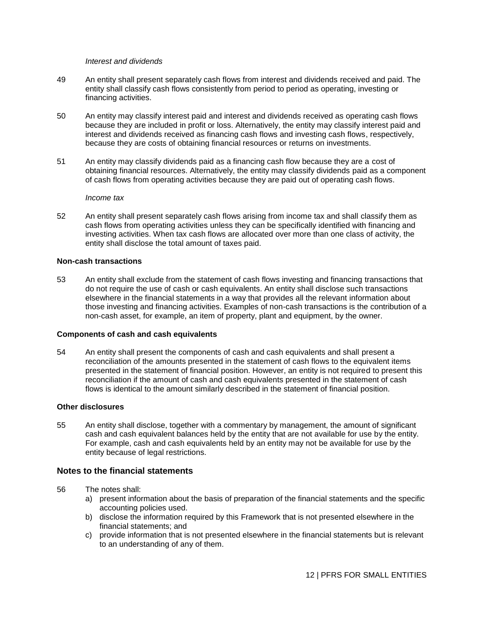#### *Interest and dividends*

- 49 An entity shall present separately cash flows from interest and dividends received and paid. The entity shall classify cash flows consistently from period to period as operating, investing or financing activities.
- 50 An entity may classify interest paid and interest and dividends received as operating cash flows because they are included in profit or loss. Alternatively, the entity may classify interest paid and interest and dividends received as financing cash flows and investing cash flows, respectively, because they are costs of obtaining financial resources or returns on investments.
- 51 An entity may classify dividends paid as a financing cash flow because they are a cost of obtaining financial resources. Alternatively, the entity may classify dividends paid as a component of cash flows from operating activities because they are paid out of operating cash flows.

#### *Income tax*

52 An entity shall present separately cash flows arising from income tax and shall classify them as cash flows from operating activities unless they can be specifically identified with financing and investing activities. When tax cash flows are allocated over more than one class of activity, the entity shall disclose the total amount of taxes paid.

#### **Non-cash transactions**

53 An entity shall exclude from the statement of cash flows investing and financing transactions that do not require the use of cash or cash equivalents. An entity shall disclose such transactions elsewhere in the financial statements in a way that provides all the relevant information about those investing and financing activities. Examples of non-cash transactions is the contribution of a non-cash asset, for example, an item of property, plant and equipment, by the owner.

#### **Components of cash and cash equivalents**

54 An entity shall present the components of cash and cash equivalents and shall present a reconciliation of the amounts presented in the statement of cash flows to the equivalent items presented in the statement of financial position. However, an entity is not required to present this reconciliation if the amount of cash and cash equivalents presented in the statement of cash flows is identical to the amount similarly described in the statement of financial position.

#### **Other disclosures**

55 An entity shall disclose, together with a commentary by management, the amount of significant cash and cash equivalent balances held by the entity that are not available for use by the entity. For example, cash and cash equivalents held by an entity may not be available for use by the entity because of legal restrictions.

#### **Notes to the financial statements**

56 The notes shall:

- a) present information about the basis of preparation of the financial statements and the specific accounting policies used.
- b) disclose the information required by this Framework that is not presented elsewhere in the financial statements; and
- c) provide information that is not presented elsewhere in the financial statements but is relevant to an understanding of any of them.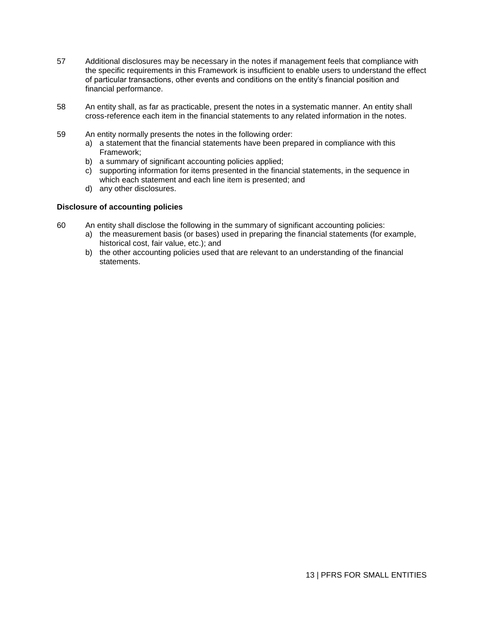- 57 Additional disclosures may be necessary in the notes if management feels that compliance with the specific requirements in this Framework is insufficient to enable users to understand the effect of particular transactions, other events and conditions on the entity's financial position and financial performance.
- 58 An entity shall, as far as practicable, present the notes in a systematic manner. An entity shall cross-reference each item in the financial statements to any related information in the notes.
- 59 An entity normally presents the notes in the following order:
	- a) a statement that the financial statements have been prepared in compliance with this Framework;
	- b) a summary of significant accounting policies applied;
	- c) supporting information for items presented in the financial statements, in the sequence in which each statement and each line item is presented; and
	- d) any other disclosures.

#### **Disclosure of accounting policies**

- 60 An entity shall disclose the following in the summary of significant accounting policies:
	- a) the measurement basis (or bases) used in preparing the financial statements (for example, historical cost, fair value, etc.); and
	- b) the other accounting policies used that are relevant to an understanding of the financial statements.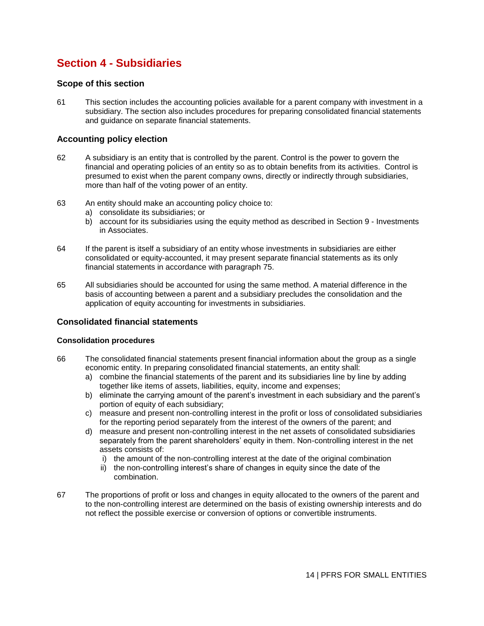## <span id="page-13-0"></span>**Section 4 - Subsidiaries**

#### **Scope of this section**

61 This section includes the accounting policies available for a parent company with investment in a subsidiary. The section also includes procedures for preparing consolidated financial statements and guidance on separate financial statements.

## **Accounting policy election**

- 62 A subsidiary is an entity that is controlled by the parent. Control is the power to govern the financial and operating policies of an entity so as to obtain benefits from its activities. Control is presumed to exist when the parent company owns, directly or indirectly through subsidiaries, more than half of the voting power of an entity.
- 63 An entity should make an accounting policy choice to:
	- a) consolidate its subsidiaries; or
	- b) account for its subsidiaries using the equity method as described in Section 9 Investments in Associates.
- 64 If the parent is itself a subsidiary of an entity whose investments in subsidiaries are either consolidated or equity-accounted, it may present separate financial statements as its only financial statements in accordance with paragraph 75.
- 65 All subsidiaries should be accounted for using the same method. A material difference in the basis of accounting between a parent and a subsidiary precludes the consolidation and the application of equity accounting for investments in subsidiaries.

## **Consolidated financial statements**

#### **Consolidation procedures**

- 66 The consolidated financial statements present financial information about the group as a single economic entity. In preparing consolidated financial statements, an entity shall:
	- a) combine the financial statements of the parent and its subsidiaries line by line by adding together like items of assets, liabilities, equity, income and expenses;
	- b) eliminate the carrying amount of the parent's investment in each subsidiary and the parent's portion of equity of each subsidiary;
	- c) measure and present non-controlling interest in the profit or loss of consolidated subsidiaries for the reporting period separately from the interest of the owners of the parent; and
	- d) measure and present non-controlling interest in the net assets of consolidated subsidiaries separately from the parent shareholders' equity in them. Non-controlling interest in the net assets consists of:
		- i) the amount of the non-controlling interest at the date of the original combination
		- ii) the non-controlling interest's share of changes in equity since the date of the combination.
- 67 The proportions of profit or loss and changes in equity allocated to the owners of the parent and to the non-controlling interest are determined on the basis of existing ownership interests and do not reflect the possible exercise or conversion of options or convertible instruments.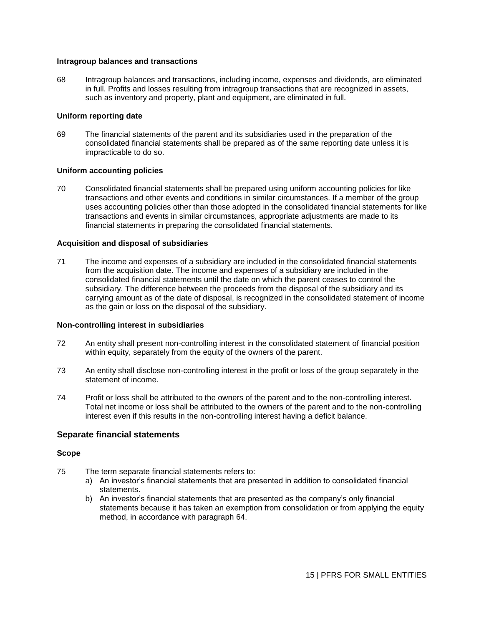#### **Intragroup balances and transactions**

68 Intragroup balances and transactions, including income, expenses and dividends, are eliminated in full. Profits and losses resulting from intragroup transactions that are recognized in assets, such as inventory and property, plant and equipment, are eliminated in full.

#### **Uniform reporting date**

69 The financial statements of the parent and its subsidiaries used in the preparation of the consolidated financial statements shall be prepared as of the same reporting date unless it is impracticable to do so.

#### **Uniform accounting policies**

70 Consolidated financial statements shall be prepared using uniform accounting policies for like transactions and other events and conditions in similar circumstances. If a member of the group uses accounting policies other than those adopted in the consolidated financial statements for like transactions and events in similar circumstances, appropriate adjustments are made to its financial statements in preparing the consolidated financial statements.

#### **Acquisition and disposal of subsidiaries**

71 The income and expenses of a subsidiary are included in the consolidated financial statements from the acquisition date. The income and expenses of a subsidiary are included in the consolidated financial statements until the date on which the parent ceases to control the subsidiary. The difference between the proceeds from the disposal of the subsidiary and its carrying amount as of the date of disposal, is recognized in the consolidated statement of income as the gain or loss on the disposal of the subsidiary.

#### **Non-controlling interest in subsidiaries**

- 72 An entity shall present non-controlling interest in the consolidated statement of financial position within equity, separately from the equity of the owners of the parent.
- 73 An entity shall disclose non-controlling interest in the profit or loss of the group separately in the statement of income.
- 74 Profit or loss shall be attributed to the owners of the parent and to the non-controlling interest. Total net income or loss shall be attributed to the owners of the parent and to the non-controlling interest even if this results in the non-controlling interest having a deficit balance.

## **Separate financial statements**

#### **Scope**

- 75 The term separate financial statements refers to:
	- a) An investor's financial statements that are presented in addition to consolidated financial statements.
	- b) An investor's financial statements that are presented as the company's only financial statements because it has taken an exemption from consolidation or from applying the equity method, in accordance with paragraph 64.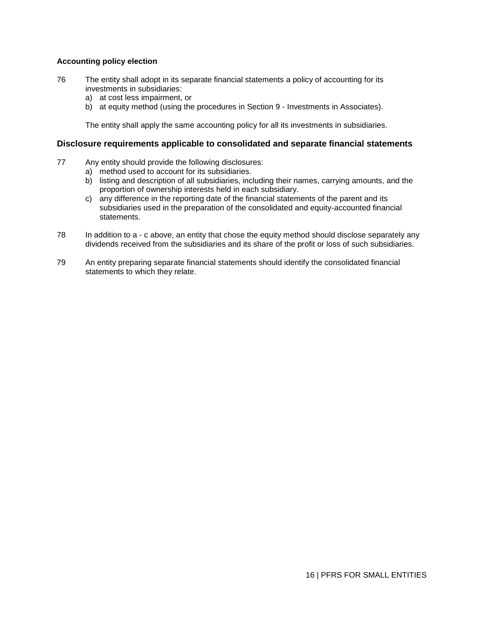### **Accounting policy election**

- 76 The entity shall adopt in its separate financial statements a policy of accounting for its investments in subsidiaries:
	- a) at cost less impairment, or
	- b) at equity method (using the procedures in Section 9 Investments in Associates).

The entity shall apply the same accounting policy for all its investments in subsidiaries.

#### **Disclosure requirements applicable to consolidated and separate financial statements**

- 77 Any entity should provide the following disclosures:
	- a) method used to account for its subsidiaries.
	- b) listing and description of all subsidiaries, including their names, carrying amounts, and the proportion of ownership interests held in each subsidiary.
	- c) any difference in the reporting date of the financial statements of the parent and its subsidiaries used in the preparation of the consolidated and equity-accounted financial statements.
- 78 In addition to a c above, an entity that chose the equity method should disclose separately any dividends received from the subsidiaries and its share of the profit or loss of such subsidiaries.
- 79 An entity preparing separate financial statements should identify the consolidated financial statements to which they relate.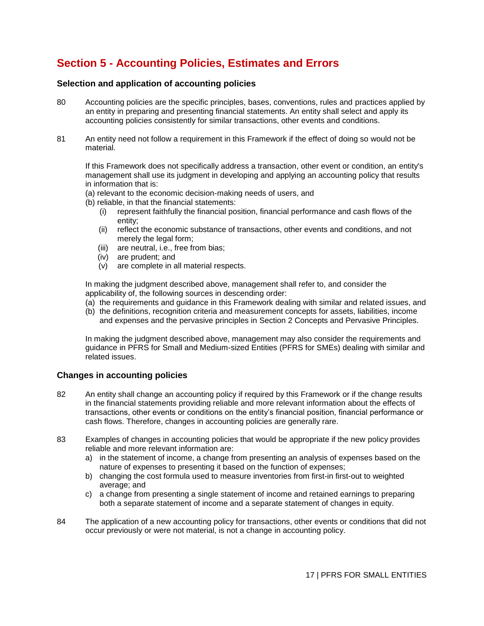## <span id="page-16-0"></span>**Section 5 - Accounting Policies, Estimates and Errors**

## **Selection and application of accounting policies**

- 80 Accounting policies are the specific principles, bases, conventions, rules and practices applied by an entity in preparing and presenting financial statements. An entity shall select and apply its accounting policies consistently for similar transactions, other events and conditions.
- 81 An entity need not follow a requirement in this Framework if the effect of doing so would not be material.

If this Framework does not specifically address a transaction, other event or condition, an entity's management shall use its judgment in developing and applying an accounting policy that results in information that is:

- (a) relevant to the economic decision-making needs of users, and
- (b) reliable, in that the financial statements:
	- (i) represent faithfully the financial position, financial performance and cash flows of the entity;
	- (ii) reflect the economic substance of transactions, other events and conditions, and not merely the legal form;
	- (iii) are neutral, i.e., free from bias;
	- (iv) are prudent; and
	- (v) are complete in all material respects.

In making the judgment described above, management shall refer to, and consider the applicability of, the following sources in descending order:

- (a) the requirements and guidance in this Framework dealing with similar and related issues, and
- (b) the definitions, recognition criteria and measurement concepts for assets, liabilities, income and expenses and the pervasive principles in [Section 2](https://live.atlas.ey.com/#document/522136?pref=20052/9/1007&crumb=6/SL33184180-396647/C_25906139/522144) Concepts and Pervasive Principles.

In making the judgment described above, management may also consider the requirements and guidance in PFRS for Small and Medium-sized Entities (PFRS for SMEs) dealing with similar and related issues.

## **Changes in accounting policies**

- 82 An entity shall change an accounting policy if required by this Framework or if the change results in the financial statements providing reliable and more relevant information about the effects of transactions, other events or conditions on the entity's financial position, financial performance or cash flows. Therefore, changes in accounting policies are generally rare.
- 83 Examples of changes in accounting policies that would be appropriate if the new policy provides reliable and more relevant information are:
	- a) in the statement of income, a change from presenting an analysis of expenses based on the nature of expenses to presenting it based on the function of expenses;
	- b) changing the cost formula used to measure inventories from first-in first-out to weighted average; and
	- c) a change from presenting a single statement of income and retained earnings to preparing both a separate statement of income and a separate statement of changes in equity.
- 84 The application of a new accounting policy for transactions, other events or conditions that did not occur previously or were not material, is not a change in accounting policy.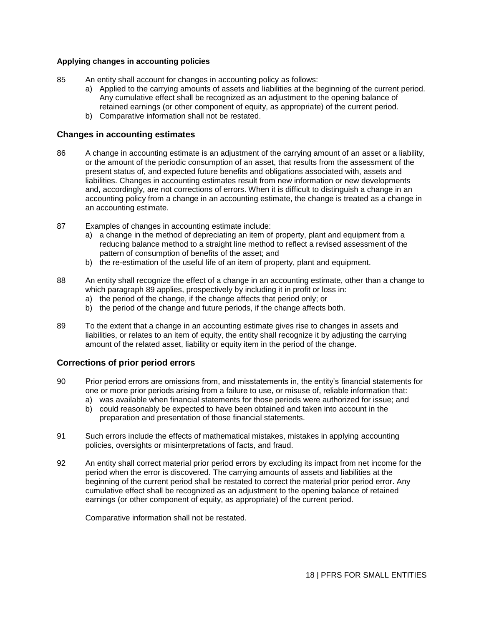### **Applying changes in accounting policies**

- 85 An entity shall account for changes in accounting policy as follows:
	- a) Applied to the carrying amounts of assets and liabilities at the beginning of the current period. Any cumulative effect shall be recognized as an adjustment to the opening balance of retained earnings (or other component of equity, as appropriate) of the current period.
	- b) Comparative information shall not be restated.

### **Changes in accounting estimates**

- 86 A change in accounting estimate is an adjustment of the carrying amount of an asset or a liability, or the amount of the periodic consumption of an asset, that results from the assessment of the present status of, and expected future benefits and obligations associated with, assets and liabilities. Changes in accounting estimates result from new information or new developments and, accordingly, are not corrections of errors. When it is difficult to distinguish a change in an accounting policy from a change in an accounting estimate, the change is treated as a change in an accounting estimate.
- 87 Examples of changes in accounting estimate include:
	- a) a change in the method of depreciating an item of property, plant and equipment from a reducing balance method to a straight line method to reflect a revised assessment of the pattern of consumption of benefits of the asset; and
	- b) the re-estimation of the useful life of an item of property, plant and equipment.
- 88 An entity shall recognize the effect of a change in an accounting estimate, other than a change to which paragraph 89 applies, prospectively by including it in profit or loss in:
	- a) the period of the change, if the change affects that period only; or
	- b) the period of the change and future periods, if the change affects both.
- 89 To the extent that a change in an accounting estimate gives rise to changes in assets and liabilities, or relates to an item of equity, the entity shall recognize it by adjusting the carrying amount of the related asset, liability or equity item in the period of the change.

## **Corrections of prior period errors**

- 90 Prior period errors are omissions from, and misstatements in, the entity's financial statements for one or more prior periods arising from a failure to use, or misuse of, reliable information that:
	- a) was available when financial statements for those periods were authorized for issue; and
	- b) could reasonably be expected to have been obtained and taken into account in the preparation and presentation of those financial statements.
- 91 Such errors include the effects of mathematical mistakes, mistakes in applying accounting policies, oversights or misinterpretations of facts, and fraud.
- 92 An entity shall correct material prior period errors by excluding its impact from net income for the period when the error is discovered. The carrying amounts of assets and liabilities at the beginning of the current period shall be restated to correct the material prior period error. Any cumulative effect shall be recognized as an adjustment to the opening balance of retained earnings (or other component of equity, as appropriate) of the current period.

Comparative information shall not be restated.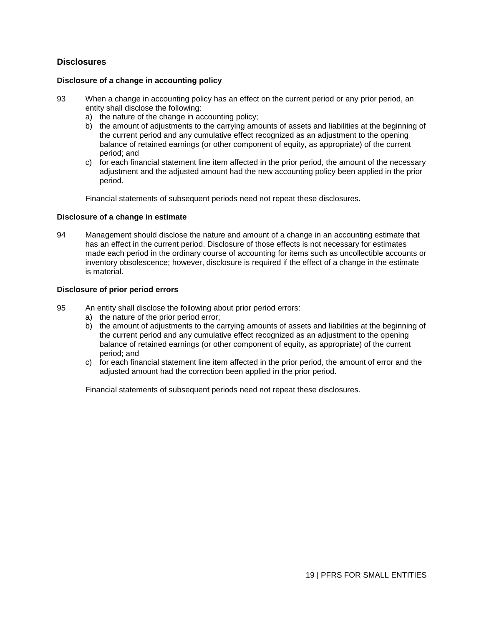## **Disclosures**

#### **Disclosure of a change in accounting policy**

- 93 When a change in accounting policy has an effect on the current period or any prior period, an entity shall disclose the following:
	- a) the nature of the change in accounting policy;
	- b) the amount of adjustments to the carrying amounts of assets and liabilities at the beginning of the current period and any cumulative effect recognized as an adjustment to the opening balance of retained earnings (or other component of equity, as appropriate) of the current period; and
	- c) for each financial statement line item affected in the prior period, the amount of the necessary adjustment and the adjusted amount had the new accounting policy been applied in the prior period.

Financial statements of subsequent periods need not repeat these disclosures.

#### **Disclosure of a change in estimate**

94 Management should disclose the nature and amount of a change in an accounting estimate that has an effect in the current period. Disclosure of those effects is not necessary for estimates made each period in the ordinary course of accounting for items such as uncollectible accounts or inventory obsolescence; however, disclosure is required if the effect of a change in the estimate is material.

#### **Disclosure of prior period errors**

- 95 An entity shall disclose the following about prior period errors:
	- a) the nature of the prior period error;
	- b) the amount of adjustments to the carrying amounts of assets and liabilities at the beginning of the current period and any cumulative effect recognized as an adjustment to the opening balance of retained earnings (or other component of equity, as appropriate) of the current period; and
	- c) for each financial statement line item affected in the prior period, the amount of error and the adjusted amount had the correction been applied in the prior period.

Financial statements of subsequent periods need not repeat these disclosures.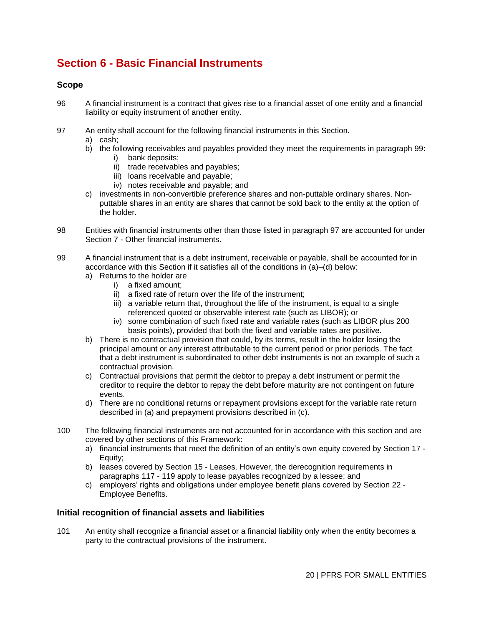## <span id="page-19-0"></span>**Section 6 - Basic Financial Instruments**

## **Scope**

- 96 A financial instrument is a contract that gives rise to a financial asset of one entity and a financial liability or equity instrument of another entity.
- 97 An entity shall account for the following financial instruments in this Section.
	- a) cash;
	- b) the following receivables and payables provided they meet the requirements in paragraph 99:
		- i) bank deposits;
		- ii) trade receivables and payables;
		- iii) loans receivable and payable;
		- iv) notes receivable and payable; and
	- c) investments in non-convertible preference shares and non-puttable ordinary shares. Nonputtable shares in an entity are shares that cannot be sold back to the entity at the option of the holder.
- 98 Entities with financial instruments other than those listed in paragraph 97 are accounted for under Section 7 - Other financial instruments.
- 99 A financial instrument that is a debt instrument, receivable or payable, shall be accounted for in accordance with this Section if it satisfies all of the conditions in (a)–(d) below:
	- a) Returns to the holder are
		- i) a fixed amount;
		- ii) a fixed rate of return over the life of the instrument;
		- iii) a variable return that, throughout the life of the instrument, is equal to a single referenced quoted or observable interest rate (such as LIBOR); or
		- iv) some combination of such fixed rate and variable rates (such as LIBOR plus 200 basis points), provided that both the fixed and variable rates are positive.
	- b) There is no contractual provision that could, by its terms, result in the holder losing the principal amount or any interest attributable to the current period or prior periods. The fact that a debt instrument is subordinated to other debt instruments is not an example of such a contractual provision.
	- c) Contractual provisions that permit the debtor to prepay a debt instrument or permit the creditor to require the debtor to repay the debt before maturity are not contingent on future events.
	- d) There are no conditional returns or repayment provisions except for the variable rate return described in (a) and prepayment provisions described in (c).
- 100 The following financial instruments are not accounted for in accordance with this section and are covered by other sections of this Framework:
	- a) financial instruments that meet the definition of an entity's own equity covered by Section 17 Equity;
	- b) leases covered by Section 15 Leases. However, the derecognition requirements in paragraphs 117 - 119 apply to lease payables recognized by a lessee; and
	- c) employers' rights and obligations under employee benefit plans covered by Section 22 Employee Benefits.

## **Initial recognition of financial assets and liabilities**

101 An entity shall recognize a financial asset or a financial liability only when the entity becomes a party to the contractual provisions of the instrument.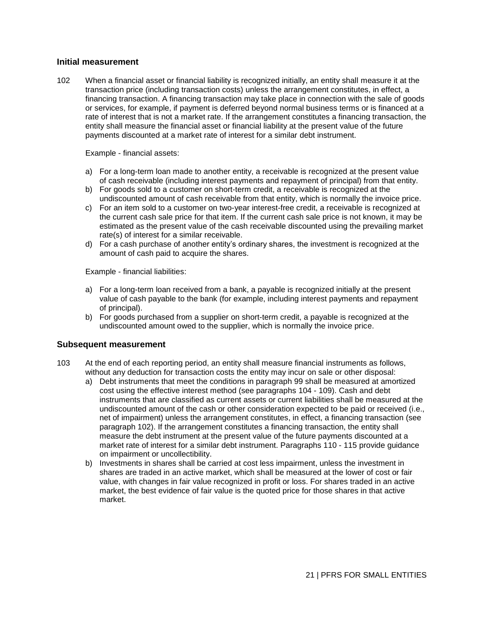#### **Initial measurement**

102 When a financial asset or financial liability is recognized initially, an entity shall measure it at the transaction price (including transaction costs) unless the arrangement constitutes, in effect, a financing transaction. A financing transaction may take place in connection with the sale of goods or services, for example, if payment is deferred beyond normal business terms or is financed at a rate of interest that is not a market rate. If the arrangement constitutes a financing transaction, the entity shall measure the financial asset or financial liability at the present value of the future payments discounted at a market rate of interest for a similar debt instrument.

Example - financial assets:

- a) For a long-term loan made to another entity, a receivable is recognized at the present value of cash receivable (including interest payments and repayment of principal) from that entity.
- b) For goods sold to a customer on short-term credit, a receivable is recognized at the undiscounted amount of cash receivable from that entity, which is normally the invoice price.
- c) For an item sold to a customer on two-year interest-free credit, a receivable is recognized at the current cash sale price for that item. If the current cash sale price is not known, it may be estimated as the present value of the cash receivable discounted using the prevailing market rate(s) of interest for a similar receivable.
- d) For a cash purchase of another entity's ordinary shares, the investment is recognized at the amount of cash paid to acquire the shares.

Example - financial liabilities:

- a) For a long-term loan received from a bank, a payable is recognized initially at the present value of cash payable to the bank (for example, including interest payments and repayment of principal).
- b) For goods purchased from a supplier on short-term credit, a payable is recognized at the undiscounted amount owed to the supplier, which is normally the invoice price.

#### **Subsequent measurement**

- 103 At the end of each reporting period, an entity shall measure financial instruments as follows, without any deduction for transaction costs the entity may incur on sale or other disposal:
	- a) Debt instruments that meet the conditions in paragraph 99 shall be measured at amortized cost using the effective interest method (see paragraphs 104 - 109). Cash and debt instruments that are classified as current assets or current liabilities shall be measured at the undiscounted amount of the cash or other consideration expected to be paid or received (i.e., net of impairment) unless the arrangement constitutes, in effect, a financing transaction (see paragraph 102). If the arrangement constitutes a financing transaction, the entity shall measure the debt instrument at the present value of the future payments discounted at a market rate of interest for a similar debt instrument. Paragraphs 110 - 115 provide guidance on impairment or uncollectibility.
	- b) Investments in shares shall be carried at cost less impairment, unless the investment in shares are traded in an active market, which shall be measured at the lower of cost or fair value, with changes in fair value recognized in profit or loss. For shares traded in an active market, the best evidence of fair value is the quoted price for those shares in that active market.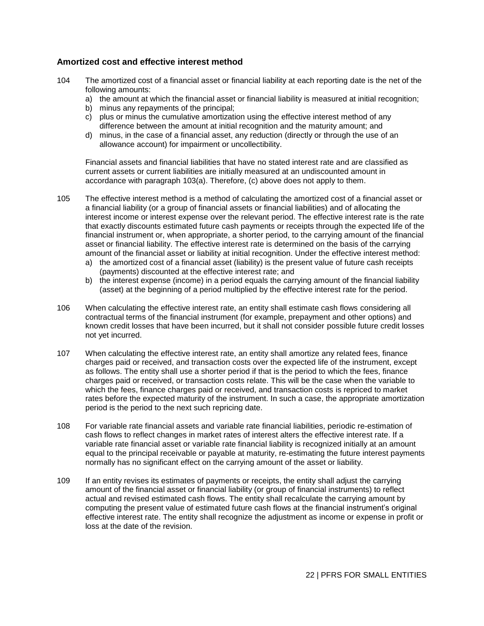## **Amortized cost and effective interest method**

- 104 The amortized cost of a financial asset or financial liability at each reporting date is the net of the following amounts:
	- a) the amount at which the financial asset or financial liability is measured at initial recognition;
	- b) minus any repayments of the principal;
	- c) plus or minus the cumulative amortization using the effective interest method of any difference between the amount at initial recognition and the maturity amount; and
	- d) minus, in the case of a financial asset, any reduction (directly or through the use of an allowance account) for impairment or uncollectibility.

Financial assets and financial liabilities that have no stated interest rate and are classified as current assets or current liabilities are initially measured at an undiscounted amount in accordance with paragraph 103(a). Therefore, (c) above does not apply to them.

- 105 The effective interest method is a method of calculating the amortized cost of a financial asset or a financial liability (or a group of financial assets or financial liabilities) and of allocating the interest income or interest expense over the relevant period. The effective interest rate is the rate that exactly discounts estimated future cash payments or receipts through the expected life of the financial instrument or, when appropriate, a shorter period, to the carrying amount of the financial asset or financial liability. The effective interest rate is determined on the basis of the carrying amount of the financial asset or liability at initial recognition. Under the effective interest method:
	- a) the amortized cost of a financial asset (liability) is the present value of future cash receipts (payments) discounted at the effective interest rate; and
	- b) the interest expense (income) in a period equals the carrying amount of the financial liability (asset) at the beginning of a period multiplied by the effective interest rate for the period.
- 106 When calculating the effective interest rate, an entity shall estimate cash flows considering all contractual terms of the financial instrument (for example, prepayment and other options) and known credit losses that have been incurred, but it shall not consider possible future credit losses not yet incurred.
- 107 When calculating the effective interest rate, an entity shall amortize any related fees, finance charges paid or received, and transaction costs over the expected life of the instrument, except as follows. The entity shall use a shorter period if that is the period to which the fees, finance charges paid or received, or transaction costs relate. This will be the case when the variable to which the fees, finance charges paid or received, and transaction costs is repriced to market rates before the expected maturity of the instrument. In such a case, the appropriate amortization period is the period to the next such repricing date.
- 108 For variable rate financial assets and variable rate financial liabilities, periodic re-estimation of cash flows to reflect changes in market rates of interest alters the effective interest rate. If a variable rate financial asset or variable rate financial liability is recognized initially at an amount equal to the principal receivable or payable at maturity, re-estimating the future interest payments normally has no significant effect on the carrying amount of the asset or liability.
- 109 If an entity revises its estimates of payments or receipts, the entity shall adjust the carrying amount of the financial asset or financial liability (or group of financial instruments) to reflect actual and revised estimated cash flows. The entity shall recalculate the carrying amount by computing the present value of estimated future cash flows at the financial instrument's original effective interest rate. The entity shall recognize the adjustment as income or expense in profit or loss at the date of the revision.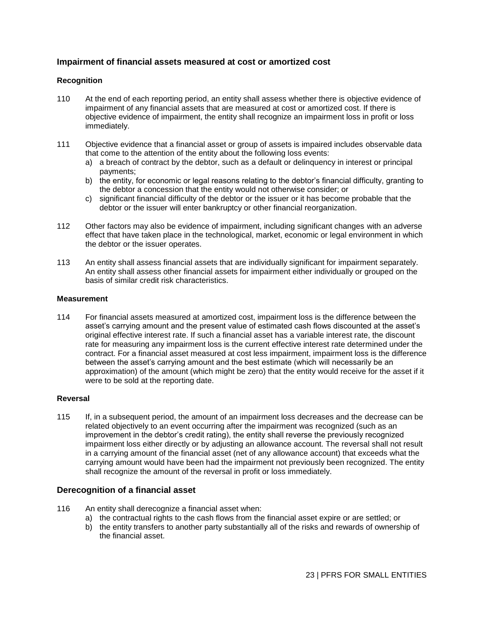## **Impairment of financial assets measured at cost or amortized cost**

#### **Recognition**

- 110 At the end of each reporting period, an entity shall assess whether there is objective evidence of impairment of any financial assets that are measured at cost or amortized cost. If there is objective evidence of impairment, the entity shall recognize an impairment loss in profit or loss immediately.
- 111 Objective evidence that a financial asset or group of assets is impaired includes observable data that come to the attention of the entity about the following loss events:
	- a) a breach of contract by the debtor, such as a default or delinquency in interest or principal payments;
	- b) the entity, for economic or legal reasons relating to the debtor's financial difficulty, granting to the debtor a concession that the entity would not otherwise consider; or
	- c) significant financial difficulty of the debtor or the issuer or it has become probable that the debtor or the issuer will enter bankruptcy or other financial reorganization.
- 112 Other factors may also be evidence of impairment, including significant changes with an adverse effect that have taken place in the technological, market, economic or legal environment in which the debtor or the issuer operates.
- 113 An entity shall assess financial assets that are individually significant for impairment separately. An entity shall assess other financial assets for impairment either individually or grouped on the basis of similar credit risk characteristics.

#### **Measurement**

114 For financial assets measured at amortized cost, impairment loss is the difference between the asset's carrying amount and the present value of estimated cash flows discounted at the asset's original effective interest rate. If such a financial asset has a variable interest rate, the discount rate for measuring any impairment loss is the current effective interest rate determined under the contract. For a financial asset measured at cost less impairment, impairment loss is the difference between the asset's carrying amount and the best estimate (which will necessarily be an approximation) of the amount (which might be zero) that the entity would receive for the asset if it were to be sold at the reporting date.

#### **Reversal**

115 If, in a subsequent period, the amount of an impairment loss decreases and the decrease can be related objectively to an event occurring after the impairment was recognized (such as an improvement in the debtor's credit rating), the entity shall reverse the previously recognized impairment loss either directly or by adjusting an allowance account. The reversal shall not result in a carrying amount of the financial asset (net of any allowance account) that exceeds what the carrying amount would have been had the impairment not previously been recognized. The entity shall recognize the amount of the reversal in profit or loss immediately.

#### **Derecognition of a financial asset**

- 116 An entity shall derecognize a financial asset when:
	- a) the contractual rights to the cash flows from the financial asset expire or are settled; or
	- b) the entity transfers to another party substantially all of the risks and rewards of ownership of the financial asset.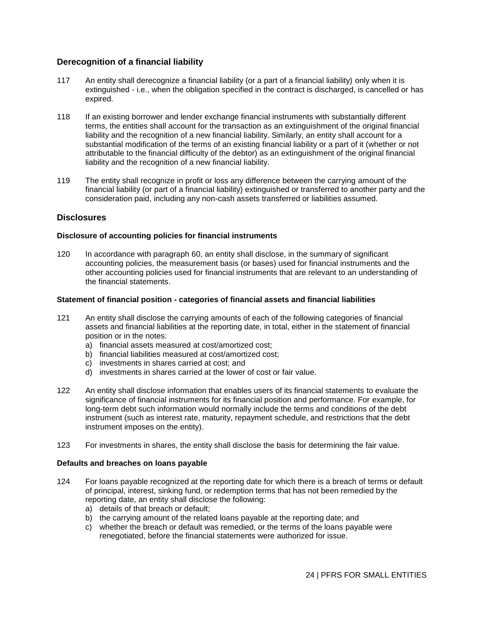## **Derecognition of a financial liability**

- 117 An entity shall derecognize a financial liability (or a part of a financial liability) only when it is extinguished - i.e., when the obligation specified in the contract is discharged, is cancelled or has expired.
- 118 If an existing borrower and lender exchange financial instruments with substantially different terms, the entities shall account for the transaction as an extinguishment of the original financial liability and the recognition of a new financial liability. Similarly, an entity shall account for a substantial modification of the terms of an existing financial liability or a part of it (whether or not attributable to the financial difficulty of the debtor) as an extinguishment of the original financial liability and the recognition of a new financial liability.
- 119 The entity shall recognize in profit or loss any difference between the carrying amount of the financial liability (or part of a financial liability) extinguished or transferred to another party and the consideration paid, including any non-cash assets transferred or liabilities assumed.

## **Disclosures**

#### **Disclosure of accounting policies for financial instruments**

120 In accordance with paragraph 60, an entity shall disclose, in the summary of significant accounting policies, the measurement basis (or bases) used for financial instruments and the other accounting policies used for financial instruments that are relevant to an understanding of the financial statements.

#### **Statement of financial position - categories of financial assets and financial liabilities**

- 121 An entity shall disclose the carrying amounts of each of the following categories of financial assets and financial liabilities at the reporting date, in total, either in the statement of financial position or in the notes:
	- a) financial assets measured at cost/amortized cost;
	- b) financial liabilities measured at cost/amortized cost;
	- c) investments in shares carried at cost; and
	- d) investments in shares carried at the lower of cost or fair value.
- 122 An entity shall disclose information that enables users of its financial statements to evaluate the significance of financial instruments for its financial position and performance. For example, for long-term debt such information would normally include the terms and conditions of the debt instrument (such as interest rate, maturity, repayment schedule, and restrictions that the debt instrument imposes on the entity).
- 123 For investments in shares, the entity shall disclose the basis for determining the fair value.

#### **Defaults and breaches on loans payable**

- 124 For loans payable recognized at the reporting date for which there is a breach of terms or default of principal, interest, sinking fund, or redemption terms that has not been remedied by the reporting date, an entity shall disclose the following:
	- a) details of that breach or default;
	- b) the carrying amount of the related loans payable at the reporting date; and
	- c) whether the breach or default was remedied, or the terms of the loans payable were renegotiated, before the financial statements were authorized for issue.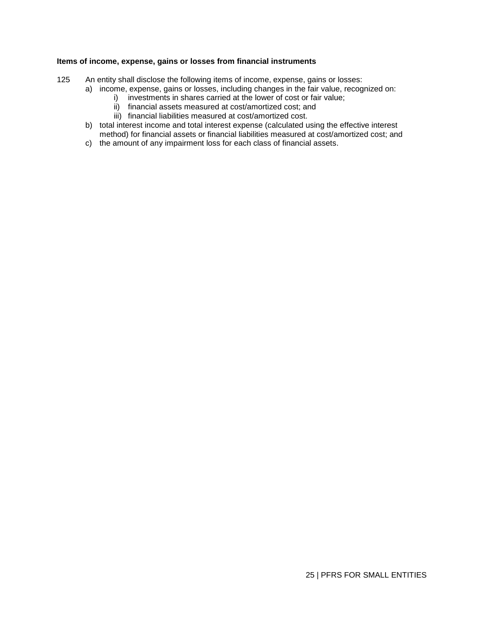#### **Items of income, expense, gains or losses from financial instruments**

- 125 An entity shall disclose the following items of income, expense, gains or losses:
	- a) income, expense, gains or losses, including changes in the fair value, recognized on:
		- i) investments in shares carried at the lower of cost or fair value;
		- ii) financial assets measured at cost/amortized cost; and
		- iii) financial liabilities measured at cost/amortized cost.
	- b) total interest income and total interest expense (calculated using the effective interest method) for financial assets or financial liabilities measured at cost/amortized cost; and
	- c) the amount of any impairment loss for each class of financial assets.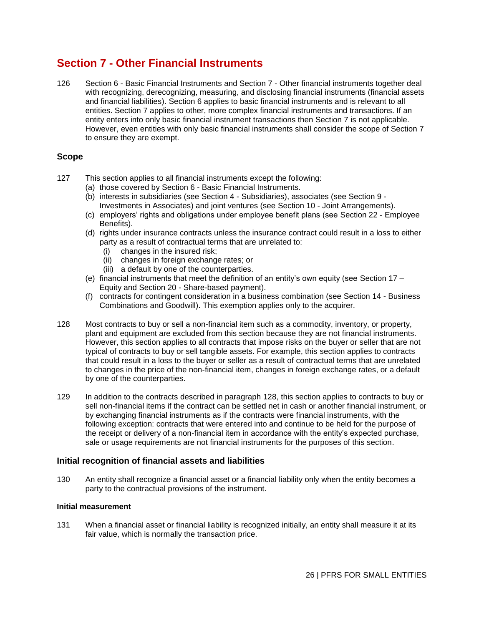## <span id="page-25-0"></span>**Section 7 - Other Financial Instruments**

126 Section 6 - Basic Financial Instruments and Section 7 - Other financial instruments together deal with recognizing, derecognizing, measuring, and disclosing financial instruments (financial assets and financial liabilities). Section 6 applies to basic financial instruments and is relevant to all entities. Section 7 applies to other, more complex financial instruments and transactions. If an entity enters into only basic financial instrument transactions then Section 7 is not applicable. However, even entities with only basic financial instruments shall consider the scope of Section 7 to ensure they are exempt.

## **Scope**

- 127 This section applies to all financial instruments except the following:
	- (a) those covered by Section 6 Basic Financial Instruments.
	- (b) interests in subsidiaries (see Section 4 Subsidiaries), associates (see Section 9 Investments in Associates) and joint ventures (see Section 10 - Joint Arrangements).
	- (c) employers' rights and obligations under employee benefit plans (see Section 22 Employee Benefits).
	- (d) rights under insurance contracts unless the insurance contract could result in a loss to either party as a result of contractual terms that are unrelated to:
		- (i) changes in the insured risk;
		- (ii) changes in foreign exchange rates; or
		- (iii) a default by one of the counterparties.
	- (e) financial instruments that meet the definition of an entity's own equity (see Section 17 Equity and Section 20 - Share-based payment).
	- (f) contracts for contingent consideration in a business combination (see Section 14 Business Combinations and Goodwill). This exemption applies only to the acquirer.
- 128 Most contracts to buy or sell a non-financial item such as a commodity, inventory, or property, plant and equipment are excluded from this section because they are not financial instruments. However, this section applies to all contracts that impose risks on the buyer or seller that are not typical of contracts to buy or sell tangible assets. For example, this section applies to contracts that could result in a loss to the buyer or seller as a result of contractual terms that are unrelated to changes in the price of the non-financial item, changes in foreign exchange rates, or a default by one of the counterparties.
- 129 In addition to the contracts described in paragraph 128, this section applies to contracts to buy or sell non-financial items if the contract can be settled net in cash or another financial instrument, or by exchanging financial instruments as if the contracts were financial instruments, with the following exception: contracts that were entered into and continue to be held for the purpose of the receipt or delivery of a non-financial item in accordance with the entity's expected purchase, sale or usage requirements are not financial instruments for the purposes of this section.

## **Initial recognition of financial assets and liabilities**

130 An entity shall recognize a financial asset or a financial liability only when the entity becomes a party to the contractual provisions of the instrument.

#### **Initial measurement**

131 When a financial asset or financial liability is recognized initially, an entity shall measure it at its fair value, which is normally the transaction price.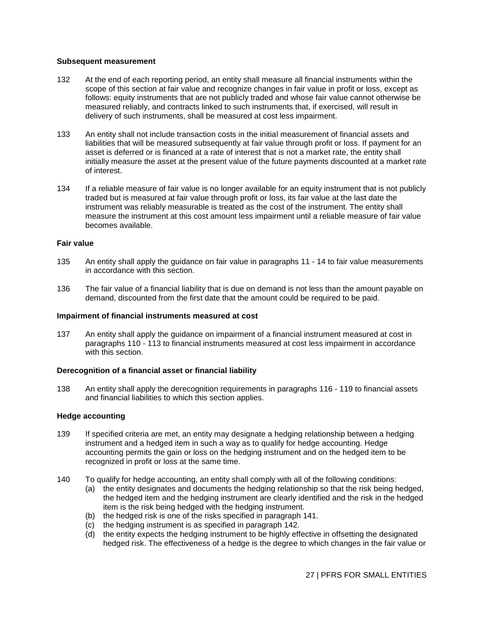#### **Subsequent measurement**

- 132 At the end of each reporting period, an entity shall measure all financial instruments within the scope of this section at fair value and recognize changes in fair value in profit or loss, except as follows: equity instruments that are not publicly traded and whose fair value cannot otherwise be measured reliably, and contracts linked to such instruments that, if exercised, will result in delivery of such instruments, shall be measured at cost less impairment.
- 133 An entity shall not include transaction costs in the initial measurement of financial assets and liabilities that will be measured subsequently at fair value through profit or loss. If payment for an asset is deferred or is financed at a rate of interest that is not a market rate, the entity shall initially measure the asset at the present value of the future payments discounted at a market rate of interest.
- 134 If a reliable measure of fair value is no longer available for an equity instrument that is not publicly traded but is measured at fair value through profit or loss, its fair value at the last date the instrument was reliably measurable is treated as the cost of the instrument. The entity shall measure the instrument at this cost amount less impairment until a reliable measure of fair value becomes available.

#### **Fair value**

- 135 An entity shall apply the guidance on fair value in paragraphs 11 14 to fair value measurements in accordance with this section.
- 136 The fair value of a financial liability that is due on demand is not less than the amount payable on demand, discounted from the first date that the amount could be required to be paid.

#### **Impairment of financial instruments measured at cost**

137 An entity shall apply the guidance on impairment of a financial instrument measured at cost in paragraphs 110 - 113 to financial instruments measured at cost less impairment in accordance with this section.

#### **Derecognition of a financial asset or financial liability**

138 An entity shall apply the derecognition requirements in paragraphs 116 - 119 to financial assets and financial liabilities to which this section applies.

#### **Hedge accounting**

- 139 If specified criteria are met, an entity may designate a hedging relationship between a hedging instrument and a hedged item in such a way as to qualify for hedge accounting. Hedge accounting permits the gain or loss on the hedging instrument and on the hedged item to be recognized in profit or loss at the same time.
- 140 To qualify for hedge accounting, an entity shall comply with all of the following conditions:
	- (a) the entity designates and documents the hedging relationship so that the risk being hedged, the hedged item and the hedging instrument are clearly identified and the risk in the hedged item is the risk being hedged with the hedging instrument.
	- (b) the hedged risk is one of the risks specified in paragraph 141.
	- (c) the hedging instrument is as specified in paragraph 142.
	- (d) the entity expects the hedging instrument to be highly effective in offsetting the designated hedged risk. The effectiveness of a hedge is the degree to which changes in the fair value or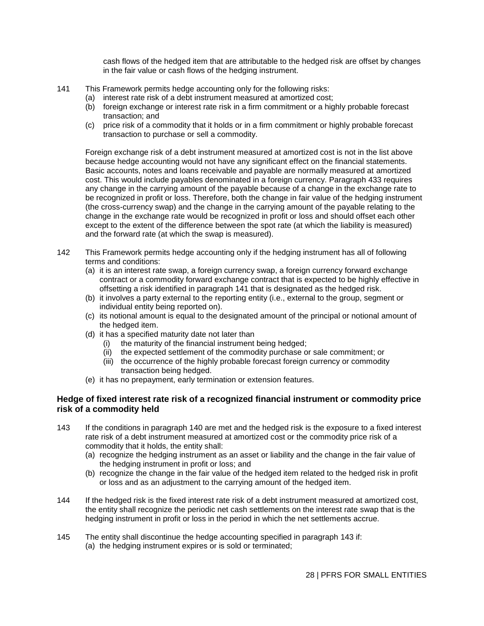cash flows of the hedged item that are attributable to the hedged risk are offset by changes in the fair value or cash flows of the hedging instrument.

- 141 This Framework permits hedge accounting only for the following risks:
	- (a) interest rate risk of a debt instrument measured at amortized cost;
	- (b) foreign exchange or interest rate risk in a firm commitment or a highly probable forecast transaction; and
	- (c) price risk of a commodity that it holds or in a firm commitment or highly probable forecast transaction to purchase or sell a commodity.

Foreign exchange risk of a debt instrument measured at amortized cost is not in the list above because hedge accounting would not have any significant effect on the financial statements. Basic accounts, notes and loans receivable and payable are normally measured at amortized cost. This would include payables denominated in a foreign currency. Paragraph 433 requires any change in the carrying amount of the payable because of a change in the exchange rate to be recognized in profit or loss. Therefore, both the change in fair value of the hedging instrument (the cross-currency swap) and the change in the carrying amount of the payable relating to the change in the exchange rate would be recognized in profit or loss and should offset each other except to the extent of the difference between the spot rate (at which the liability is measured) and the forward rate (at which the swap is measured).

- 142 This Framework permits hedge accounting only if the hedging instrument has all of following terms and conditions:
	- (a) it is an interest rate swap, a foreign currency swap, a foreign currency forward exchange contract or a commodity forward exchange contract that is expected to be highly effective in offsetting a risk identified in paragraph 141 that is designated as the hedged risk.
	- (b) it involves a party external to the reporting entity (i.e., external to the group, segment or individual entity being reported on).
	- (c) its notional amount is equal to the designated amount of the principal or notional amount of the hedged item.
	- (d) it has a specified maturity date not later than
		- (i) the maturity of the financial instrument being hedged;
		- (ii) the expected settlement of the commodity purchase or sale commitment; or
		- (iii) the occurrence of the highly probable forecast foreign currency or commodity transaction being hedged.
	- (e) it has no prepayment, early termination or extension features.

## **Hedge of fixed interest rate risk of a recognized financial instrument or commodity price risk of a commodity held**

- 143 If the conditions in paragraph 140 are met and the hedged risk is the exposure to a fixed interest rate risk of a debt instrument measured at amortized cost or the commodity price risk of a commodity that it holds, the entity shall:
	- (a) recognize the hedging instrument as an asset or liability and the change in the fair value of the hedging instrument in profit or loss; and
	- (b) recognize the change in the fair value of the hedged item related to the hedged risk in profit or loss and as an adjustment to the carrying amount of the hedged item.
- 144 If the hedged risk is the fixed interest rate risk of a debt instrument measured at amortized cost, the entity shall recognize the periodic net cash settlements on the interest rate swap that is the hedging instrument in profit or loss in the period in which the net settlements accrue.
- 145 The entity shall discontinue the hedge accounting specified in paragraph 143 if: (a) the hedging instrument expires or is sold or terminated;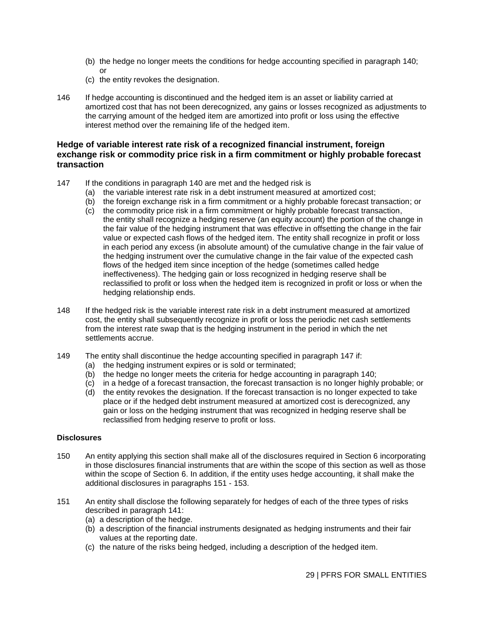- (b) the hedge no longer meets the conditions for hedge accounting specified in paragraph 140; or
- (c) the entity revokes the designation.
- 146 If hedge accounting is discontinued and the hedged item is an asset or liability carried at amortized cost that has not been derecognized, any gains or losses recognized as adjustments to the carrying amount of the hedged item are amortized into profit or loss using the effective interest method over the remaining life of the hedged item.

## **Hedge of variable interest rate risk of a recognized financial instrument, foreign exchange risk or commodity price risk in a firm commitment or highly probable forecast transaction**

- 147 If the conditions in paragraph 140 are met and the hedged risk is
	- (a) the variable interest rate risk in a debt instrument measured at amortized cost;
	- (b) the foreign exchange risk in a firm commitment or a highly probable forecast transaction; or
	- (c) the commodity price risk in a firm commitment or highly probable forecast transaction, the entity shall recognize a hedging reserve (an equity account) the portion of the change in the fair value of the hedging instrument that was effective in offsetting the change in the fair value or expected cash flows of the hedged item. The entity shall recognize in profit or loss in each period any excess (in absolute amount) of the cumulative change in the fair value of the hedging instrument over the cumulative change in the fair value of the expected cash flows of the hedged item since inception of the hedge (sometimes called hedge ineffectiveness). The hedging gain or loss recognized in hedging reserve shall be reclassified to profit or loss when the hedged item is recognized in profit or loss or when the hedging relationship ends.
- 148 If the hedged risk is the variable interest rate risk in a debt instrument measured at amortized cost, the entity shall subsequently recognize in profit or loss the periodic net cash settlements from the interest rate swap that is the hedging instrument in the period in which the net settlements accrue.
- 149 The entity shall discontinue the hedge accounting specified in paragraph 147 if:
	- (a) the hedging instrument expires or is sold or terminated;
	- (b) the hedge no longer meets the criteria for hedge accounting in paragraph 140;
	- (c) in a hedge of a forecast transaction, the forecast transaction is no longer highly probable; or
	- $\overrightarrow{d}$  the entity revokes the designation. If the forecast transaction is no longer expected to take place or if the hedged debt instrument measured at amortized cost is derecognized, any gain or loss on the hedging instrument that was recognized in hedging reserve shall be reclassified from hedging reserve to profit or loss.

#### **Disclosures**

- 150 An entity applying this section shall make all of the disclosures required in Section 6 incorporating in those disclosures financial instruments that are within the scope of this section as well as those within the scope of Section 6. In addition, if the entity uses hedge accounting, it shall make the additional disclosures in paragraphs 151 - 153.
- 151 An entity shall disclose the following separately for hedges of each of the three types of risks described in paragraph 141:
	- (a) a description of the hedge.
	- (b) a description of the financial instruments designated as hedging instruments and their fair values at the reporting date.
	- (c) the nature of the risks being hedged, including a description of the hedged item.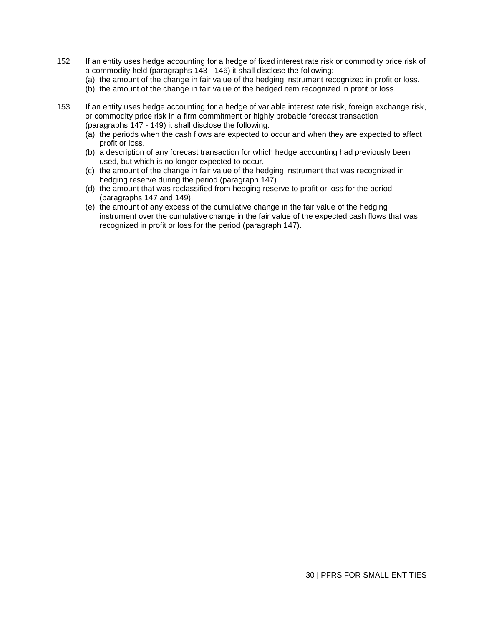- 152 If an entity uses hedge accounting for a hedge of fixed interest rate risk or commodity price risk of a commodity held (paragraphs 143 - 146) it shall disclose the following:
	- (a) the amount of the change in fair value of the hedging instrument recognized in profit or loss.
	- (b) the amount of the change in fair value of the hedged item recognized in profit or loss.
- 153 If an entity uses hedge accounting for a hedge of variable interest rate risk, foreign exchange risk, or commodity price risk in a firm commitment or highly probable forecast transaction (paragraphs 147 - 149) it shall disclose the following:
	- (a) the periods when the cash flows are expected to occur and when they are expected to affect profit or loss.
	- (b) a description of any forecast transaction for which hedge accounting had previously been used, but which is no longer expected to occur.
	- (c) the amount of the change in fair value of the hedging instrument that was recognized in hedging reserve during the period (paragraph 147).
	- (d) the amount that was reclassified from hedging reserve to profit or loss for the period (paragraphs 147 and 149).
	- (e) the amount of any excess of the cumulative change in the fair value of the hedging instrument over the cumulative change in the fair value of the expected cash flows that was recognized in profit or loss for the period (paragraph 147).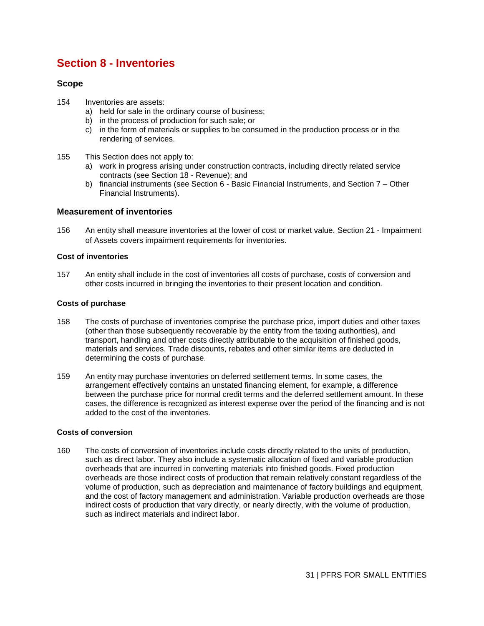## <span id="page-30-0"></span>**Section 8 - Inventories**

### **Scope**

- 154 Inventories are assets:
	- a) held for sale in the ordinary course of business;
	- b) in the process of production for such sale; or
	- c) in the form of materials or supplies to be consumed in the production process or in the rendering of services.
- 155 This Section does not apply to:
	- a) work in progress arising under construction contracts, including directly related service contracts (see Section 18 - Revenue); and
	- b) financial instruments (see Section 6 Basic Financial Instruments, and Section 7 Other Financial Instruments).

#### **Measurement of inventories**

156 An entity shall measure inventories at the lower of cost or market value. Section 21 - Impairment of Assets covers impairment requirements for inventories.

### **Cost of inventories**

157 An entity shall include in the cost of inventories all costs of purchase, costs of conversion and other costs incurred in bringing the inventories to their present location and condition.

#### **Costs of purchase**

- 158 The costs of purchase of inventories comprise the purchase price, import duties and other taxes (other than those subsequently recoverable by the entity from the taxing authorities), and transport, handling and other costs directly attributable to the acquisition of finished goods, materials and services. Trade discounts, rebates and other similar items are deducted in determining the costs of purchase.
- 159 An entity may purchase inventories on deferred settlement terms. In some cases, the arrangement effectively contains an unstated financing element, for example, a difference between the purchase price for normal credit terms and the deferred settlement amount. In these cases, the difference is recognized as interest expense over the period of the financing and is not added to the cost of the inventories.

#### **Costs of conversion**

160 The costs of conversion of inventories include costs directly related to the units of production, such as direct labor. They also include a systematic allocation of fixed and variable production overheads that are incurred in converting materials into finished goods. Fixed production overheads are those indirect costs of production that remain relatively constant regardless of the volume of production, such as depreciation and maintenance of factory buildings and equipment, and the cost of factory management and administration. Variable production overheads are those indirect costs of production that vary directly, or nearly directly, with the volume of production, such as indirect materials and indirect labor.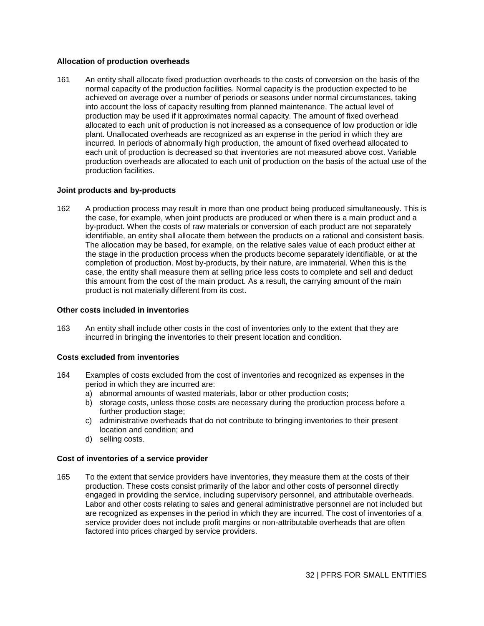#### **Allocation of production overheads**

161 An entity shall allocate fixed production overheads to the costs of conversion on the basis of the normal capacity of the production facilities. Normal capacity is the production expected to be achieved on average over a number of periods or seasons under normal circumstances, taking into account the loss of capacity resulting from planned maintenance. The actual level of production may be used if it approximates normal capacity. The amount of fixed overhead allocated to each unit of production is not increased as a consequence of low production or idle plant. Unallocated overheads are recognized as an expense in the period in which they are incurred. In periods of abnormally high production, the amount of fixed overhead allocated to each unit of production is decreased so that inventories are not measured above cost. Variable production overheads are allocated to each unit of production on the basis of the actual use of the production facilities.

#### **Joint products and by-products**

162 A production process may result in more than one product being produced simultaneously. This is the case, for example, when joint products are produced or when there is a main product and a by-product. When the costs of raw materials or conversion of each product are not separately identifiable, an entity shall allocate them between the products on a rational and consistent basis. The allocation may be based, for example, on the relative sales value of each product either at the stage in the production process when the products become separately identifiable, or at the completion of production. Most by-products, by their nature, are immaterial. When this is the case, the entity shall measure them at selling price less costs to complete and sell and deduct this amount from the cost of the main product. As a result, the carrying amount of the main product is not materially different from its cost.

#### **Other costs included in inventories**

163 An entity shall include other costs in the cost of inventories only to the extent that they are incurred in bringing the inventories to their present location and condition.

#### **Costs excluded from inventories**

- 164 Examples of costs excluded from the cost of inventories and recognized as expenses in the period in which they are incurred are:
	- a) abnormal amounts of wasted materials, labor or other production costs;
	- b) storage costs, unless those costs are necessary during the production process before a further production stage;
	- c) administrative overheads that do not contribute to bringing inventories to their present location and condition; and
	- d) selling costs.

#### **Cost of inventories of a service provider**

165 To the extent that service providers have inventories, they measure them at the costs of their production. These costs consist primarily of the labor and other costs of personnel directly engaged in providing the service, including supervisory personnel, and attributable overheads. Labor and other costs relating to sales and general administrative personnel are not included but are recognized as expenses in the period in which they are incurred. The cost of inventories of a service provider does not include profit margins or non-attributable overheads that are often factored into prices charged by service providers.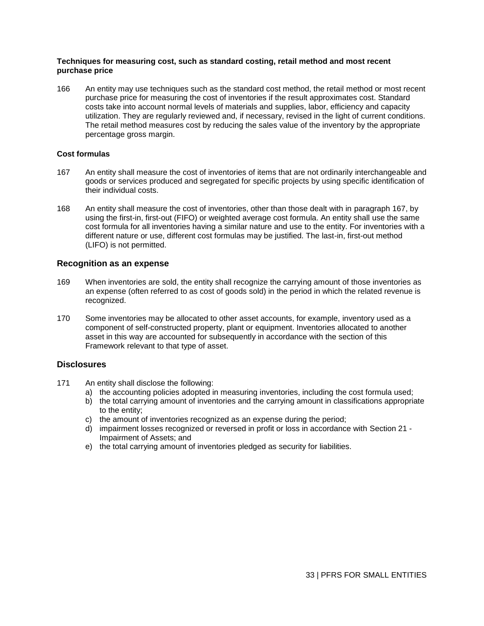#### **Techniques for measuring cost, such as standard costing, retail method and most recent purchase price**

166 An entity may use techniques such as the standard cost method, the retail method or most recent purchase price for measuring the cost of inventories if the result approximates cost. Standard costs take into account normal levels of materials and supplies, labor, efficiency and capacity utilization. They are regularly reviewed and, if necessary, revised in the light of current conditions. The retail method measures cost by reducing the sales value of the inventory by the appropriate percentage gross margin.

#### **Cost formulas**

- 167 An entity shall measure the cost of inventories of items that are not ordinarily interchangeable and goods or services produced and segregated for specific projects by using specific identification of their individual costs.
- 168 An entity shall measure the cost of inventories, other than those dealt with in paragraph 167, by using the first-in, first-out (FIFO) or weighted average cost formula. An entity shall use the same cost formula for all inventories having a similar nature and use to the entity. For inventories with a different nature or use, different cost formulas may be justified. The last-in, first-out method (LIFO) is not permitted.

#### **Recognition as an expense**

- 169 When inventories are sold, the entity shall recognize the carrying amount of those inventories as an expense (often referred to as cost of goods sold) in the period in which the related revenue is recognized.
- 170 Some inventories may be allocated to other asset accounts, for example, inventory used as a component of self-constructed property, plant or equipment. Inventories allocated to another asset in this way are accounted for subsequently in accordance with the section of this Framework relevant to that type of asset.

## **Disclosures**

- 171 An entity shall disclose the following:
	- a) the accounting policies adopted in measuring inventories, including the cost formula used;
	- b) the total carrying amount of inventories and the carrying amount in classifications appropriate to the entity;
	- c) the amount of inventories recognized as an expense during the period;
	- d) impairment losses recognized or reversed in profit or loss in accordance with Section 21 Impairment of Assets; and
	- e) the total carrying amount of inventories pledged as security for liabilities.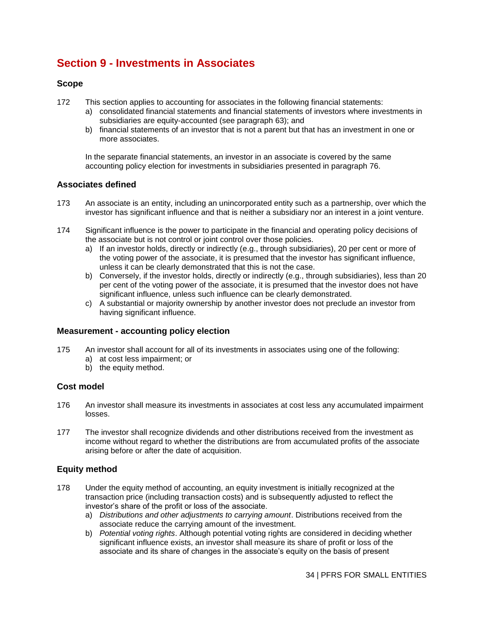## <span id="page-33-0"></span>**Section 9 - Investments in Associates**

## **Scope**

- 172 This section applies to accounting for associates in the following financial statements:
	- a) consolidated financial statements and financial statements of investors where investments in subsidiaries are equity-accounted (see paragraph 63); and
	- b) financial statements of an investor that is not a parent but that has an investment in one or more associates.

In the separate financial statements, an investor in an associate is covered by the same accounting policy election for investments in subsidiaries presented in paragraph 76.

## **Associates defined**

- 173 An associate is an entity, including an unincorporated entity such as a partnership, over which the investor has significant influence and that is neither a subsidiary nor an interest in a joint venture.
- 174 Significant influence is the power to participate in the financial and operating policy decisions of the associate but is not control or joint control over those policies.
	- a) If an investor holds, directly or indirectly (e.g., through subsidiaries), 20 per cent or more of the voting power of the associate, it is presumed that the investor has significant influence, unless it can be clearly demonstrated that this is not the case.
	- b) Conversely, if the investor holds, directly or indirectly (e.g., through subsidiaries), less than 20 per cent of the voting power of the associate, it is presumed that the investor does not have significant influence, unless such influence can be clearly demonstrated.
	- c) A substantial or majority ownership by another investor does not preclude an investor from having significant influence.

## **Measurement - accounting policy election**

- 175 An investor shall account for all of its investments in associates using one of the following:
	- a) at cost less impairment; or
	- b) the equity method.

## **Cost model**

- 176 An investor shall measure its investments in associates at cost less any accumulated impairment losses.
- 177 The investor shall recognize dividends and other distributions received from the investment as income without regard to whether the distributions are from accumulated profits of the associate arising before or after the date of acquisition.

## **Equity method**

- 178 Under the equity method of accounting, an equity investment is initially recognized at the transaction price (including transaction costs) and is subsequently adjusted to reflect the investor's share of the profit or loss of the associate.
	- a) *Distributions and other adjustments to carrying amount*. Distributions received from the associate reduce the carrying amount of the investment.
	- b) *Potential voting rights*. Although potential voting rights are considered in deciding whether significant influence exists, an investor shall measure its share of profit or loss of the associate and its share of changes in the associate's equity on the basis of present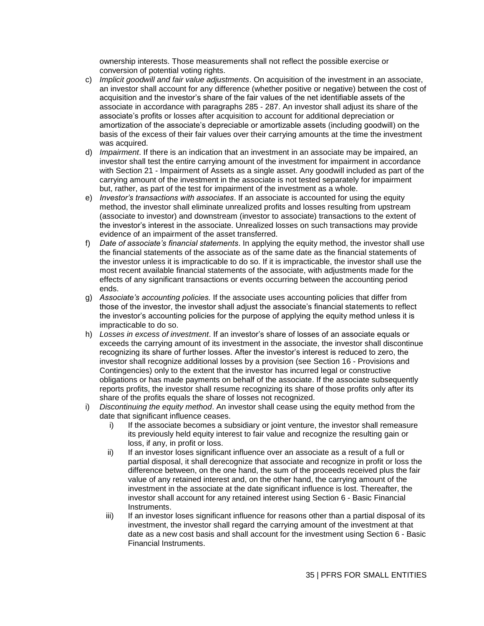ownership interests. Those measurements shall not reflect the possible exercise or conversion of potential voting rights.

- c) *Implicit goodwill and fair value adjustments*. On acquisition of the investment in an associate, an investor shall account for any difference (whether positive or negative) between the cost of acquisition and the investor's share of the fair values of the net identifiable assets of the associate in accordance with paragraphs 285 - 287. An investor shall adjust its share of the associate's profits or losses after acquisition to account for additional depreciation or amortization of the associate's depreciable or amortizable assets (including goodwill) on the basis of the excess of their fair values over their carrying amounts at the time the investment was acquired.
- d) *Impairment*. If there is an indication that an investment in an associate may be impaired, an investor shall test the entire carrying amount of the investment for impairment in accordance with Section 21 - Impairment of Assets as a single asset. Any goodwill included as part of the carrying amount of the investment in the associate is not tested separately for impairment but, rather, as part of the test for impairment of the investment as a whole.
- e) *Investor's transactions with associates*. If an associate is accounted for using the equity method, the investor shall eliminate unrealized profits and losses resulting from upstream (associate to investor) and downstream (investor to associate) transactions to the extent of the investor's interest in the associate. Unrealized losses on such transactions may provide evidence of an impairment of the asset transferred.
- f) *Date of associate's financial statements*. In applying the equity method, the investor shall use the financial statements of the associate as of the same date as the financial statements of the investor unless it is impracticable to do so. If it is impracticable, the investor shall use the most recent available financial statements of the associate, with adjustments made for the effects of any significant transactions or events occurring between the accounting period ends.
- g) *Associate's accounting policies.* If the associate uses accounting policies that differ from those of the investor, the investor shall adjust the associate's financial statements to reflect the investor's accounting policies for the purpose of applying the equity method unless it is impracticable to do so.
- h) *Losses in excess of investment*. If an investor's share of losses of an associate equals or exceeds the carrying amount of its investment in the associate, the investor shall discontinue recognizing its share of further losses. After the investor's interest is reduced to zero, the investor shall recognize additional losses by a provision (see Section 16 - Provisions and Contingencies) only to the extent that the investor has incurred legal or constructive obligations or has made payments on behalf of the associate. If the associate subsequently reports profits, the investor shall resume recognizing its share of those profits only after its share of the profits equals the share of losses not recognized.
- i) *Discontinuing the equity method*. An investor shall cease using the equity method from the date that significant influence ceases.
	- i) If the associate becomes a subsidiary or joint venture, the investor shall remeasure its previously held equity interest to fair value and recognize the resulting gain or loss, if any, in profit or loss.
	- ii) If an investor loses significant influence over an associate as a result of a full or partial disposal, it shall derecognize that associate and recognize in profit or loss the difference between, on the one hand, the sum of the proceeds received plus the fair value of any retained interest and, on the other hand, the carrying amount of the investment in the associate at the date significant influence is lost. Thereafter, the investor shall account for any retained interest using Section 6 - Basic Financial Instruments.
	- iii) If an investor loses significant influence for reasons other than a partial disposal of its investment, the investor shall regard the carrying amount of the investment at that date as a new cost basis and shall account for the investment using Section 6 - Basic Financial Instruments.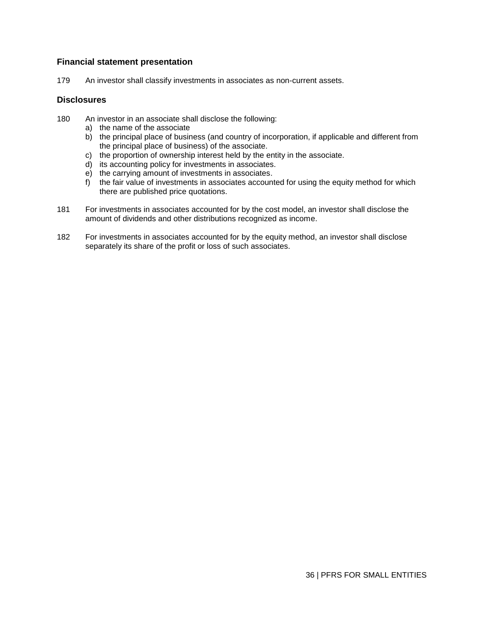## **Financial statement presentation**

179 An investor shall classify investments in associates as non-current assets.

## **Disclosures**

- 180 An investor in an associate shall disclose the following:
	- a) the name of the associate
	- b) the principal place of business (and country of incorporation, if applicable and different from the principal place of business) of the associate.
	- c) the proportion of ownership interest held by the entity in the associate.
	- d) its accounting policy for investments in associates.
	- e) the carrying amount of investments in associates.
	- f) the fair value of investments in associates accounted for using the equity method for which there are published price quotations.
- 181 For investments in associates accounted for by the cost model, an investor shall disclose the amount of dividends and other distributions recognized as income.
- 182 For investments in associates accounted for by the equity method, an investor shall disclose separately its share of the profit or loss of such associates.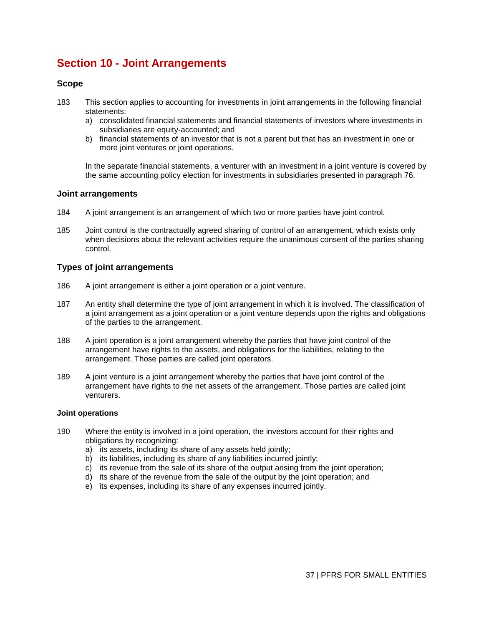# **Section 10 - Joint Arrangements**

## **Scope**

- 183 This section applies to accounting for investments in joint arrangements in the following financial statements:
	- a) consolidated financial statements and financial statements of investors where investments in subsidiaries are equity-accounted; and
	- b) financial statements of an investor that is not a parent but that has an investment in one or more joint ventures or joint operations.

In the separate financial statements, a venturer with an investment in a joint venture is covered by the same accounting policy election for investments in subsidiaries presented in paragraph 76.

## **Joint arrangements**

- 184 A joint arrangement is an arrangement of which two or more parties have joint control.
- 185 Joint control is the contractually agreed sharing of control of an arrangement, which exists only when decisions about the relevant activities require the unanimous consent of the parties sharing control.

# **Types of joint arrangements**

- 186 A joint arrangement is either a joint operation or a joint venture.
- 187 An entity shall determine the type of joint arrangement in which it is involved. The classification of a joint arrangement as a joint operation or a joint venture depends upon the rights and obligations of the parties to the arrangement.
- 188 A joint operation is a joint arrangement whereby the parties that have joint control of the arrangement have rights to the assets, and obligations for the liabilities, relating to the arrangement. Those parties are called joint operators.
- 189 A joint venture is a joint arrangement whereby the parties that have joint control of the arrangement have rights to the net assets of the arrangement. Those parties are called joint venturers.

#### **Joint operations**

- 190 Where the entity is involved in a joint operation, the investors account for their rights and obligations by recognizing:
	- a) its assets, including its share of any assets held jointly;
	- b) its liabilities, including its share of any liabilities incurred jointly;
	- c) its revenue from the sale of its share of the output arising from the joint operation;
	- d) its share of the revenue from the sale of the output by the joint operation; and
	- e) its expenses, including its share of any expenses incurred jointly.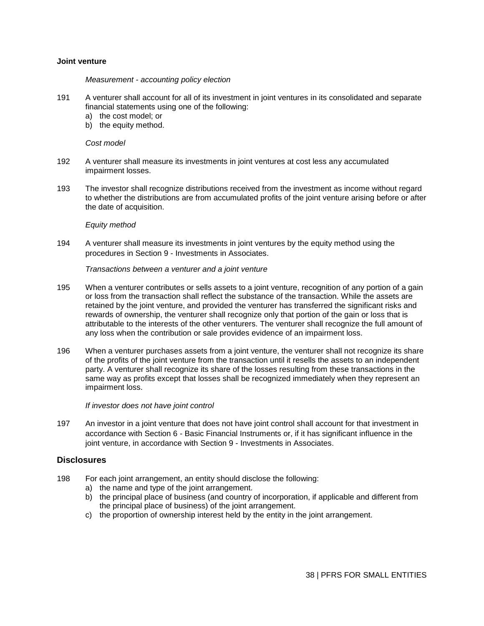### **Joint venture**

#### *Measurement - accounting policy election*

- 191 A venturer shall account for all of its investment in joint ventures in its consolidated and separate financial statements using one of the following:
	- a) the cost model; or
	- b) the equity method.

#### *Cost model*

- 192 A venturer shall measure its investments in joint ventures at cost less any accumulated impairment losses.
- 193 The investor shall recognize distributions received from the investment as income without regard to whether the distributions are from accumulated profits of the joint venture arising before or after the date of acquisition.

#### *Equity method*

194 A venturer shall measure its investments in joint ventures by the equity method using the procedures in Section 9 - Investments in Associates.

*Transactions between a venturer and a joint venture*

- 195 When a venturer contributes or sells assets to a joint venture, recognition of any portion of a gain or loss from the transaction shall reflect the substance of the transaction. While the assets are retained by the joint venture, and provided the venturer has transferred the significant risks and rewards of ownership, the venturer shall recognize only that portion of the gain or loss that is attributable to the interests of the other venturers. The venturer shall recognize the full amount of any loss when the contribution or sale provides evidence of an impairment loss.
- 196 When a venturer purchases assets from a joint venture, the venturer shall not recognize its share of the profits of the joint venture from the transaction until it resells the assets to an independent party. A venturer shall recognize its share of the losses resulting from these transactions in the same way as profits except that losses shall be recognized immediately when they represent an impairment loss.

#### *If investor does not have joint control*

197 An investor in a joint venture that does not have joint control shall account for that investment in accordance with Section 6 - Basic Financial Instruments or, if it has significant influence in the joint venture, in accordance with Section 9 - Investments in Associates.

#### **Disclosures**

- 198 For each joint arrangement, an entity should disclose the following:
	- a) the name and type of the joint arrangement.
	- b) the principal place of business (and country of incorporation, if applicable and different from the principal place of business) of the joint arrangement.
	- c) the proportion of ownership interest held by the entity in the joint arrangement.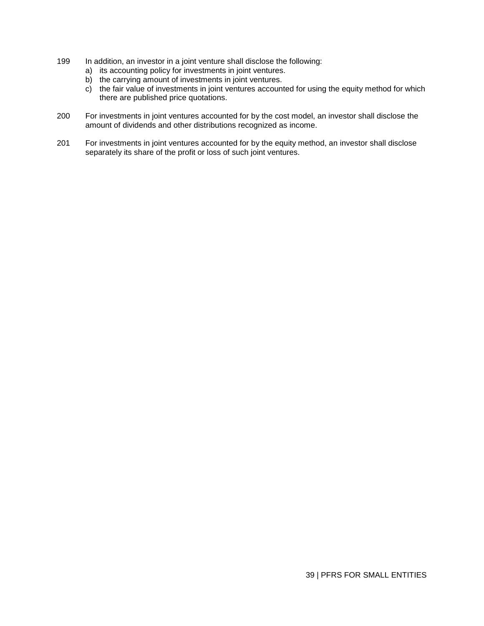- 199 In addition, an investor in a joint venture shall disclose the following:
	- a) its accounting policy for investments in joint ventures.
	- b) the carrying amount of investments in joint ventures.
	- c) the fair value of investments in joint ventures accounted for using the equity method for which there are published price quotations.
- 200 For investments in joint ventures accounted for by the cost model, an investor shall disclose the amount of dividends and other distributions recognized as income.
- 201 For investments in joint ventures accounted for by the equity method, an investor shall disclose separately its share of the profit or loss of such joint ventures.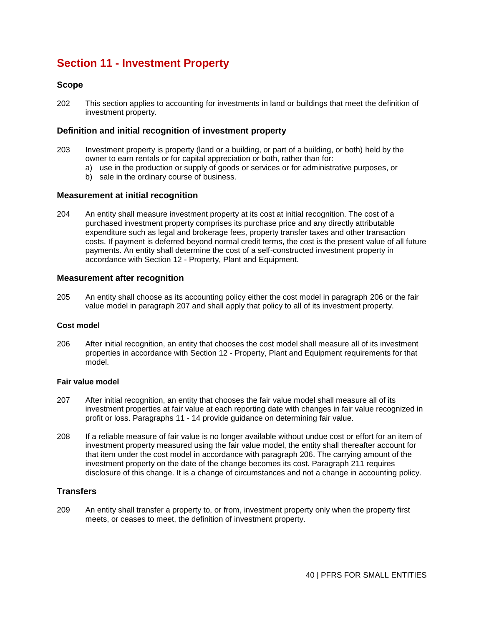# **Section 11 - Investment Property**

# **Scope**

202 This section applies to accounting for investments in land or buildings that meet the definition of investment property.

# **Definition and initial recognition of investment property**

- 203 Investment property is property (land or a building, or part of a building, or both) held by the owner to earn rentals or for capital appreciation or both, rather than for:
	- a) use in the production or supply of goods or services or for administrative purposes, or
	- b) sale in the ordinary course of business.

## **Measurement at initial recognition**

204 An entity shall measure investment property at its cost at initial recognition. The cost of a purchased investment property comprises its purchase price and any directly attributable expenditure such as legal and brokerage fees, property transfer taxes and other transaction costs. If payment is deferred beyond normal credit terms, the cost is the present value of all future payments. An entity shall determine the cost of a self-constructed investment property in accordance with Section 12 - Property, Plant and Equipment.

## **Measurement after recognition**

205 An entity shall choose as its accounting policy either the cost model in paragraph 206 or the fair value model in paragraph 207 and shall apply that policy to all of its investment property.

#### **Cost model**

206 After initial recognition, an entity that chooses the cost model shall measure all of its investment properties in accordance with Section 12 - Property, Plant and Equipment requirements for that model.

### **Fair value model**

- 207 After initial recognition, an entity that chooses the fair value model shall measure all of its investment properties at fair value at each reporting date with changes in fair value recognized in profit or loss. Paragraphs 11 - 14 provide guidance on determining fair value.
- 208 If a reliable measure of fair value is no longer available without undue cost or effort for an item of investment property measured using the fair value model, the entity shall thereafter account for that item under the cost model in accordance with paragraph 206. The carrying amount of the investment property on the date of the change becomes its cost. Paragraph 211 requires disclosure of this change. It is a change of circumstances and not a change in accounting policy.

# **Transfers**

209 An entity shall transfer a property to, or from, investment property only when the property first meets, or ceases to meet, the definition of investment property.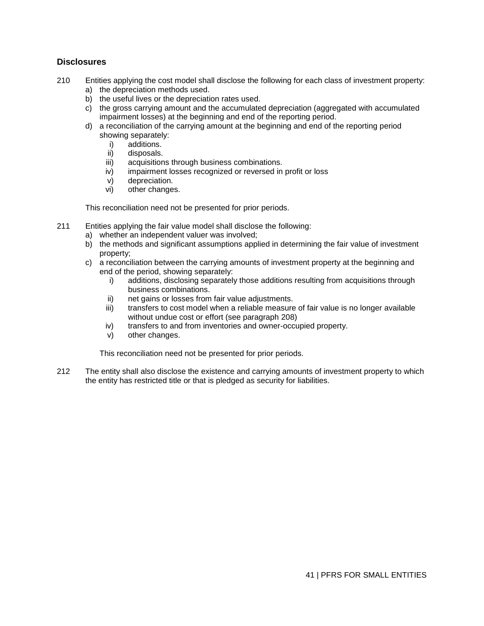# **Disclosures**

- 210 Entities applying the cost model shall disclose the following for each class of investment property: a) the depreciation methods used.
	- b) the useful lives or the depreciation rates used.
	- c) the gross carrying amount and the accumulated depreciation (aggregated with accumulated impairment losses) at the beginning and end of the reporting period.
	- d) a reconciliation of the carrying amount at the beginning and end of the reporting period showing separately:
		- i) additions.<br>ii) disposals.
		- disposals.
		- iii) acquisitions through business combinations.
		- iv) impairment losses recognized or reversed in profit or loss
		- v) depreciation.
		- vi) other changes.

This reconciliation need not be presented for prior periods.

- 211 Entities applying the fair value model shall disclose the following:
	- a) whether an independent valuer was involved;
	- b) the methods and significant assumptions applied in determining the fair value of investment property;
	- c) a reconciliation between the carrying amounts of investment property at the beginning and end of the period, showing separately:
		- i) additions, disclosing separately those additions resulting from acquisitions through business combinations.
		- ii) net gains or losses from fair value adjustments.
		- iii) transfers to cost model when a reliable measure of fair value is no longer available without undue cost or effort (see paragraph 208)
		- iv) transfers to and from inventories and owner-occupied property.
		- v) other changes.

This reconciliation need not be presented for prior periods.

212 The entity shall also disclose the existence and carrying amounts of investment property to which the entity has restricted title or that is pledged as security for liabilities.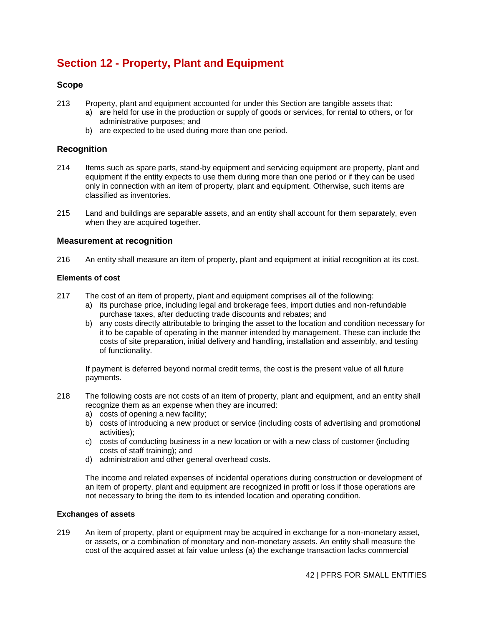# **Section 12 - Property, Plant and Equipment**

# **Scope**

- 213 Property, plant and equipment accounted for under this Section are tangible assets that:
	- a) are held for use in the production or supply of goods or services, for rental to others, or for administrative purposes; and
		- b) are expected to be used during more than one period.

# **Recognition**

- 214 Items such as spare parts, stand-by equipment and servicing equipment are property, plant and equipment if the entity expects to use them during more than one period or if they can be used only in connection with an item of property, plant and equipment. Otherwise, such items are classified as inventories.
- 215 Land and buildings are separable assets, and an entity shall account for them separately, even when they are acquired together.

# **Measurement at recognition**

216 An entity shall measure an item of property, plant and equipment at initial recognition at its cost.

## **Elements of cost**

- 217 The cost of an item of property, plant and equipment comprises all of the following:
	- a) its purchase price, including legal and brokerage fees, import duties and non-refundable purchase taxes, after deducting trade discounts and rebates; and
	- b) any costs directly attributable to bringing the asset to the location and condition necessary for it to be capable of operating in the manner intended by management. These can include the costs of site preparation, initial delivery and handling, installation and assembly, and testing of functionality.

If payment is deferred beyond normal credit terms, the cost is the present value of all future payments.

- 218 The following costs are not costs of an item of property, plant and equipment, and an entity shall recognize them as an expense when they are incurred:
	- a) costs of opening a new facility;
	- b) costs of introducing a new product or service (including costs of advertising and promotional activities);
	- c) costs of conducting business in a new location or with a new class of customer (including costs of staff training); and
	- d) administration and other general overhead costs.

The income and related expenses of incidental operations during construction or development of an item of property, plant and equipment are recognized in profit or loss if those operations are not necessary to bring the item to its intended location and operating condition.

#### **Exchanges of assets**

219 An item of property, plant or equipment may be acquired in exchange for a non-monetary asset, or assets, or a combination of monetary and non-monetary assets. An entity shall measure the cost of the acquired asset at fair value unless (a) the exchange transaction lacks commercial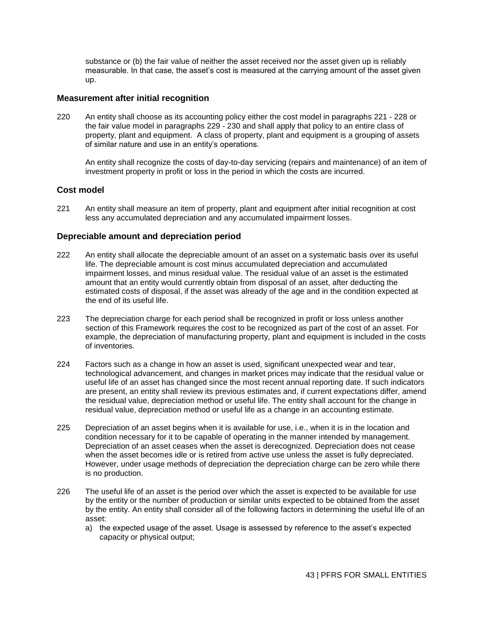substance or (b) the fair value of neither the asset received nor the asset given up is reliably measurable. In that case, the asset's cost is measured at the carrying amount of the asset given up.

## **Measurement after initial recognition**

220 An entity shall choose as its accounting policy either the cost model in paragraphs 221 - 228 or the fair value model in paragraphs 229 - 230 and shall apply that policy to an entire class of property, plant and equipment. A class of property, plant and equipment is a grouping of assets of similar nature and use in an entity's operations.

An entity shall recognize the costs of day-to-day servicing (repairs and maintenance) of an item of investment property in profit or loss in the period in which the costs are incurred.

## **Cost model**

221 An entity shall measure an item of property, plant and equipment after initial recognition at cost less any accumulated depreciation and any accumulated impairment losses.

## **Depreciable amount and depreciation period**

- 222 An entity shall allocate the depreciable amount of an asset on a systematic basis over its useful life. The depreciable amount is cost minus accumulated depreciation and accumulated impairment losses, and minus residual value. The residual value of an asset is the estimated amount that an entity would currently obtain from disposal of an asset, after deducting the estimated costs of disposal, if the asset was already of the age and in the condition expected at the end of its useful life.
- 223 The depreciation charge for each period shall be recognized in profit or loss unless another section of this Framework requires the cost to be recognized as part of the cost of an asset. For example, the depreciation of manufacturing property, plant and equipment is included in the costs of inventories.
- 224 Factors such as a change in how an asset is used, significant unexpected wear and tear, technological advancement, and changes in market prices may indicate that the residual value or useful life of an asset has changed since the most recent annual reporting date. If such indicators are present, an entity shall review its previous estimates and, if current expectations differ, amend the residual value, depreciation method or useful life. The entity shall account for the change in residual value, depreciation method or useful life as a change in an accounting estimate.
- 225 Depreciation of an asset begins when it is available for use, i.e., when it is in the location and condition necessary for it to be capable of operating in the manner intended by management. Depreciation of an asset ceases when the asset is derecognized. Depreciation does not cease when the asset becomes idle or is retired from active use unless the asset is fully depreciated. However, under usage methods of depreciation the depreciation charge can be zero while there is no production.
- 226 The useful life of an asset is the period over which the asset is expected to be available for use by the entity or the number of production or similar units expected to be obtained from the asset by the entity. An entity shall consider all of the following factors in determining the useful life of an asset:
	- a) the expected usage of the asset. Usage is assessed by reference to the asset's expected capacity or physical output;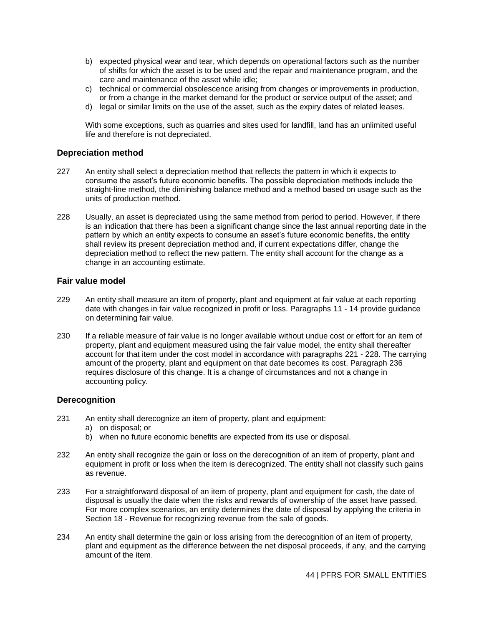- b) expected physical wear and tear, which depends on operational factors such as the number of shifts for which the asset is to be used and the repair and maintenance program, and the care and maintenance of the asset while idle;
- c) technical or commercial obsolescence arising from changes or improvements in production, or from a change in the market demand for the product or service output of the asset; and
- d) legal or similar limits on the use of the asset, such as the expiry dates of related leases.

With some exceptions, such as quarries and sites used for landfill, land has an unlimited useful life and therefore is not depreciated.

## **Depreciation method**

- 227 An entity shall select a depreciation method that reflects the pattern in which it expects to consume the asset's future economic benefits. The possible depreciation methods include the straight-line method, the diminishing balance method and a method based on usage such as the units of production method.
- 228 Usually, an asset is depreciated using the same method from period to period. However, if there is an indication that there has been a significant change since the last annual reporting date in the pattern by which an entity expects to consume an asset's future economic benefits, the entity shall review its present depreciation method and, if current expectations differ, change the depreciation method to reflect the new pattern. The entity shall account for the change as a change in an accounting estimate.

## **Fair value model**

- 229 An entity shall measure an item of property, plant and equipment at fair value at each reporting date with changes in fair value recognized in profit or loss. Paragraphs 11 - 14 provide guidance on determining fair value.
- 230 If a reliable measure of fair value is no longer available without undue cost or effort for an item of property, plant and equipment measured using the fair value model, the entity shall thereafter account for that item under the cost model in accordance with paragraphs 221 - 228. The carrying amount of the property, plant and equipment on that date becomes its cost. Paragraph 236 requires disclosure of this change. It is a change of circumstances and not a change in accounting policy.

# **Derecognition**

- 231 An entity shall derecognize an item of property, plant and equipment:
	- a) on disposal; or
	- b) when no future economic benefits are expected from its use or disposal.
- 232 An entity shall recognize the gain or loss on the derecognition of an item of property, plant and equipment in profit or loss when the item is derecognized. The entity shall not classify such gains as revenue.
- 233 For a straightforward disposal of an item of property, plant and equipment for cash, the date of disposal is usually the date when the risks and rewards of ownership of the asset have passed. For more complex scenarios, an entity determines the date of disposal by applying the criteria in Section 18 - Revenue for recognizing revenue from the sale of goods.
- 234 An entity shall determine the gain or loss arising from the derecognition of an item of property, plant and equipment as the difference between the net disposal proceeds, if any, and the carrying amount of the item.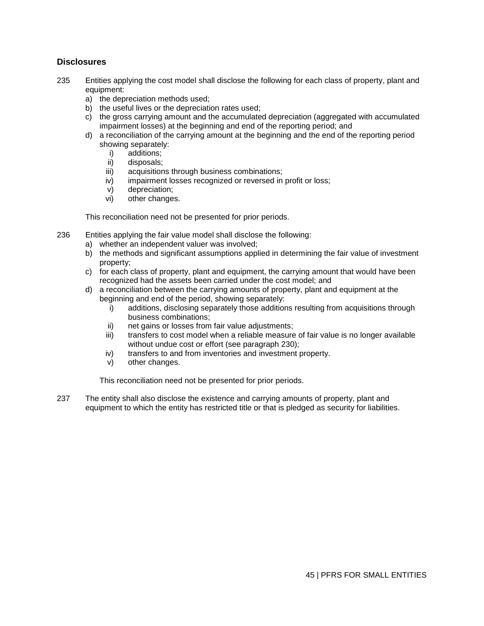# **Disclosures**

- 235 Entities applying the cost model shall disclose the following for each class of property, plant and equipment:
	- a) the depreciation methods used;
	- b) the useful lives or the depreciation rates used;
	- c) the gross carrying amount and the accumulated depreciation (aggregated with accumulated impairment losses) at the beginning and end of the reporting period; and
	- d) a reconciliation of the carrying amount at the beginning and the end of the reporting period showing separately:
		- i) additions;
		- ii) disposals;
		- iii) acquisitions through business combinations;
		- iv) impairment losses recognized or reversed in profit or loss;
		- v) depreciation;
		- vi) other changes.

This reconciliation need not be presented for prior periods.

- 236 Entities applying the fair value model shall disclose the following:
	- a) whether an independent valuer was involved;
	- b) the methods and significant assumptions applied in determining the fair value of investment property;
	- c) for each class of property, plant and equipment, the carrying amount that would have been recognized had the assets been carried under the cost model; and
	- d) a reconciliation between the carrying amounts of property, plant and equipment at the beginning and end of the period, showing separately:
		- i) additions, disclosing separately those additions resulting from acquisitions through business combinations;
		- ii) net gains or losses from fair value adjustments;
		- iii) transfers to cost model when a reliable measure of fair value is no longer available without undue cost or effort (see paragraph 230);
		- iv) transfers to and from inventories and investment property.
		- v) other changes.

This reconciliation need not be presented for prior periods.

237 The entity shall also disclose the existence and carrying amounts of property, plant and equipment to which the entity has restricted title or that is pledged as security for liabilities.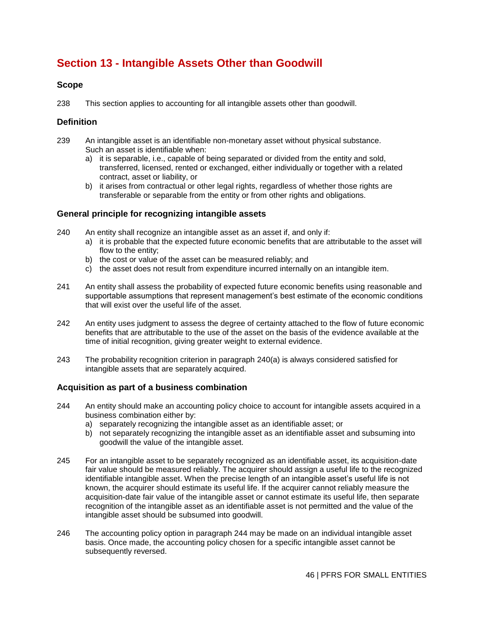# **Section 13 - Intangible Assets Other than Goodwill**

# **Scope**

238 This section applies to accounting for all intangible assets other than goodwill.

# **Definition**

- 239 An intangible asset is an identifiable non-monetary asset without physical substance. Such an asset is identifiable when:
	- a) it is separable, i.e., capable of being separated or divided from the entity and sold, transferred, licensed, rented or exchanged, either individually or together with a related contract, asset or liability, or
	- b) it arises from contractual or other legal rights, regardless of whether those rights are transferable or separable from the entity or from other rights and obligations.

# **General principle for recognizing intangible assets**

- 240 An entity shall recognize an intangible asset as an asset if, and only if:
	- a) it is probable that the expected future economic benefits that are attributable to the asset will flow to the entity;
	- b) the cost or value of the asset can be measured reliably; and
	- c) the asset does not result from expenditure incurred internally on an intangible item.
- 241 An entity shall assess the probability of expected future economic benefits using reasonable and supportable assumptions that represent management's best estimate of the economic conditions that will exist over the useful life of the asset.
- 242 An entity uses judgment to assess the degree of certainty attached to the flow of future economic benefits that are attributable to the use of the asset on the basis of the evidence available at the time of initial recognition, giving greater weight to external evidence.
- 243 The probability recognition criterion in paragraph 240(a) is always considered satisfied for intangible assets that are separately acquired.

# **Acquisition as part of a business combination**

- 244 An entity should make an accounting policy choice to account for intangible assets acquired in a business combination either by:
	- a) separately recognizing the intangible asset as an identifiable asset; or
	- b) not separately recognizing the intangible asset as an identifiable asset and subsuming into goodwill the value of the intangible asset.
- 245 For an intangible asset to be separately recognized as an identifiable asset, its acquisition-date fair value should be measured reliably. The acquirer should assign a useful life to the recognized identifiable intangible asset. When the precise length of an intangible asset's useful life is not known, the acquirer should estimate its useful life. If the acquirer cannot reliably measure the acquisition-date fair value of the intangible asset or cannot estimate its useful life, then separate recognition of the intangible asset as an identifiable asset is not permitted and the value of the intangible asset should be subsumed into goodwill.
- 246 The accounting policy option in paragraph 244 may be made on an individual intangible asset basis. Once made, the accounting policy chosen for a specific intangible asset cannot be subsequently reversed.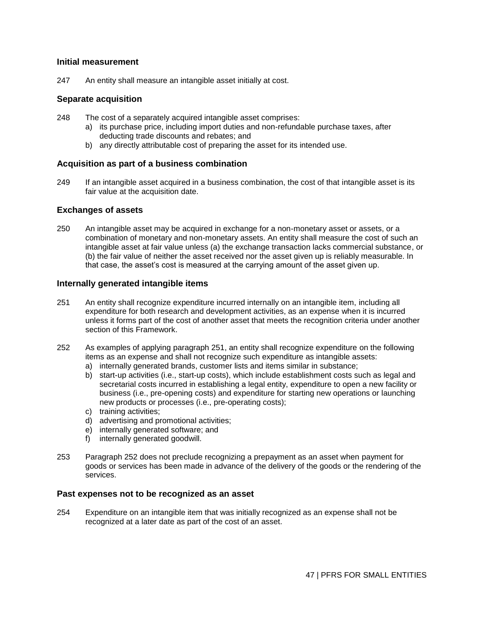## **Initial measurement**

247 An entity shall measure an intangible asset initially at cost.

## **Separate acquisition**

- 248 The cost of a separately acquired intangible asset comprises:
	- a) its purchase price, including import duties and non-refundable purchase taxes, after deducting trade discounts and rebates; and
	- b) any directly attributable cost of preparing the asset for its intended use.

## **Acquisition as part of a business combination**

249 If an intangible asset acquired in a business combination, the cost of that intangible asset is its fair value at the acquisition date.

#### **Exchanges of assets**

250 An intangible asset may be acquired in exchange for a non-monetary asset or assets, or a combination of monetary and non-monetary assets. An entity shall measure the cost of such an intangible asset at fair value unless (a) the exchange transaction lacks commercial substance, or (b) the fair value of neither the asset received nor the asset given up is reliably measurable. In that case, the asset's cost is measured at the carrying amount of the asset given up.

## **Internally generated intangible items**

- 251 An entity shall recognize expenditure incurred internally on an intangible item, including all expenditure for both research and development activities, as an expense when it is incurred unless it forms part of the cost of another asset that meets the recognition criteria under another section of this Framework.
- 252 As examples of applying paragraph 251, an entity shall recognize expenditure on the following items as an expense and shall not recognize such expenditure as intangible assets:
	- a) internally generated brands, customer lists and items similar in substance;
	- b) start-up activities (i.e., start-up costs), which include establishment costs such as legal and secretarial costs incurred in establishing a legal entity, expenditure to open a new facility or business (i.e., pre-opening costs) and expenditure for starting new operations or launching new products or processes (i.e., pre-operating costs);
	- c) training activities;
	- d) advertising and promotional activities;
	- e) internally generated software; and
	- f) internally generated goodwill.
- 253 Paragraph 252 does not preclude recognizing a prepayment as an asset when payment for goods or services has been made in advance of the delivery of the goods or the rendering of the services.

#### **Past expenses not to be recognized as an asset**

254 Expenditure on an intangible item that was initially recognized as an expense shall not be recognized at a later date as part of the cost of an asset.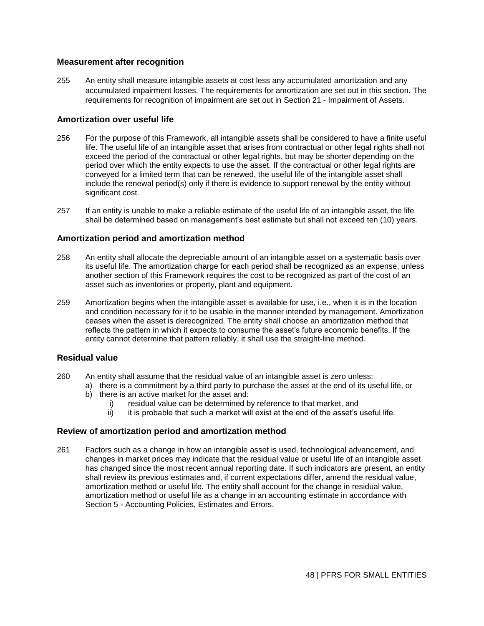# **Measurement after recognition**

255 An entity shall measure intangible assets at cost less any accumulated amortization and any accumulated impairment losses. The requirements for amortization are set out in this section. The requirements for recognition of impairment are set out in Section 21 - Impairment of Assets.

# **Amortization over useful life**

- 256 For the purpose of this Framework, all intangible assets shall be considered to have a finite useful life. The useful life of an intangible asset that arises from contractual or other legal rights shall not exceed the period of the contractual or other legal rights, but may be shorter depending on the period over which the entity expects to use the asset. If the contractual or other legal rights are conveyed for a limited term that can be renewed, the useful life of the intangible asset shall include the renewal period(s) only if there is evidence to support renewal by the entity without significant cost.
- 257 If an entity is unable to make a reliable estimate of the useful life of an intangible asset, the life shall be determined based on management's best estimate but shall not exceed ten (10) years.

# **Amortization period and amortization method**

- 258 An entity shall allocate the depreciable amount of an intangible asset on a systematic basis over its useful life. The amortization charge for each period shall be recognized as an expense, unless another section of this Framework requires the cost to be recognized as part of the cost of an asset such as inventories or property, plant and equipment.
- 259 Amortization begins when the intangible asset is available for use, i.e., when it is in the location and condition necessary for it to be usable in the manner intended by management. Amortization ceases when the asset is derecognized. The entity shall choose an amortization method that reflects the pattern in which it expects to consume the asset's future economic benefits. If the entity cannot determine that pattern reliably, it shall use the straight-line method.

# **Residual value**

- 260 An entity shall assume that the residual value of an intangible asset is zero unless:
	- a) there is a commitment by a third party to purchase the asset at the end of its useful life, or
	- b) there is an active market for the asset and:
		- i) residual value can be determined by reference to that market, and<br>ii) it is probable that such a market will exist at the end of the asset's i
		- it is probable that such a market will exist at the end of the asset's useful life.

# **Review of amortization period and amortization method**

261 Factors such as a change in how an intangible asset is used, technological advancement, and changes in market prices may indicate that the residual value or useful life of an intangible asset has changed since the most recent annual reporting date. If such indicators are present, an entity shall review its previous estimates and, if current expectations differ, amend the residual value, amortization method or useful life. The entity shall account for the change in residual value, amortization method or useful life as a change in an accounting estimate in accordance with Section 5 - Accounting Policies, Estimates and Errors.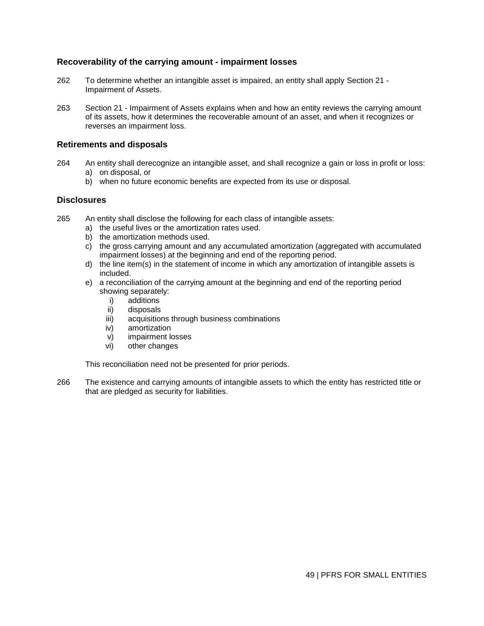# **Recoverability of the carrying amount - impairment losses**

- 262 To determine whether an intangible asset is impaired, an entity shall apply Section 21 Impairment of Assets.
- 263 Section 21 Impairment of Assets explains when and how an entity reviews the carrying amount of its assets, how it determines the recoverable amount of an asset, and when it recognizes or reverses an impairment loss.

## **Retirements and disposals**

- 264 An entity shall derecognize an intangible asset, and shall recognize a gain or loss in profit or loss: a) on disposal, or
	- b) when no future economic benefits are expected from its use or disposal.

## **Disclosures**

- 265 An entity shall disclose the following for each class of intangible assets:
	- a) the useful lives or the amortization rates used.
	- b) the amortization methods used.
	- c) the gross carrying amount and any accumulated amortization (aggregated with accumulated impairment losses) at the beginning and end of the reporting period.
	- d) the line item(s) in the statement of income in which any amortization of intangible assets is included.
	- e) a reconciliation of the carrying amount at the beginning and end of the reporting period showing separately:
		-
		- i) additions<br>ii) disposals disposals
		- iii) acquisitions through business combinations
		- iv) amortization
		- v) impairment losses
		- vi) other changes

This reconciliation need not be presented for prior periods.

266 The existence and carrying amounts of intangible assets to which the entity has restricted title or that are pledged as security for liabilities.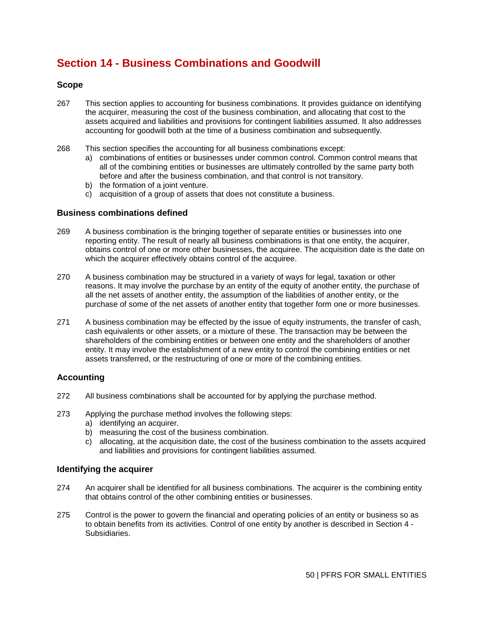# **Section 14 - Business Combinations and Goodwill**

## **Scope**

- 267 This section applies to accounting for business combinations. It provides guidance on identifying the acquirer, measuring the cost of the business combination, and allocating that cost to the assets acquired and liabilities and provisions for contingent liabilities assumed. It also addresses accounting for goodwill both at the time of a business combination and subsequently.
- 268 This section specifies the accounting for all business combinations except:
	- a) combinations of entities or businesses under common control. Common control means that all of the combining entities or businesses are ultimately controlled by the same party both before and after the business combination, and that control is not transitory.
	- b) the formation of a joint venture.
	- c) acquisition of a group of assets that does not constitute a business.

#### **Business combinations defined**

- 269 A business combination is the bringing together of separate entities or businesses into one reporting entity. The result of nearly all business combinations is that one entity, the acquirer, obtains control of one or more other businesses, the acquiree. The acquisition date is the date on which the acquirer effectively obtains control of the acquiree.
- 270 A business combination may be structured in a variety of ways for legal, taxation or other reasons. It may involve the purchase by an entity of the equity of another entity, the purchase of all the net assets of another entity, the assumption of the liabilities of another entity, or the purchase of some of the net assets of another entity that together form one or more businesses.
- 271 A business combination may be effected by the issue of equity instruments, the transfer of cash, cash equivalents or other assets, or a mixture of these. The transaction may be between the shareholders of the combining entities or between one entity and the shareholders of another entity. It may involve the establishment of a new entity to control the combining entities or net assets transferred, or the restructuring of one or more of the combining entities.

#### **Accounting**

- 272 All business combinations shall be accounted for by applying the purchase method.
- 273 Applying the purchase method involves the following steps:
	- a) identifying an acquirer.
	- b) measuring the cost of the business combination.
	- c) allocating, at the acquisition date, the cost of the business combination to the assets acquired and liabilities and provisions for contingent liabilities assumed.

## **Identifying the acquirer**

- 274 An acquirer shall be identified for all business combinations. The acquirer is the combining entity that obtains control of the other combining entities or businesses.
- 275 Control is the power to govern the financial and operating policies of an entity or business so as to obtain benefits from its activities. Control of one entity by another is described in Section 4 - Subsidiaries.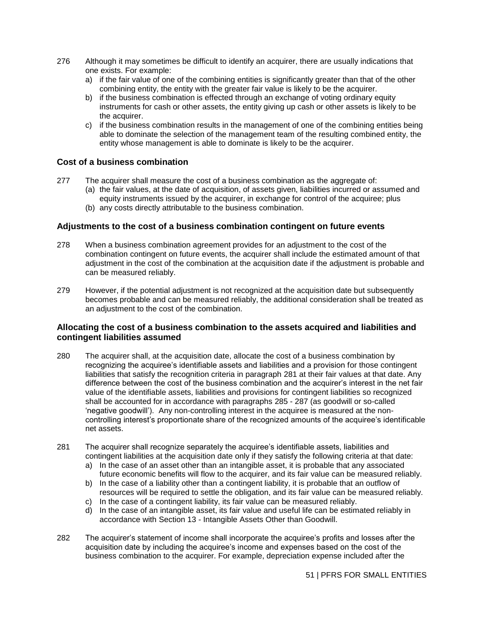- 276 Although it may sometimes be difficult to identify an acquirer, there are usually indications that one exists. For example:
	- a) if the fair value of one of the combining entities is significantly greater than that of the other combining entity, the entity with the greater fair value is likely to be the acquirer.
	- b) if the business combination is effected through an exchange of voting ordinary equity instruments for cash or other assets, the entity giving up cash or other assets is likely to be the acquirer.
	- c) if the business combination results in the management of one of the combining entities being able to dominate the selection of the management team of the resulting combined entity, the entity whose management is able to dominate is likely to be the acquirer.

# **Cost of a business combination**

- 277 The acquirer shall measure the cost of a business combination as the aggregate of:
	- (a) the fair values, at the date of acquisition, of assets given, liabilities incurred or assumed and equity instruments issued by the acquirer, in exchange for control of the acquiree; plus
	- (b) any costs directly attributable to the business combination.

# **Adjustments to the cost of a business combination contingent on future events**

- 278 When a business combination agreement provides for an adjustment to the cost of the combination contingent on future events, the acquirer shall include the estimated amount of that adjustment in the cost of the combination at the acquisition date if the adjustment is probable and can be measured reliably.
- 279 However, if the potential adjustment is not recognized at the acquisition date but subsequently becomes probable and can be measured reliably, the additional consideration shall be treated as an adjustment to the cost of the combination.

# **Allocating the cost of a business combination to the assets acquired and liabilities and contingent liabilities assumed**

- 280 The acquirer shall, at the acquisition date, allocate the cost of a business combination by recognizing the acquiree's identifiable assets and liabilities and a provision for those contingent liabilities that satisfy the recognition criteria in paragraph 281 at their fair values at that date. Any difference between the cost of the business combination and the acquirer's interest in the net fair value of the identifiable assets, liabilities and provisions for contingent liabilities so recognized shall be accounted for in accordance with paragraphs 285 - 287 (as goodwill or so-called 'negative goodwill'). Any non-controlling interest in the acquiree is measured at the noncontrolling interest's proportionate share of the recognized amounts of the acquiree's identificable net assets.
- 281 The acquirer shall recognize separately the acquiree's identifiable assets, liabilities and contingent liabilities at the acquisition date only if they satisfy the following criteria at that date:
	- a) In the case of an asset other than an intangible asset, it is probable that any associated future economic benefits will flow to the acquirer, and its fair value can be measured reliably.
	- b) In the case of a liability other than a contingent liability, it is probable that an outflow of resources will be required to settle the obligation, and its fair value can be measured reliably.
	- c) In the case of a contingent liability, its fair value can be measured reliably.
	- d) In the case of an intangible asset, its fair value and useful life can be estimated reliably in accordance with Section 13 - Intangible Assets Other than Goodwill.
- 282 The acquirer's statement of income shall incorporate the acquiree's profits and losses after the acquisition date by including the acquiree's income and expenses based on the cost of the business combination to the acquirer. For example, depreciation expense included after the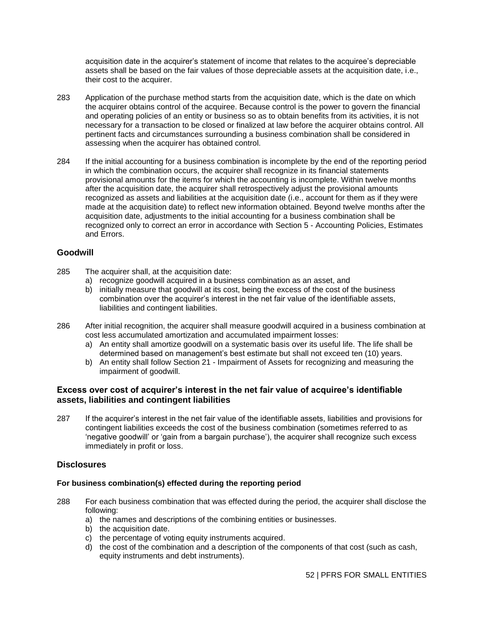acquisition date in the acquirer's statement of income that relates to the acquiree's depreciable assets shall be based on the fair values of those depreciable assets at the acquisition date, i.e., their cost to the acquirer.

- 283 Application of the purchase method starts from the acquisition date, which is the date on which the acquirer obtains control of the acquiree. Because control is the power to govern the financial and operating policies of an entity or business so as to obtain benefits from its activities, it is not necessary for a transaction to be closed or finalized at law before the acquirer obtains control. All pertinent facts and circumstances surrounding a business combination shall be considered in assessing when the acquirer has obtained control.
- 284 If the initial accounting for a business combination is incomplete by the end of the reporting period in which the combination occurs, the acquirer shall recognize in its financial statements provisional amounts for the items for which the accounting is incomplete. Within twelve months after the acquisition date, the acquirer shall retrospectively adjust the provisional amounts recognized as assets and liabilities at the acquisition date (i.e., account for them as if they were made at the acquisition date) to reflect new information obtained. Beyond twelve months after the acquisition date, adjustments to the initial accounting for a business combination shall be recognized only to correct an error in accordance with Section 5 - Accounting Policies, Estimates and Errors.

# **Goodwill**

- 285 The acquirer shall, at the acquisition date:
	- a) recognize goodwill acquired in a business combination as an asset, and
	- b) initially measure that goodwill at its cost, being the excess of the cost of the business combination over the acquirer's interest in the net fair value of the identifiable assets, liabilities and contingent liabilities.
- 286 After initial recognition, the acquirer shall measure goodwill acquired in a business combination at cost less accumulated amortization and accumulated impairment losses:
	- a) An entity shall amortize goodwill on a systematic basis over its useful life. The life shall be determined based on management's best estimate but shall not exceed ten (10) years.
	- b) An entity shall follow Section 21 Impairment of Assets for recognizing and measuring the impairment of goodwill.

# **Excess over cost of acquirer's interest in the net fair value of acquiree's identifiable assets, liabilities and contingent liabilities**

287 If the acquirer's interest in the net fair value of the identifiable assets, liabilities and provisions for contingent liabilities exceeds the cost of the business combination (sometimes referred to as 'negative goodwill' or 'gain from a bargain purchase'), the acquirer shall recognize such excess immediately in profit or loss.

# **Disclosures**

# **For business combination(s) effected during the reporting period**

- 288 For each business combination that was effected during the period, the acquirer shall disclose the following:
	- a) the names and descriptions of the combining entities or businesses.
	- b) the acquisition date.
	- c) the percentage of voting equity instruments acquired.
	- d) the cost of the combination and a description of the components of that cost (such as cash, equity instruments and debt instruments).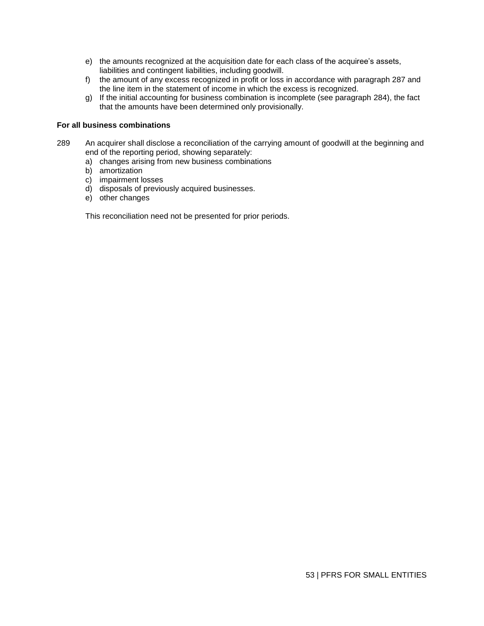- e) the amounts recognized at the acquisition date for each class of the acquiree's assets, liabilities and contingent liabilities, including goodwill.
- f) the amount of any excess recognized in profit or loss in accordance with paragraph 287 and the line item in the statement of income in which the excess is recognized.
- g) If the initial accounting for business combination is incomplete (see paragraph 284), the fact that the amounts have been determined only provisionally.

#### **For all business combinations**

- 289 An acquirer shall disclose a reconciliation of the carrying amount of goodwill at the beginning and end of the reporting period, showing separately:
	- a) changes arising from new business combinations
	- b) amortization
	- c) impairment losses
	- d) disposals of previously acquired businesses.
	- e) other changes

This reconciliation need not be presented for prior periods.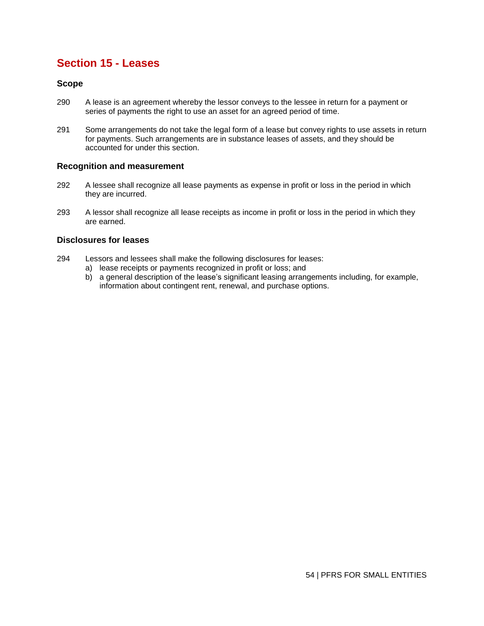# **Section 15 - Leases**

## **Scope**

- 290 A lease is an agreement whereby the lessor conveys to the lessee in return for a payment or series of payments the right to use an asset for an agreed period of time.
- 291 Some arrangements do not take the legal form of a lease but convey rights to use assets in return for payments. Such arrangements are in substance leases of assets, and they should be accounted for under this section.

## **Recognition and measurement**

- 292 A lessee shall recognize all lease payments as expense in profit or loss in the period in which they are incurred.
- 293 A lessor shall recognize all lease receipts as income in profit or loss in the period in which they are earned.

## **Disclosures for leases**

- 294 Lessors and lessees shall make the following disclosures for leases:
	- a) lease receipts or payments recognized in profit or loss; and
	- b) a general description of the lease's significant leasing arrangements including, for example, information about contingent rent, renewal, and purchase options.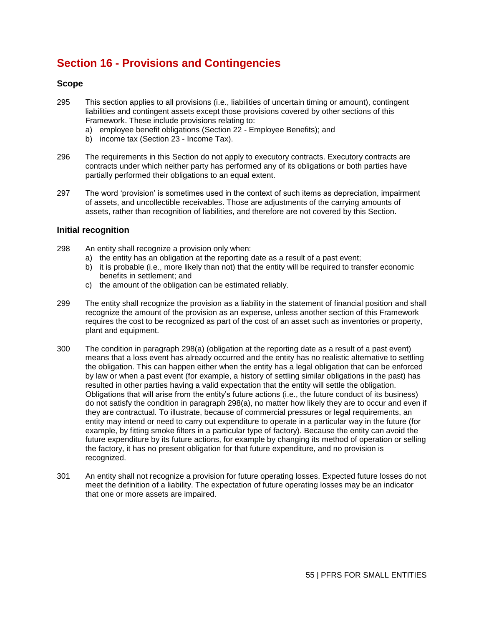# **Section 16 - Provisions and Contingencies**

## **Scope**

- 295 This section applies to all provisions (i.e., liabilities of uncertain timing or amount), contingent liabilities and contingent assets except those provisions covered by other sections of this Framework. These include provisions relating to:
	- a) employee benefit obligations (Section 22 Employee Benefits); and
	- b) income tax (Section 23 Income Tax).
- 296 The requirements in this Section do not apply to executory contracts. Executory contracts are contracts under which neither party has performed any of its obligations or both parties have partially performed their obligations to an equal extent.
- 297 The word 'provision' is sometimes used in the context of such items as depreciation, impairment of assets, and uncollectible receivables. Those are adjustments of the carrying amounts of assets, rather than recognition of liabilities, and therefore are not covered by this Section.

## **Initial recognition**

- <span id="page-54-0"></span>298 An entity shall recognize a provision only when:
	- a) the entity has an obligation at the reporting date as a result of a past event;
	- b) it is probable (i.e., more likely than not) that the entity will be required to transfer economic benefits in settlement; and
	- c) the amount of the obligation can be estimated reliably.
- 299 The entity shall recognize the provision as a liability in the statement of financial position and shall recognize the amount of the provision as an expense, unless another section of this Framework requires the cost to be recognized as part of the cost of an asset such as inventories or property, plant and equipment.
- 300 The condition in paragraph [298\(](#page-54-0)a) (obligation at the reporting date as a result of a past event) means that a loss event has already occurred and the entity has no realistic alternative to settling the obligation. This can happen either when the entity has a legal obligation that can be enforced by law or when a past event (for example, a history of settling similar obligations in the past) has resulted in other parties having a valid expectation that the entity will settle the obligation. Obligations that will arise from the entity's future actions (i.e., the future conduct of its business) do not satisfy the condition in paragraph 298(a), no matter how likely they are to occur and even if they are contractual. To illustrate, because of commercial pressures or legal requirements, an entity may intend or need to carry out expenditure to operate in a particular way in the future (for example, by fitting smoke filters in a particular type of factory). Because the entity can avoid the future expenditure by its future actions, for example by changing its method of operation or selling the factory, it has no present obligation for that future expenditure, and no provision is recognized.
- 301 An entity shall not recognize a provision for future operating losses. Expected future losses do not meet the definition of a liability. The expectation of future operating losses may be an indicator that one or more assets are impaired.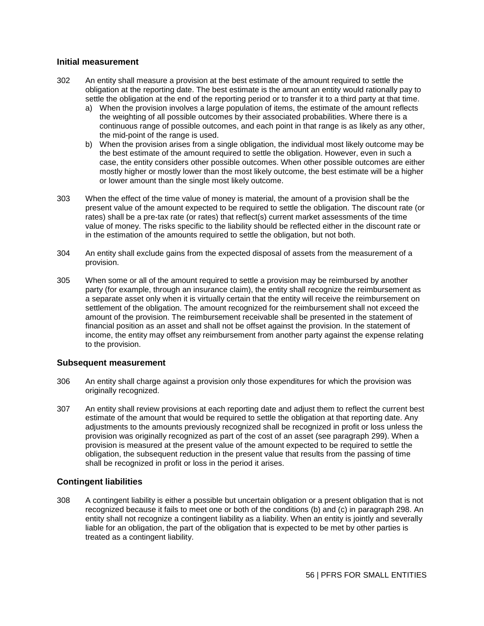## **Initial measurement**

- 302 An entity shall measure a provision at the best estimate of the amount required to settle the obligation at the reporting date. The best estimate is the amount an entity would rationally pay to settle the obligation at the end of the reporting period or to transfer it to a third party at that time.
	- a) When the provision involves a large population of items, the estimate of the amount reflects the weighting of all possible outcomes by their associated probabilities. Where there is a continuous range of possible outcomes, and each point in that range is as likely as any other, the mid-point of the range is used.
	- b) When the provision arises from a single obligation, the individual most likely outcome may be the best estimate of the amount required to settle the obligation. However, even in such a case, the entity considers other possible outcomes. When other possible outcomes are either mostly higher or mostly lower than the most likely outcome, the best estimate will be a higher or lower amount than the single most likely outcome.
- 303 When the effect of the time value of money is material, the amount of a provision shall be the present value of the amount expected to be required to settle the obligation. The discount rate (or rates) shall be a pre-tax rate (or rates) that reflect(s) current market assessments of the time value of money. The risks specific to the liability should be reflected either in the discount rate or in the estimation of the amounts required to settle the obligation, but not both.
- 304 An entity shall exclude gains from the expected disposal of assets from the measurement of a provision.
- 305 When some or all of the amount required to settle a provision may be reimbursed by another party (for example, through an insurance claim), the entity shall recognize the reimbursement as a separate asset only when it is virtually certain that the entity will receive the reimbursement on settlement of the obligation. The amount recognized for the reimbursement shall not exceed the amount of the provision. The reimbursement receivable shall be presented in the statement of financial position as an asset and shall not be offset against the provision. In the statement of income, the entity may offset any reimbursement from another party against the expense relating to the provision.

# **Subsequent measurement**

- 306 An entity shall charge against a provision only those expenditures for which the provision was originally recognized.
- 307 An entity shall review provisions at each reporting date and adjust them to reflect the current best estimate of the amount that would be required to settle the obligation at that reporting date. Any adjustments to the amounts previously recognized shall be recognized in profit or loss unless the provision was originally recognized as part of the cost of an asset (see paragraph 299). When a provision is measured at the present value of the amount expected to be required to settle the obligation, the subsequent reduction in the present value that results from the passing of time shall be recognized in profit or loss in the period it arises.

# **Contingent liabilities**

308 A contingent liability is either a possible but uncertain obligation or a present obligation that is not recognized because it fails to meet one or both of the conditions (b) and (c) in paragraph 298. An entity shall not recognize a contingent liability as a liability. When an entity is jointly and severally liable for an obligation, the part of the obligation that is expected to be met by other parties is treated as a contingent liability.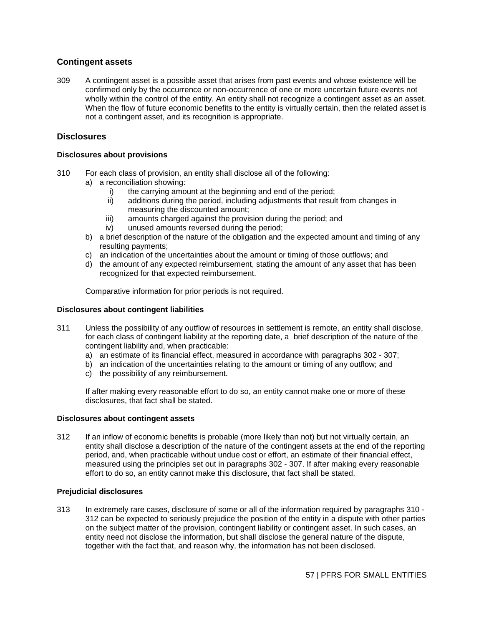# **Contingent assets**

309 A contingent asset is a possible asset that arises from past events and whose existence will be confirmed only by the occurrence or non-occurrence of one or more uncertain future events not wholly within the control of the entity. An entity shall not recognize a contingent asset as an asset. When the flow of future economic benefits to the entity is virtually certain, then the related asset is not a contingent asset, and its recognition is appropriate.

# **Disclosures**

## **Disclosures about provisions**

- 310 For each class of provision, an entity shall disclose all of the following:
	- a) a reconciliation showing:
		- i) the carrying amount at the beginning and end of the period;
		- ii) additions during the period, including adjustments that result from changes in measuring the discounted amount;
		- iii) amounts charged against the provision during the period; and
		- iv) unused amounts reversed during the period;
	- b) a brief description of the nature of the obligation and the expected amount and timing of any resulting payments;
	- c) an indication of the uncertainties about the amount or timing of those outflows; and
	- d) the amount of any expected reimbursement, stating the amount of any asset that has been recognized for that expected reimbursement.

Comparative information for prior periods is not required.

#### **Disclosures about contingent liabilities**

- 311 Unless the possibility of any outflow of resources in settlement is remote, an entity shall disclose, for each class of contingent liability at the reporting date, a brief description of the nature of the contingent liability and, when practicable:
	- a) an estimate of its financial effect, measured in accordance with paragraphs 302 307;
	- b) an indication of the uncertainties relating to the amount or timing of any outflow; and
	- c) the possibility of any reimbursement.

If after making every reasonable effort to do so, an entity cannot make one or more of these disclosures, that fact shall be stated.

#### **Disclosures about contingent assets**

312 If an inflow of economic benefits is probable (more likely than not) but not virtually certain, an entity shall disclose a description of the nature of the contingent assets at the end of the reporting period, and, when practicable without undue cost or effort, an estimate of their financial effect, measured using the principles set out in paragraphs 302 - 307. If after making every reasonable effort to do so, an entity cannot make this disclosure, that fact shall be stated.

#### **Prejudicial disclosures**

313 In extremely rare cases, disclosure of some or all of the information required by paragraphs 310 - 312 can be expected to seriously prejudice the position of the entity in a dispute with other parties on the subject matter of the provision, contingent liability or contingent asset. In such cases, an entity need not disclose the information, but shall disclose the general nature of the dispute, together with the fact that, and reason why, the information has not been disclosed.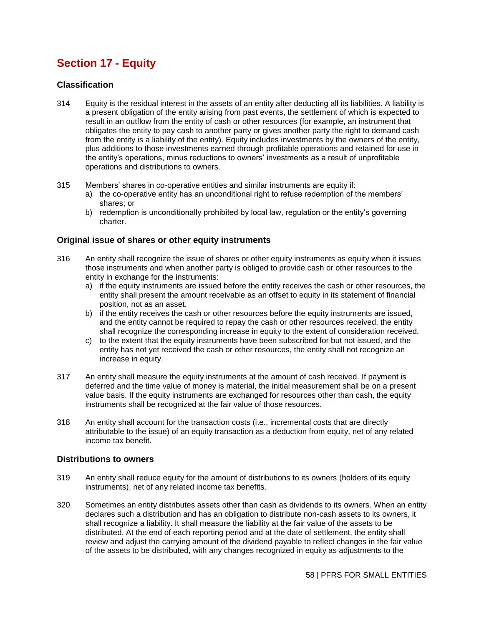# **Section 17 - Equity**

# **Classification**

- 314 Equity is the residual interest in the assets of an entity after deducting all its liabilities. A liability is a present obligation of the entity arising from past events, the settlement of which is expected to result in an outflow from the entity of cash or other resources (for example, an instrument that obligates the entity to pay cash to another party or gives another party the right to demand cash from the entity is a liability of the entity). Equity includes investments by the owners of the entity, plus additions to those investments earned through profitable operations and retained for use in the entity's operations, minus reductions to owners' investments as a result of unprofitable operations and distributions to owners.
- 315 Members' shares in co-operative entities and similar instruments are equity if:
	- a) the co-operative entity has an unconditional right to refuse redemption of the members' shares; or
	- b) redemption is unconditionally prohibited by local law, regulation or the entity's governing charter.

## **Original issue of shares or other equity instruments**

- 316 An entity shall recognize the issue of shares or other equity instruments as equity when it issues those instruments and when another party is obliged to provide cash or other resources to the entity in exchange for the instruments:
	- a) if the equity instruments are issued before the entity receives the cash or other resources, the entity shall present the amount receivable as an offset to equity in its statement of financial position, not as an asset.
	- b) if the entity receives the cash or other resources before the equity instruments are issued, and the entity cannot be required to repay the cash or other resources received, the entity shall recognize the corresponding increase in equity to the extent of consideration received.
	- c) to the extent that the equity instruments have been subscribed for but not issued, and the entity has not yet received the cash or other resources, the entity shall not recognize an increase in equity.
- 317 An entity shall measure the equity instruments at the amount of cash received. If payment is deferred and the time value of money is material, the initial measurement shall be on a present value basis. If the equity instruments are exchanged for resources other than cash, the equity instruments shall be recognized at the fair value of those resources.
- 318 An entity shall account for the transaction costs (i.e., incremental costs that are directly attributable to the issue) of an equity transaction as a deduction from equity, net of any related income tax benefit.

#### **Distributions to owners**

- 319 An entity shall reduce equity for the amount of distributions to its owners (holders of its equity instruments), net of any related income tax benefits.
- 320 Sometimes an entity distributes assets other than cash as dividends to its owners. When an entity declares such a distribution and has an obligation to distribute non-cash assets to its owners, it shall recognize a liability. It shall measure the liability at the fair value of the assets to be distributed. At the end of each reporting period and at the date of settlement, the entity shall review and adjust the carrying amount of the dividend payable to reflect changes in the fair value of the assets to be distributed, with any changes recognized in equity as adjustments to the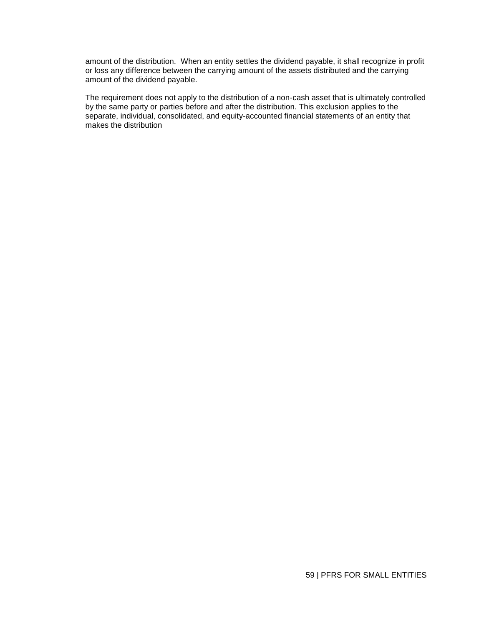amount of the distribution. When an entity settles the dividend payable, it shall recognize in profit or loss any difference between the carrying amount of the assets distributed and the carrying amount of the dividend payable.

The requirement does not apply to the distribution of a non-cash asset that is ultimately controlled by the same party or parties before and after the distribution. This exclusion applies to the separate, individual, consolidated, and equity-accounted financial statements of an entity that makes the distribution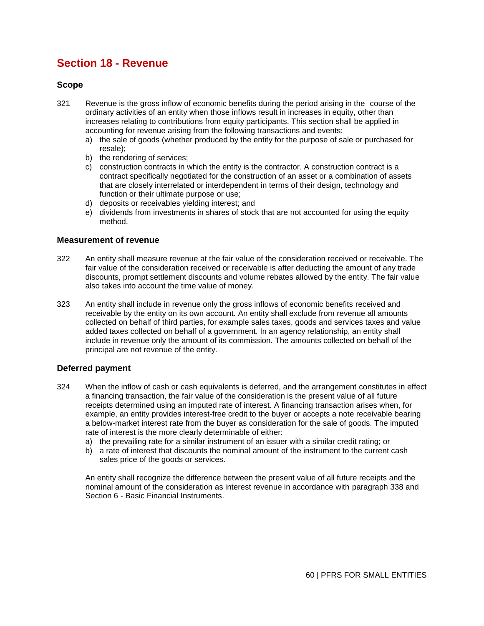# **Section 18 - Revenue**

## **Scope**

- 321 Revenue is the gross inflow of economic benefits during the period arising in the course of the ordinary activities of an entity when those inflows result in increases in equity, other than increases relating to contributions from equity participants. This section shall be applied in accounting for revenue arising from the following transactions and events:
	- a) the sale of goods (whether produced by the entity for the purpose of sale or purchased for resale);
	- b) the rendering of services;
	- c) construction contracts in which the entity is the contractor. A construction contract is a contract specifically negotiated for the construction of an asset or a combination of assets that are closely interrelated or interdependent in terms of their design, technology and function or their ultimate purpose or use;
	- d) deposits or receivables yielding interest; and
	- e) dividends from investments in shares of stock that are not accounted for using the equity method.

## **Measurement of revenue**

- 322 An entity shall measure revenue at the fair value of the consideration received or receivable. The fair value of the consideration received or receivable is after deducting the amount of any trade discounts, prompt settlement discounts and volume rebates allowed by the entity. The fair value also takes into account the time value of money.
- 323 An entity shall include in revenue only the gross inflows of economic benefits received and receivable by the entity on its own account. An entity shall exclude from revenue all amounts collected on behalf of third parties, for example sales taxes, goods and services taxes and value added taxes collected on behalf of a government. In an agency relationship, an entity shall include in revenue only the amount of its commission. The amounts collected on behalf of the principal are not revenue of the entity.

#### **Deferred payment**

- 324 When the inflow of cash or cash equivalents is deferred, and the arrangement constitutes in effect a financing transaction, the fair value of the consideration is the present value of all future receipts determined using an imputed rate of interest. A financing transaction arises when, for example, an entity provides interest-free credit to the buyer or accepts a note receivable bearing a below-market interest rate from the buyer as consideration for the sale of goods. The imputed rate of interest is the more clearly determinable of either:
	- a) the prevailing rate for a similar instrument of an issuer with a similar credit rating; or
	- b) a rate of interest that discounts the nominal amount of the instrument to the current cash sales price of the goods or services.

An entity shall recognize the difference between the present value of all future receipts and the nominal amount of the consideration as interest revenue in accordance with paragraph 338 and Section 6 - Basic Financial Instruments.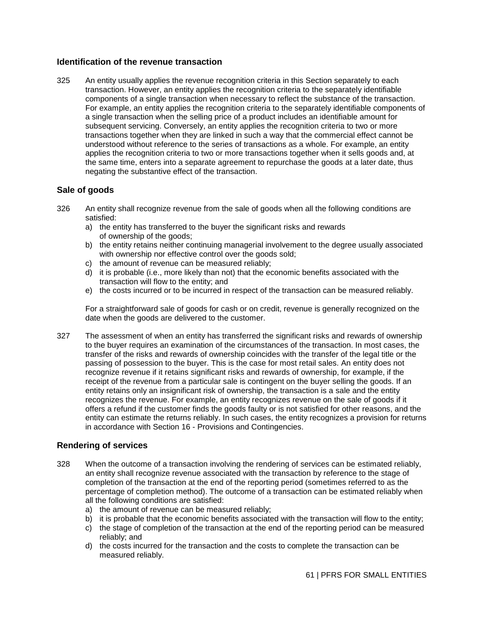# **Identification of the revenue transaction**

325 An entity usually applies the revenue recognition criteria in this Section separately to each transaction. However, an entity applies the recognition criteria to the separately identifiable components of a single transaction when necessary to reflect the substance of the transaction. For example, an entity applies the recognition criteria to the separately identifiable components of a single transaction when the selling price of a product includes an identifiable amount for subsequent servicing. Conversely, an entity applies the recognition criteria to two or more transactions together when they are linked in such a way that the commercial effect cannot be understood without reference to the series of transactions as a whole. For example, an entity applies the recognition criteria to two or more transactions together when it sells goods and, at the same time, enters into a separate agreement to repurchase the goods at a later date, thus negating the substantive effect of the transaction.

# **Sale of goods**

- 326 An entity shall recognize revenue from the sale of goods when all the following conditions are satisfied:
	- a) the entity has transferred to the buyer the significant risks and rewards of ownership of the goods;
	- b) the entity retains neither continuing managerial involvement to the degree usually associated with ownership nor effective control over the goods sold;
	- c) the amount of revenue can be measured reliably;
	- d) it is probable (i.e., more likely than not) that the economic benefits associated with the transaction will flow to the entity; and
	- e) the costs incurred or to be incurred in respect of the transaction can be measured reliably.

For a straightforward sale of goods for cash or on credit, revenue is generally recognized on the date when the goods are delivered to the customer.

327 The assessment of when an entity has transferred the significant risks and rewards of ownership to the buyer requires an examination of the circumstances of the transaction. In most cases, the transfer of the risks and rewards of ownership coincides with the transfer of the legal title or the passing of possession to the buyer. This is the case for most retail sales. An entity does not recognize revenue if it retains significant risks and rewards of ownership, for example, if the receipt of the revenue from a particular sale is contingent on the buyer selling the goods. If an entity retains only an insignificant risk of ownership, the transaction is a sale and the entity recognizes the revenue. For example, an entity recognizes revenue on the sale of goods if it offers a refund if the customer finds the goods faulty or is not satisfied for other reasons, and the entity can estimate the returns reliably. In such cases, the entity recognizes a provision for returns in accordance with Section 16 - Provisions and Contingencies.

# **Rendering of services**

- 328 When the outcome of a transaction involving the rendering of services can be estimated reliably, an entity shall recognize revenue associated with the transaction by reference to the stage of completion of the transaction at the end of the reporting period (sometimes referred to as the percentage of completion method). The outcome of a transaction can be estimated reliably when all the following conditions are satisfied:
	- a) the amount of revenue can be measured reliably;
	- b) it is probable that the economic benefits associated with the transaction will flow to the entity;
	- c) the stage of completion of the transaction at the end of the reporting period can be measured reliably; and
	- d) the costs incurred for the transaction and the costs to complete the transaction can be measured reliably.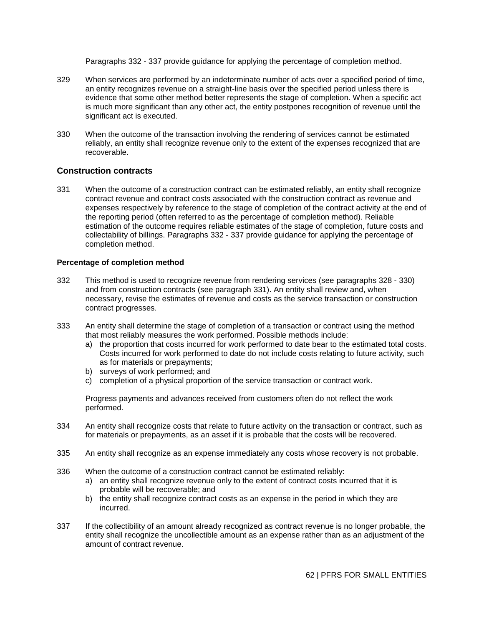Paragraphs 332 - 337 provide guidance for applying the percentage of completion method.

- 329 When services are performed by an indeterminate number of acts over a specified period of time, an entity recognizes revenue on a straight-line basis over the specified period unless there is evidence that some other method better represents the stage of completion. When a specific act is much more significant than any other act, the entity postpones recognition of revenue until the significant act is executed.
- 330 When the outcome of the transaction involving the rendering of services cannot be estimated reliably, an entity shall recognize revenue only to the extent of the expenses recognized that are recoverable.

# **Construction contracts**

331 When the outcome of a construction contract can be estimated reliably, an entity shall recognize contract revenue and contract costs associated with the construction contract as revenue and expenses respectively by reference to the stage of completion of the contract activity at the end of the reporting period (often referred to as the percentage of completion method). Reliable estimation of the outcome requires reliable estimates of the stage of completion, future costs and collectability of billings. Paragraphs 332 - 337 provide guidance for applying the percentage of completion method.

#### **Percentage of completion method**

- 332 This method is used to recognize revenue from rendering services (see paragraphs 328 330) and from construction contracts (see paragraph 331). An entity shall review and, when necessary, revise the estimates of revenue and costs as the service transaction or construction contract progresses.
- 333 An entity shall determine the stage of completion of a transaction or contract using the method that most reliably measures the work performed. Possible methods include:
	- a) the proportion that costs incurred for work performed to date bear to the estimated total costs. Costs incurred for work performed to date do not include costs relating to future activity, such as for materials or prepayments;
	- b) surveys of work performed; and
	- c) completion of a physical proportion of the service transaction or contract work.

Progress payments and advances received from customers often do not reflect the work performed.

- 334 An entity shall recognize costs that relate to future activity on the transaction or contract, such as for materials or prepayments, as an asset if it is probable that the costs will be recovered.
- 335 An entity shall recognize as an expense immediately any costs whose recovery is not probable.
- 336 When the outcome of a construction contract cannot be estimated reliably:
	- a) an entity shall recognize revenue only to the extent of contract costs incurred that it is probable will be recoverable; and
	- b) the entity shall recognize contract costs as an expense in the period in which they are incurred.
- 337 If the collectibility of an amount already recognized as contract revenue is no longer probable, the entity shall recognize the uncollectible amount as an expense rather than as an adjustment of the amount of contract revenue.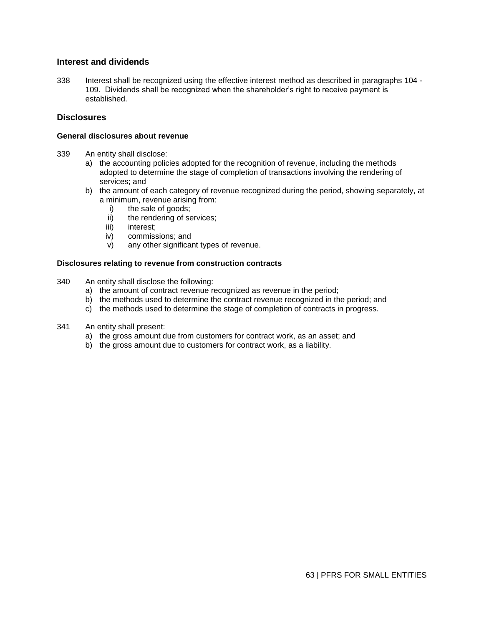# **Interest and dividends**

338 Interest shall be recognized using the effective interest method as described in paragraphs 104 - 109. Dividends shall be recognized when the shareholder's right to receive payment is established.

## **Disclosures**

#### **General disclosures about revenue**

- 339 An entity shall disclose:
	- a) the accounting policies adopted for the recognition of revenue, including the methods adopted to determine the stage of completion of transactions involving the rendering of services; and
	- b) the amount of each category of revenue recognized during the period, showing separately, at a minimum, revenue arising from:
		- i) the sale of goods;<br>ii) the rendering of se
		- ii) the rendering of services;<br>iii) interest;
		- interest;
		- iv) commissions; and
		- v) any other significant types of revenue.

#### **Disclosures relating to revenue from construction contracts**

- 340 An entity shall disclose the following:
	- a) the amount of contract revenue recognized as revenue in the period;
	- b) the methods used to determine the contract revenue recognized in the period; and
	- c) the methods used to determine the stage of completion of contracts in progress.
- 341 An entity shall present:
	- a) the gross amount due from customers for contract work, as an asset; and
	- b) the gross amount due to customers for contract work, as a liability.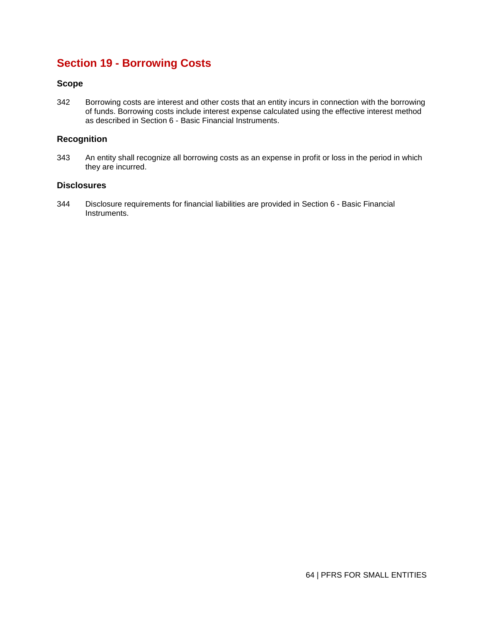# **Section 19 - Borrowing Costs**

# **Scope**

342 Borrowing costs are interest and other costs that an entity incurs in connection with the borrowing of funds. Borrowing costs include interest expense calculated using the effective interest method as described in Section 6 - Basic Financial Instruments.

# **Recognition**

343 An entity shall recognize all borrowing costs as an expense in profit or loss in the period in which they are incurred.

### **Disclosures**

344 Disclosure requirements for financial liabilities are provided in Section 6 - Basic Financial Instruments.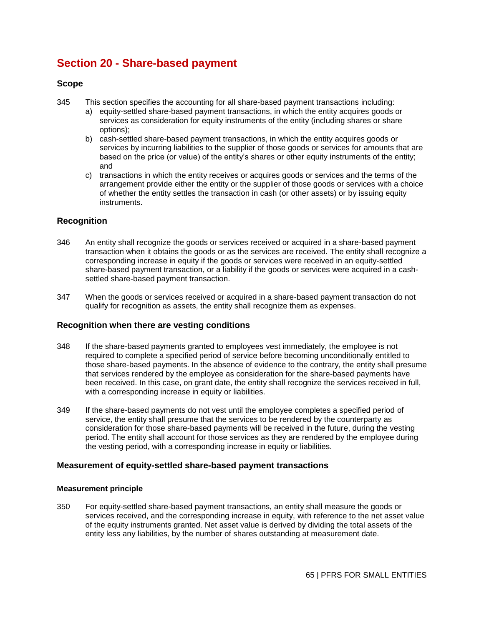# **Section 20 - Share-based payment**

# **Scope**

- 345 This section specifies the accounting for all share-based payment transactions including:
	- a) equity-settled share-based payment transactions, in which the entity acquires goods or services as consideration for equity instruments of the entity (including shares or share options);
	- b) cash-settled share-based payment transactions, in which the entity acquires goods or services by incurring liabilities to the supplier of those goods or services for amounts that are based on the price (or value) of the entity's shares or other equity instruments of the entity; and
	- c) transactions in which the entity receives or acquires goods or services and the terms of the arrangement provide either the entity or the supplier of those goods or services with a choice of whether the entity settles the transaction in cash (or other assets) or by issuing equity instruments.

# **Recognition**

- 346 An entity shall recognize the goods or services received or acquired in a share-based payment transaction when it obtains the goods or as the services are received. The entity shall recognize a corresponding increase in equity if the goods or services were received in an equity-settled share-based payment transaction, or a liability if the goods or services were acquired in a cashsettled share-based payment transaction.
- 347 When the goods or services received or acquired in a share-based payment transaction do not qualify for recognition as assets, the entity shall recognize them as expenses.

#### **Recognition when there are vesting conditions**

- 348 If the share-based payments granted to employees vest immediately, the employee is not required to complete a specified period of service before becoming unconditionally entitled to those share-based payments. In the absence of evidence to the contrary, the entity shall presume that services rendered by the employee as consideration for the share-based payments have been received. In this case, on grant date, the entity shall recognize the services received in full, with a corresponding increase in equity or liabilities.
- 349 If the share-based payments do not vest until the employee completes a specified period of service, the entity shall presume that the services to be rendered by the counterparty as consideration for those share-based payments will be received in the future, during the vesting period. The entity shall account for those services as they are rendered by the employee during the vesting period, with a corresponding increase in equity or liabilities.

# **Measurement of equity-settled share-based payment transactions**

#### **Measurement principle**

350 For equity-settled share-based payment transactions, an entity shall measure the goods or services received, and the corresponding increase in equity, with reference to the net asset value of the equity instruments granted. Net asset value is derived by dividing the total assets of the entity less any liabilities, by the number of shares outstanding at measurement date.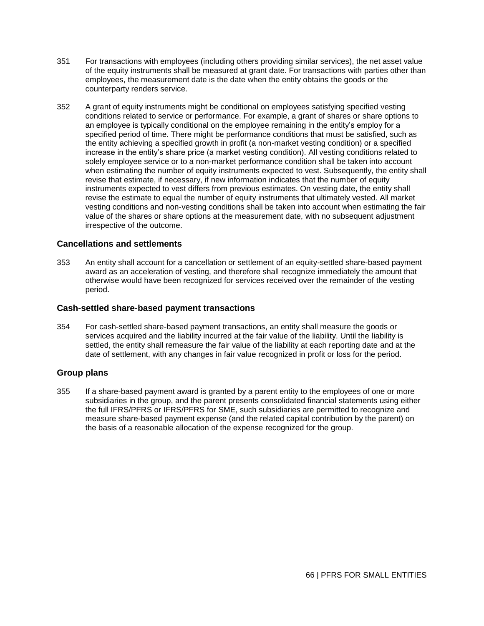- 351 For transactions with employees (including others providing similar services), the net asset value of the equity instruments shall be measured at grant date. For transactions with parties other than employees, the measurement date is the date when the entity obtains the goods or the counterparty renders service.
- 352 A grant of equity instruments might be conditional on employees satisfying specified vesting conditions related to service or performance. For example, a grant of shares or share options to an employee is typically conditional on the employee remaining in the entity's employ for a specified period of time. There might be performance conditions that must be satisfied, such as the entity achieving a specified growth in profit (a non-market vesting condition) or a specified increase in the entity's share price (a market vesting condition). All vesting conditions related to solely employee service or to a non-market performance condition shall be taken into account when estimating the number of equity instruments expected to vest. Subsequently, the entity shall revise that estimate, if necessary, if new information indicates that the number of equity instruments expected to vest differs from previous estimates. On vesting date, the entity shall revise the estimate to equal the number of equity instruments that ultimately vested. All market vesting conditions and non-vesting conditions shall be taken into account when estimating the fair value of the shares or share options at the measurement date, with no subsequent adjustment irrespective of the outcome.

# **Cancellations and settlements**

353 An entity shall account for a cancellation or settlement of an equity-settled share-based payment award as an acceleration of vesting, and therefore shall recognize immediately the amount that otherwise would have been recognized for services received over the remainder of the vesting period.

## **Cash-settled share-based payment transactions**

354 For cash-settled share-based payment transactions, an entity shall measure the goods or services acquired and the liability incurred at the fair value of the liability. Until the liability is settled, the entity shall remeasure the fair value of the liability at each reporting date and at the date of settlement, with any changes in fair value recognized in profit or loss for the period.

### **Group plans**

355 If a share-based payment award is granted by a parent entity to the employees of one or more subsidiaries in the group, and the parent presents consolidated financial statements using either the full IFRS/PFRS or IFRS/PFRS for SME, such subsidiaries are permitted to recognize and measure share-based payment expense (and the related capital contribution by the parent) on the basis of a reasonable allocation of the expense recognized for the group.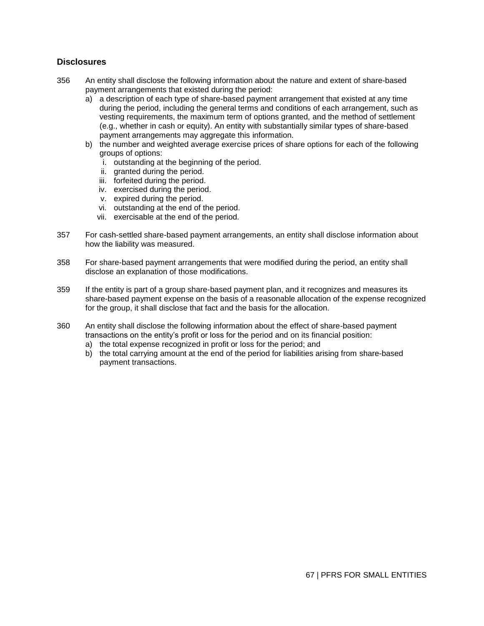# **Disclosures**

- 356 An entity shall disclose the following information about the nature and extent of share-based payment arrangements that existed during the period:
	- a) a description of each type of share-based payment arrangement that existed at any time during the period, including the general terms and conditions of each arrangement, such as vesting requirements, the maximum term of options granted, and the method of settlement (e.g., whether in cash or equity). An entity with substantially similar types of share-based payment arrangements may aggregate this information.
	- b) the number and weighted average exercise prices of share options for each of the following groups of options:
		- i. outstanding at the beginning of the period.
		- ii. granted during the period.
		- iii. forfeited during the period.
		- iv. exercised during the period.
		- v. expired during the period.
		- vi. outstanding at the end of the period.
		- vii. exercisable at the end of the period.
- 357 For cash-settled share-based payment arrangements, an entity shall disclose information about how the liability was measured.
- 358 For share-based payment arrangements that were modified during the period, an entity shall disclose an explanation of those modifications.
- 359 If the entity is part of a group share-based payment plan, and it recognizes and measures its share-based payment expense on the basis of a reasonable allocation of the expense recognized for the group, it shall disclose that fact and the basis for the allocation.
- 360 An entity shall disclose the following information about the effect of share-based payment transactions on the entity's profit or loss for the period and on its financial position:
	- a) the total expense recognized in profit or loss for the period; and
	- b) the total carrying amount at the end of the period for liabilities arising from share-based payment transactions.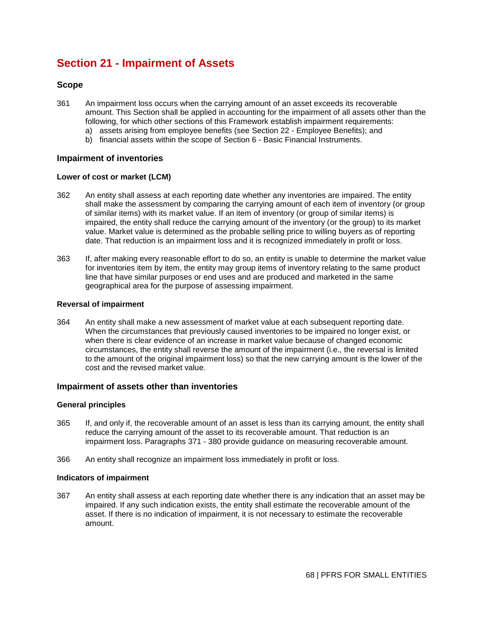# **Section 21 - Impairment of Assets**

## **Scope**

- 361 An impairment loss occurs when the carrying amount of an asset exceeds its recoverable amount. This Section shall be applied in accounting for the impairment of all assets other than the following, for which other sections of this Framework establish impairment requirements:
	- a) assets arising from employee benefits (see Section 22 Employee Benefits); and
	- b) financial assets within the scope of Section 6 Basic Financial Instruments.

#### **Impairment of inventories**

#### **Lower of cost or market (LCM)**

- 362 An entity shall assess at each reporting date whether any inventories are impaired. The entity shall make the assessment by comparing the carrying amount of each item of inventory (or group of similar items) with its market value. If an item of inventory (or group of similar items) is impaired, the entity shall reduce the carrying amount of the inventory (or the group) to its market value. Market value is determined as the probable selling price to willing buyers as of reporting date. That reduction is an impairment loss and it is recognized immediately in profit or loss.
- 363 If, after making every reasonable effort to do so, an entity is unable to determine the market value for inventories item by item, the entity may group items of inventory relating to the same product line that have similar purposes or end uses and are produced and marketed in the same geographical area for the purpose of assessing impairment.

#### **Reversal of impairment**

364 An entity shall make a new assessment of market value at each subsequent reporting date. When the circumstances that previously caused inventories to be impaired no longer exist, or when there is clear evidence of an increase in market value because of changed economic circumstances, the entity shall reverse the amount of the impairment (i.e., the reversal is limited to the amount of the original impairment loss) so that the new carrying amount is the lower of the cost and the revised market value.

#### **Impairment of assets other than inventories**

#### **General principles**

- 365 If, and only if, the recoverable amount of an asset is less than its carrying amount, the entity shall reduce the carrying amount of the asset to its recoverable amount. That reduction is an impairment loss. Paragraphs 371 - 380 provide guidance on measuring recoverable amount.
- 366 An entity shall recognize an impairment loss immediately in profit or loss.

#### **Indicators of impairment**

367 An entity shall assess at each reporting date whether there is any indication that an asset may be impaired. If any such indication exists, the entity shall estimate the recoverable amount of the asset. If there is no indication of impairment, it is not necessary to estimate the recoverable amount.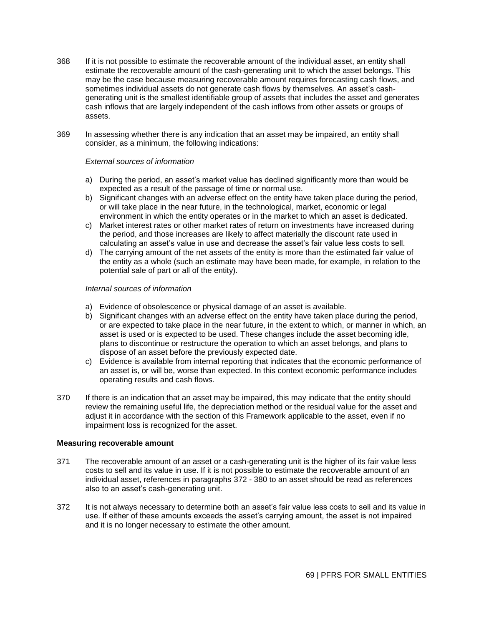- 368 If it is not possible to estimate the recoverable amount of the individual asset, an entity shall estimate the recoverable amount of the cash-generating unit to which the asset belongs. This may be the case because measuring recoverable amount requires forecasting cash flows, and sometimes individual assets do not generate cash flows by themselves. An asset's cashgenerating unit is the smallest identifiable group of assets that includes the asset and generates cash inflows that are largely independent of the cash inflows from other assets or groups of assets.
- 369 In assessing whether there is any indication that an asset may be impaired, an entity shall consider, as a minimum, the following indications:

#### *External sources of information*

- a) During the period, an asset's market value has declined significantly more than would be expected as a result of the passage of time or normal use.
- b) Significant changes with an adverse effect on the entity have taken place during the period, or will take place in the near future, in the technological, market, economic or legal environment in which the entity operates or in the market to which an asset is dedicated.
- c) Market interest rates or other market rates of return on investments have increased during the period, and those increases are likely to affect materially the discount rate used in calculating an asset's value in use and decrease the asset's fair value less costs to sell.
- d) The carrying amount of the net assets of the entity is more than the estimated fair value of the entity as a whole (such an estimate may have been made, for example, in relation to the potential sale of part or all of the entity).

#### *Internal sources of information*

- a) Evidence of obsolescence or physical damage of an asset is available.
- b) Significant changes with an adverse effect on the entity have taken place during the period, or are expected to take place in the near future, in the extent to which, or manner in which, an asset is used or is expected to be used. These changes include the asset becoming idle, plans to discontinue or restructure the operation to which an asset belongs, and plans to dispose of an asset before the previously expected date.
- c) Evidence is available from internal reporting that indicates that the economic performance of an asset is, or will be, worse than expected. In this context economic performance includes operating results and cash flows.
- 370 If there is an indication that an asset may be impaired, this may indicate that the entity should review the remaining useful life, the depreciation method or the residual value for the asset and adjust it in accordance with the section of this Framework applicable to the asset, even if no impairment loss is recognized for the asset.

# **Measuring recoverable amount**

- 371 The recoverable amount of an asset or a cash-generating unit is the higher of its fair value less costs to sell and its value in use. If it is not possible to estimate the recoverable amount of an individual asset, references in paragraphs 372 - 380 to an asset should be read as references also to an asset's cash-generating unit.
- 372 It is not always necessary to determine both an asset's fair value less costs to sell and its value in use. If either of these amounts exceeds the asset's carrying amount, the asset is not impaired and it is no longer necessary to estimate the other amount.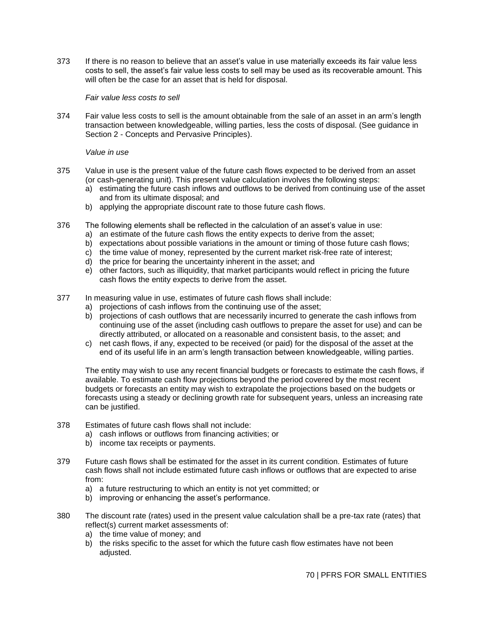373 If there is no reason to believe that an asset's value in use materially exceeds its fair value less costs to sell, the asset's fair value less costs to sell may be used as its recoverable amount. This will often be the case for an asset that is held for disposal.

*Fair value less costs to sell*

374 Fair value less costs to sell is the amount obtainable from the sale of an asset in an arm's length transaction between knowledgeable, willing parties, less the costs of disposal. (See guidance in Section 2 - Concepts and Pervasive Principles).

*Value in use*

- 375 Value in use is the present value of the future cash flows expected to be derived from an asset (or cash-generating unit). This present value calculation involves the following steps:
	- a) estimating the future cash inflows and outflows to be derived from continuing use of the asset and from its ultimate disposal; and
	- b) applying the appropriate discount rate to those future cash flows.
- 376 The following elements shall be reflected in the calculation of an asset's value in use:
	- a) an estimate of the future cash flows the entity expects to derive from the asset;
	- b) expectations about possible variations in the amount or timing of those future cash flows;
	- c) the time value of money, represented by the current market risk-free rate of interest;
	- d) the price for bearing the uncertainty inherent in the asset; and
	- e) other factors, such as illiquidity, that market participants would reflect in pricing the future cash flows the entity expects to derive from the asset.
- 377 In measuring value in use, estimates of future cash flows shall include:
	- a) projections of cash inflows from the continuing use of the asset;
	- b) projections of cash outflows that are necessarily incurred to generate the cash inflows from continuing use of the asset (including cash outflows to prepare the asset for use) and can be directly attributed, or allocated on a reasonable and consistent basis, to the asset; and
	- c) net cash flows, if any, expected to be received (or paid) for the disposal of the asset at the end of its useful life in an arm's length transaction between knowledgeable, willing parties.

The entity may wish to use any recent financial budgets or forecasts to estimate the cash flows, if available. To estimate cash flow projections beyond the period covered by the most recent budgets or forecasts an entity may wish to extrapolate the projections based on the budgets or forecasts using a steady or declining growth rate for subsequent years, unless an increasing rate can be justified.

- 378 Estimates of future cash flows shall not include:
	- a) cash inflows or outflows from financing activities; or
	- b) income tax receipts or payments.
- 379 Future cash flows shall be estimated for the asset in its current condition. Estimates of future cash flows shall not include estimated future cash inflows or outflows that are expected to arise from:
	- a) a future restructuring to which an entity is not yet committed; or
	- b) improving or enhancing the asset's performance.
- 380 The discount rate (rates) used in the present value calculation shall be a pre-tax rate (rates) that reflect(s) current market assessments of:
	- a) the time value of money; and
	- b) the risks specific to the asset for which the future cash flow estimates have not been adjusted.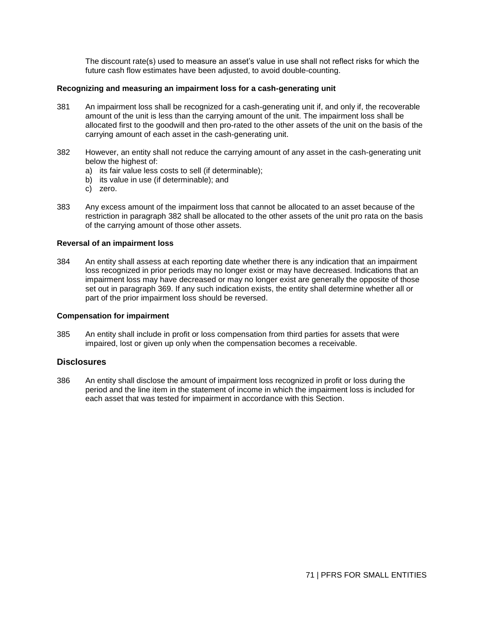The discount rate(s) used to measure an asset's value in use shall not reflect risks for which the future cash flow estimates have been adjusted, to avoid double-counting.

### **Recognizing and measuring an impairment loss for a cash-generating unit**

- 381 An impairment loss shall be recognized for a cash-generating unit if, and only if, the recoverable amount of the unit is less than the carrying amount of the unit. The impairment loss shall be allocated first to the goodwill and then pro-rated to the other assets of the unit on the basis of the carrying amount of each asset in the cash-generating unit.
- 382 However, an entity shall not reduce the carrying amount of any asset in the cash-generating unit below the highest of:
	- a) its fair value less costs to sell (if determinable);
	- b) its value in use (if determinable); and
	- c) zero.
- 383 Any excess amount of the impairment loss that cannot be allocated to an asset because of the restriction in paragraph 382 shall be allocated to the other assets of the unit pro rata on the basis of the carrying amount of those other assets.

#### **Reversal of an impairment loss**

384 An entity shall assess at each reporting date whether there is any indication that an impairment loss recognized in prior periods may no longer exist or may have decreased. Indications that an impairment loss may have decreased or may no longer exist are generally the opposite of those set out in paragraph 369. If any such indication exists, the entity shall determine whether all or part of the prior impairment loss should be reversed.

#### **Compensation for impairment**

385 An entity shall include in profit or loss compensation from third parties for assets that were impaired, lost or given up only when the compensation becomes a receivable.

# **Disclosures**

386 An entity shall disclose the amount of impairment loss recognized in profit or loss during the period and the line item in the statement of income in which the impairment loss is included for each asset that was tested for impairment in accordance with this Section.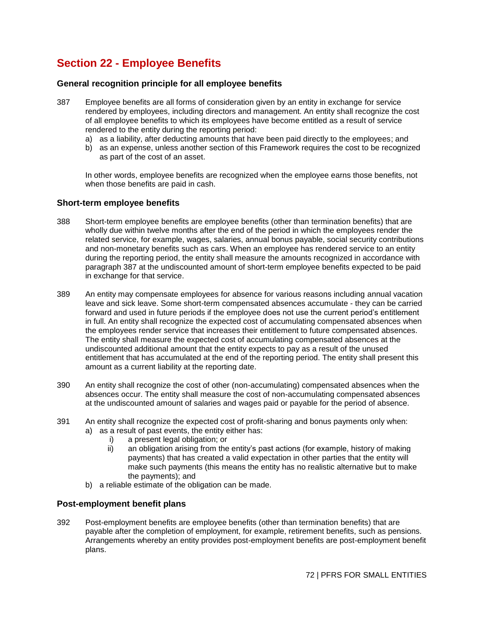# **Section 22 - Employee Benefits**

## **General recognition principle for all employee benefits**

- 387 Employee benefits are all forms of consideration given by an entity in exchange for service rendered by employees, including directors and management. An entity shall recognize the cost of all employee benefits to which its employees have become entitled as a result of service rendered to the entity during the reporting period:
	- a) as a liability, after deducting amounts that have been paid directly to the employees; and
	- b) as an expense, unless another section of this Framework requires the cost to be recognized as part of the cost of an asset.

In other words, employee benefits are recognized when the employee earns those benefits, not when those benefits are paid in cash.

## **Short-term employee benefits**

- 388 Short-term employee benefits are employee benefits (other than termination benefits) that are wholly due within twelve months after the end of the period in which the employees render the related service, for example, wages, salaries, annual bonus payable, social security contributions and non-monetary benefits such as cars. When an employee has rendered service to an entity during the reporting period, the entity shall measure the amounts recognized in accordance with paragraph 387 at the undiscounted amount of short-term employee benefits expected to be paid in exchange for that service.
- 389 An entity may compensate employees for absence for various reasons including annual vacation leave and sick leave. Some short-term compensated absences accumulate - they can be carried forward and used in future periods if the employee does not use the current period's entitlement in full. An entity shall recognize the expected cost of accumulating compensated absences when the employees render service that increases their entitlement to future compensated absences. The entity shall measure the expected cost of accumulating compensated absences at the undiscounted additional amount that the entity expects to pay as a result of the unused entitlement that has accumulated at the end of the reporting period. The entity shall present this amount as a current liability at the reporting date.
- 390 An entity shall recognize the cost of other (non-accumulating) compensated absences when the absences occur. The entity shall measure the cost of non-accumulating compensated absences at the undiscounted amount of salaries and wages paid or payable for the period of absence.
- 391 An entity shall recognize the expected cost of profit-sharing and bonus payments only when: a) as a result of past events, the entity either has:
	- i) a present legal obligation; or
		- ii) an obligation arising from the entity's past actions (for example, history of making payments) that has created a valid expectation in other parties that the entity will make such payments (this means the entity has no realistic alternative but to make the payments); and
	- b) a reliable estimate of the obligation can be made.

#### **Post-employment benefit plans**

392 Post-employment benefits are employee benefits (other than termination benefits) that are payable after the completion of employment, for example, retirement benefits, such as pensions. Arrangements whereby an entity provides post-employment benefits are post-employment benefit plans.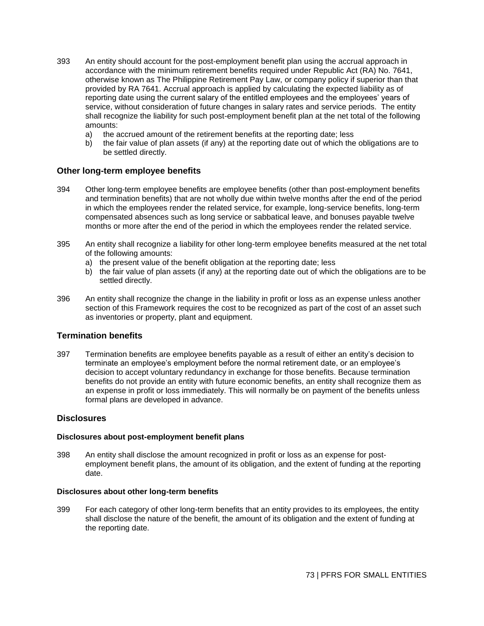- 393 An entity should account for the post-employment benefit plan using the accrual approach in accordance with the minimum retirement benefits required under Republic Act (RA) No. 7641, otherwise known as The Philippine Retirement Pay Law, or company policy if superior than that provided by RA 7641. Accrual approach is applied by calculating the expected liability as of reporting date using the current salary of the entitled employees and the employees' years of service, without consideration of future changes in salary rates and service periods. The entity shall recognize the liability for such post-employment benefit plan at the net total of the following amounts:
	- a) the accrued amount of the retirement benefits at the reporting date; less
	- b) the fair value of plan assets (if any) at the reporting date out of which the obligations are to be settled directly.

#### **Other long-term employee benefits**

- 394 Other long-term employee benefits are employee benefits (other than post-employment benefits and termination benefits) that are not wholly due within twelve months after the end of the period in which the employees render the related service, for example, long-service benefits, long-term compensated absences such as long service or sabbatical leave, and bonuses payable twelve months or more after the end of the period in which the employees render the related service.
- 395 An entity shall recognize a liability for other long-term employee benefits measured at the net total of the following amounts:
	- a) the present value of the benefit obligation at the reporting date; less
	- b) the fair value of plan assets (if any) at the reporting date out of which the obligations are to be settled directly.
- 396 An entity shall recognize the change in the liability in profit or loss as an expense unless another section of this Framework requires the cost to be recognized as part of the cost of an asset such as inventories or property, plant and equipment.

### **Termination benefits**

397 Termination benefits are employee benefits payable as a result of either an entity's decision to terminate an employee's employment before the normal retirement date, or an employee's decision to accept voluntary redundancy in exchange for those benefits. Because termination benefits do not provide an entity with future economic benefits, an entity shall recognize them as an expense in profit or loss immediately. This will normally be on payment of the benefits unless formal plans are developed in advance.

#### **Disclosures**

#### **Disclosures about post-employment benefit plans**

398 An entity shall disclose the amount recognized in profit or loss as an expense for postemployment benefit plans, the amount of its obligation, and the extent of funding at the reporting date.

#### **Disclosures about other long-term benefits**

399 For each category of other long-term benefits that an entity provides to its employees, the entity shall disclose the nature of the benefit, the amount of its obligation and the extent of funding at the reporting date.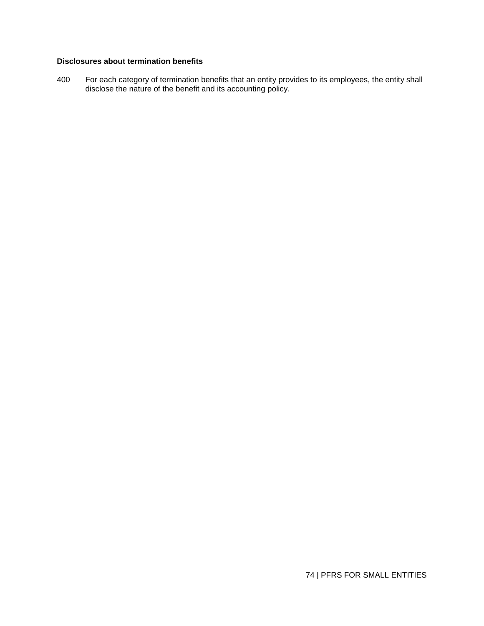## **Disclosures about termination benefits**

400 For each category of termination benefits that an entity provides to its employees, the entity shall disclose the nature of the benefit and its accounting policy.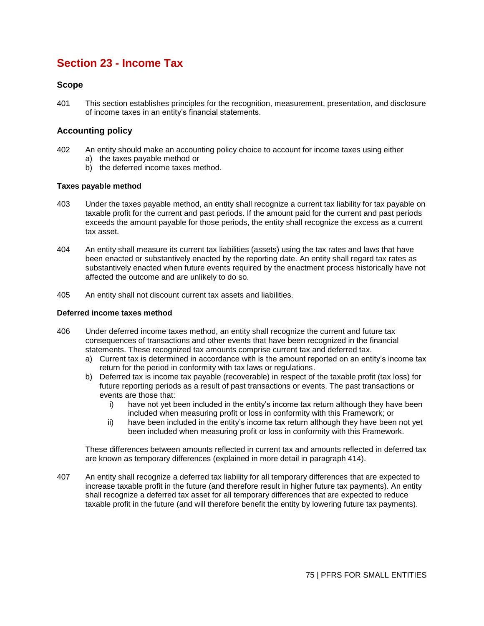## **Section 23 - Income Tax**

#### **Scope**

401 This section establishes principles for the recognition, measurement, presentation, and disclosure of income taxes in an entity's financial statements.

#### **Accounting policy**

- 402 An entity should make an accounting policy choice to account for income taxes using either
	- a) the taxes payable method or
	- b) the deferred income taxes method.

#### **Taxes payable method**

- 403 Under the taxes payable method, an entity shall recognize a current tax liability for tax payable on taxable profit for the current and past periods. If the amount paid for the current and past periods exceeds the amount payable for those periods, the entity shall recognize the excess as a current tax asset.
- 404 An entity shall measure its current tax liabilities (assets) using the tax rates and laws that have been enacted or substantively enacted by the reporting date. An entity shall regard tax rates as substantively enacted when future events required by the enactment process historically have not affected the outcome and are unlikely to do so.
- 405 An entity shall not discount current tax assets and liabilities.

#### **Deferred income taxes method**

- 406 Under deferred income taxes method, an entity shall recognize the current and future tax consequences of transactions and other events that have been recognized in the financial statements. These recognized tax amounts comprise current tax and deferred tax.
	- a) Current tax is determined in accordance with is the amount reported on an entity's income tax return for the period in conformity with tax laws or regulations.
	- b) Deferred tax is income tax payable (recoverable) in respect of the taxable profit (tax loss) for future reporting periods as a result of past transactions or events. The past transactions or events are those that:
		- i) have not yet been included in the entity's income tax return although they have been included when measuring profit or loss in conformity with this Framework; or
		- ii) have been included in the entity's income tax return although they have been not yet been included when measuring profit or loss in conformity with this Framework.

These differences between amounts reflected in current tax and amounts reflected in deferred tax are known as temporary differences (explained in more detail in paragraph 414).

407 An entity shall recognize a deferred tax liability for all temporary differences that are expected to increase taxable profit in the future (and therefore result in higher future tax payments). An entity shall recognize a deferred tax asset for all temporary differences that are expected to reduce taxable profit in the future (and will therefore benefit the entity by lowering future tax payments).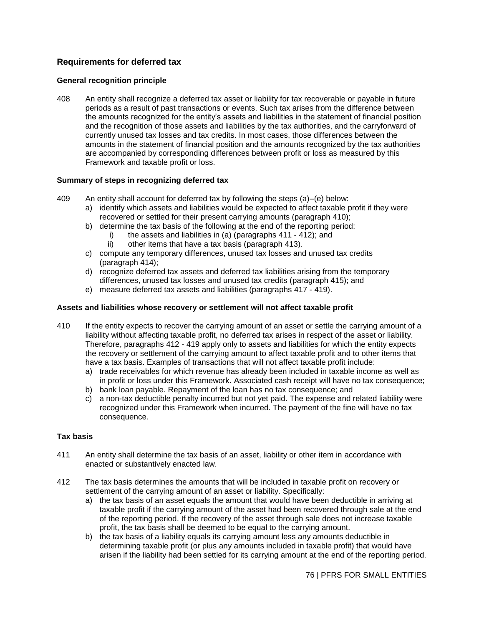## **Requirements for deferred tax**

#### **General recognition principle**

408 An entity shall recognize a deferred tax asset or liability for tax recoverable or payable in future periods as a result of past transactions or events. Such tax arises from the difference between the amounts recognized for the entity's assets and liabilities in the statement of financial position and the recognition of those assets and liabilities by the tax authorities, and the carryforward of currently unused tax losses and tax credits. In most cases, those differences between the amounts in the statement of financial position and the amounts recognized by the tax authorities are accompanied by corresponding differences between profit or loss as measured by this Framework and taxable profit or loss.

#### **Summary of steps in recognizing deferred tax**

- 409 An entity shall account for deferred tax by following the steps (a)–(e) below:
	- a) identify which assets and liabilities would be expected to affect taxable profit if they were recovered or settled for their present carrying amounts (paragraph 410);
	- b) determine the tax basis of the following at the end of the reporting period:
		- i) the assets and liabilities in (a) (paragraphs 411 412); and
		- ii) other items that have a tax basis (paragraph 413).
	- c) compute any temporary differences, unused tax losses and unused tax credits (paragraph 414);
	- d) recognize deferred tax assets and deferred tax liabilities arising from the temporary differences, unused tax losses and unused tax credits (paragraph 415); and
	- e) measure deferred tax assets and liabilities (paragraphs 417 419).

#### **Assets and liabilities whose recovery or settlement will not affect taxable profit**

- 410 If the entity expects to recover the carrying amount of an asset or settle the carrying amount of a liability without affecting taxable profit, no deferred tax arises in respect of the asset or liability. Therefore, paragraphs 412 - 419 apply only to assets and liabilities for which the entity expects the recovery or settlement of the carrying amount to affect taxable profit and to other items that have a tax basis. Examples of transactions that will not affect taxable profit include:
	- a) trade receivables for which revenue has already been included in taxable income as well as in profit or loss under this Framework. Associated cash receipt will have no tax consequence;
	- b) bank loan payable. Repayment of the loan has no tax consequence; and
	- c) a non-tax deductible penalty incurred but not yet paid. The expense and related liability were recognized under this Framework when incurred. The payment of the fine will have no tax consequence.

#### **Tax basis**

- 411 An entity shall determine the tax basis of an asset, liability or other item in accordance with enacted or substantively enacted law.
- 412 The tax basis determines the amounts that will be included in taxable profit on recovery or settlement of the carrying amount of an asset or liability. Specifically:
	- a) the tax basis of an asset equals the amount that would have been deductible in arriving at taxable profit if the carrying amount of the asset had been recovered through sale at the end of the reporting period. If the recovery of the asset through sale does not increase taxable profit, the tax basis shall be deemed to be equal to the carrying amount.
	- b) the tax basis of a liability equals its carrying amount less any amounts deductible in determining taxable profit (or plus any amounts included in taxable profit) that would have arisen if the liability had been settled for its carrying amount at the end of the reporting period.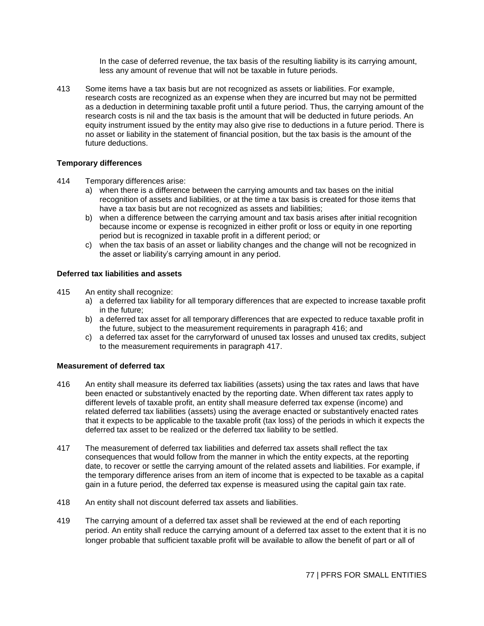In the case of deferred revenue, the tax basis of the resulting liability is its carrying amount, less any amount of revenue that will not be taxable in future periods.

413 Some items have a tax basis but are not recognized as assets or liabilities. For example, research costs are recognized as an expense when they are incurred but may not be permitted as a deduction in determining taxable profit until a future period. Thus, the carrying amount of the research costs is nil and the tax basis is the amount that will be deducted in future periods. An equity instrument issued by the entity may also give rise to deductions in a future period. There is no asset or liability in the statement of financial position, but the tax basis is the amount of the future deductions.

#### **Temporary differences**

- 414 Temporary differences arise:
	- a) when there is a difference between the carrying amounts and tax bases on the initial recognition of assets and liabilities, or at the time a tax basis is created for those items that have a tax basis but are not recognized as assets and liabilities;
	- b) when a difference between the carrying amount and tax basis arises after initial recognition because income or expense is recognized in either profit or loss or equity in one reporting period but is recognized in taxable profit in a different period; or
	- c) when the tax basis of an asset or liability changes and the change will not be recognized in the asset or liability's carrying amount in any period.

#### **Deferred tax liabilities and assets**

- 415 An entity shall recognize:
	- a) a deferred tax liability for all temporary differences that are expected to increase taxable profit in the future;
	- b) a deferred tax asset for all temporary differences that are expected to reduce taxable profit in the future, subject to the measurement requirements in paragraph 416; and
	- c) a deferred tax asset for the carryforward of unused tax losses and unused tax credits, subject to the measurement requirements in paragraph 417.

#### **Measurement of deferred tax**

- 416 An entity shall measure its deferred tax liabilities (assets) using the tax rates and laws that have been enacted or substantively enacted by the reporting date. When different tax rates apply to different levels of taxable profit, an entity shall measure deferred tax expense (income) and related deferred tax liabilities (assets) using the average enacted or substantively enacted rates that it expects to be applicable to the taxable profit (tax loss) of the periods in which it expects the deferred tax asset to be realized or the deferred tax liability to be settled.
- 417 The measurement of deferred tax liabilities and deferred tax assets shall reflect the tax consequences that would follow from the manner in which the entity expects, at the reporting date, to recover or settle the carrying amount of the related assets and liabilities. For example, if the temporary difference arises from an item of income that is expected to be taxable as a capital gain in a future period, the deferred tax expense is measured using the capital gain tax rate.
- 418 An entity shall not discount deferred tax assets and liabilities.
- 419 The carrying amount of a deferred tax asset shall be reviewed at the end of each reporting period. An entity shall reduce the carrying amount of a deferred tax asset to the extent that it is no longer probable that sufficient taxable profit will be available to allow the benefit of part or all of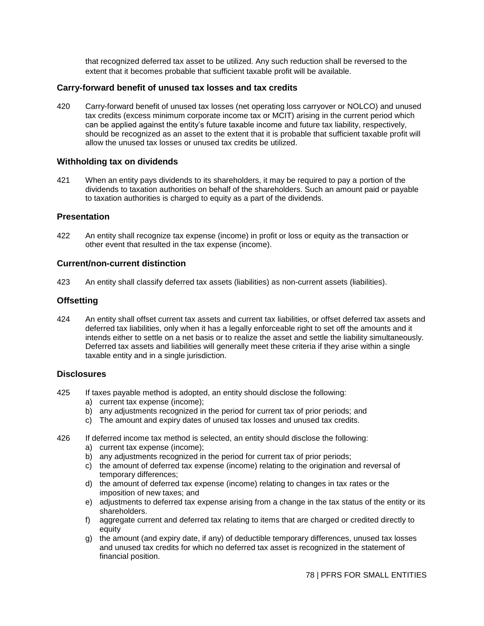that recognized deferred tax asset to be utilized. Any such reduction shall be reversed to the extent that it becomes probable that sufficient taxable profit will be available.

## **Carry-forward benefit of unused tax losses and tax credits**

420 Carry-forward benefit of unused tax losses (net operating loss carryover or NOLCO) and unused tax credits (excess minimum corporate income tax or MCIT) arising in the current period which can be applied against the entity's future taxable income and future tax liability, respectively, should be recognized as an asset to the extent that it is probable that sufficient taxable profit will allow the unused tax losses or unused tax credits be utilized.

### **Withholding tax on dividends**

421 When an entity pays dividends to its shareholders, it may be required to pay a portion of the dividends to taxation authorities on behalf of the shareholders. Such an amount paid or payable to taxation authorities is charged to equity as a part of the dividends.

#### **Presentation**

422 An entity shall recognize tax expense (income) in profit or loss or equity as the transaction or other event that resulted in the tax expense (income).

#### **Current/non-current distinction**

423 An entity shall classify deferred tax assets (liabilities) as non-current assets (liabilities).

#### **Offsetting**

424 An entity shall offset current tax assets and current tax liabilities, or offset deferred tax assets and deferred tax liabilities, only when it has a legally enforceable right to set off the amounts and it intends either to settle on a net basis or to realize the asset and settle the liability simultaneously. Deferred tax assets and liabilities will generally meet these criteria if they arise within a single taxable entity and in a single jurisdiction.

#### **Disclosures**

- 425 If taxes payable method is adopted, an entity should disclose the following:
	- a) current tax expense (income);
	- b) any adjustments recognized in the period for current tax of prior periods; and
	- c) The amount and expiry dates of unused tax losses and unused tax credits.
- 426 If deferred income tax method is selected, an entity should disclose the following:
	- a) current tax expense (income);
	- b) any adjustments recognized in the period for current tax of prior periods;
	- c) the amount of deferred tax expense (income) relating to the origination and reversal of temporary differences;
	- d) the amount of deferred tax expense (income) relating to changes in tax rates or the imposition of new taxes; and
	- e) adjustments to deferred tax expense arising from a change in the tax status of the entity or its shareholders.
	- f) aggregate current and deferred tax relating to items that are charged or credited directly to equity
	- g) the amount (and expiry date, if any) of deductible temporary differences, unused tax losses and unused tax credits for which no deferred tax asset is recognized in the statement of financial position.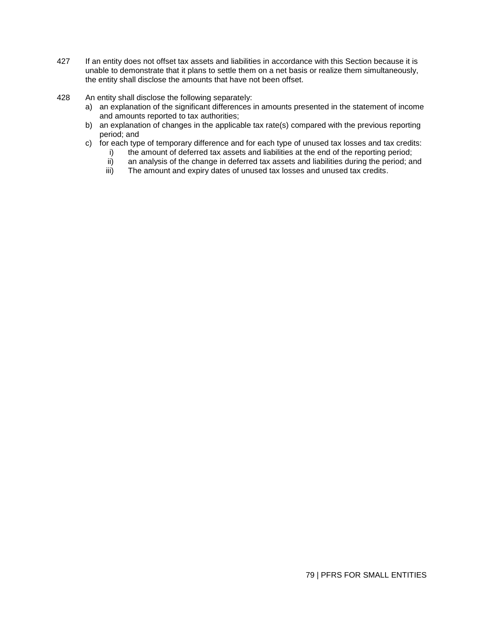- 427 If an entity does not offset tax assets and liabilities in accordance with this Section because it is unable to demonstrate that it plans to settle them on a net basis or realize them simultaneously, the entity shall disclose the amounts that have not been offset.
- 428 An entity shall disclose the following separately:
	- a) an explanation of the significant differences in amounts presented in the statement of income and amounts reported to tax authorities;
	- b) an explanation of changes in the applicable tax rate(s) compared with the previous reporting period; and
	- c) for each type of temporary difference and for each type of unused tax losses and tax credits:
		- i) the amount of deferred tax assets and liabilities at the end of the reporting period;<br>ii) an analysis of the change in deferred tax assets and liabilities during the period; are
		- ii) an analysis of the change in deferred tax assets and liabilities during the period; and<br>iii) The amount and expiry dates of unused tax losses and unused tax credits.
		- The amount and expiry dates of unused tax losses and unused tax credits.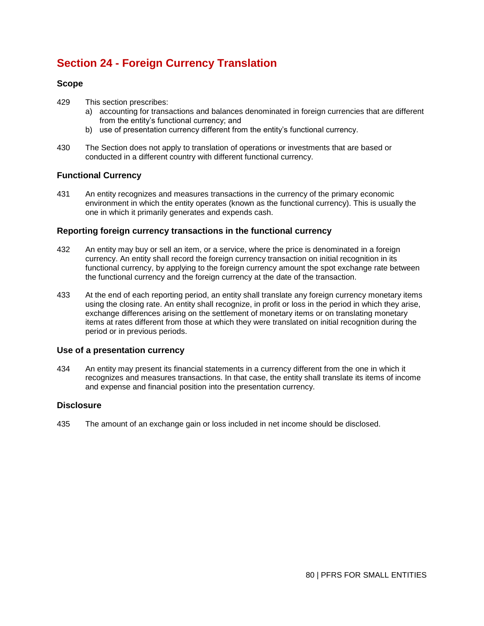## **Section 24 - Foreign Currency Translation**

## **Scope**

- 429 This section prescribes:
	- a) accounting for transactions and balances denominated in foreign currencies that are different from the entity's functional currency; and
	- b) use of presentation currency different from the entity's functional currency.
- 430 The Section does not apply to translation of operations or investments that are based or conducted in a different country with different functional currency.

## **Functional Currency**

431 An entity recognizes and measures transactions in the currency of the primary economic environment in which the entity operates (known as the functional currency). This is usually the one in which it primarily generates and expends cash.

### **Reporting foreign currency transactions in the functional currency**

- 432 An entity may buy or sell an item, or a service, where the price is denominated in a foreign currency. An entity shall record the foreign currency transaction on initial recognition in its functional currency, by applying to the foreign currency amount the spot exchange rate between the functional currency and the foreign currency at the date of the transaction.
- 433 At the end of each reporting period, an entity shall translate any foreign currency monetary items using the closing rate. An entity shall recognize, in profit or loss in the period in which they arise, exchange differences arising on the settlement of monetary items or on translating monetary items at rates different from those at which they were translated on initial recognition during the period or in previous periods.

### **Use of a presentation currency**

434 An entity may present its financial statements in a currency different from the one in which it recognizes and measures transactions. In that case, the entity shall translate its items of income and expense and financial position into the presentation currency.

### **Disclosure**

435 The amount of an exchange gain or loss included in net income should be disclosed.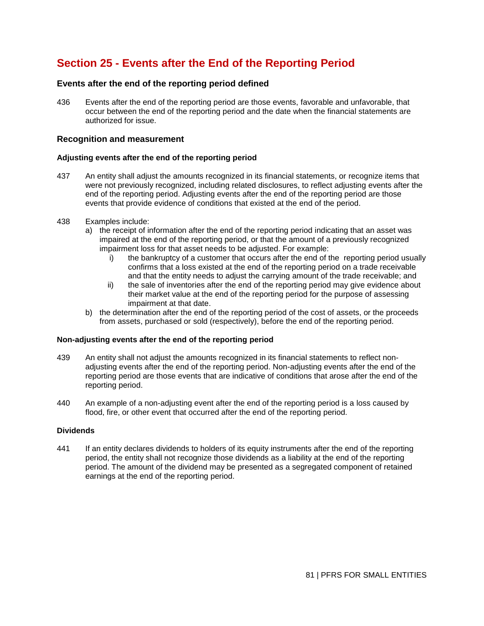## **Section 25 - Events after the End of the Reporting Period**

### **Events after the end of the reporting period defined**

436 Events after the end of the reporting period are those events, favorable and unfavorable, that occur between the end of the reporting period and the date when the financial statements are authorized for issue.

## **Recognition and measurement**

#### **Adjusting events after the end of the reporting period**

- 437 An entity shall adjust the amounts recognized in its financial statements, or recognize items that were not previously recognized, including related disclosures, to reflect adjusting events after the end of the reporting period. Adjusting events after the end of the reporting period are those events that provide evidence of conditions that existed at the end of the period.
- 438 Examples include:
	- a) the receipt of information after the end of the reporting period indicating that an asset was impaired at the end of the reporting period, or that the amount of a previously recognized impairment loss for that asset needs to be adjusted. For example:
		- i) the bankruptcy of a customer that occurs after the end of the reporting period usually confirms that a loss existed at the end of the reporting period on a trade receivable and that the entity needs to adjust the carrying amount of the trade receivable; and
		- ii) the sale of inventories after the end of the reporting period may give evidence about their market value at the end of the reporting period for the purpose of assessing impairment at that date.
	- b) the determination after the end of the reporting period of the cost of assets, or the proceeds from assets, purchased or sold (respectively), before the end of the reporting period.

#### **Non-adjusting events after the end of the reporting period**

- 439 An entity shall not adjust the amounts recognized in its financial statements to reflect nonadjusting events after the end of the reporting period. Non-adjusting events after the end of the reporting period are those events that are indicative of conditions that arose after the end of the reporting period.
- 440 An example of a non-adjusting event after the end of the reporting period is a loss caused by flood, fire, or other event that occurred after the end of the reporting period.

#### **Dividends**

441 If an entity declares dividends to holders of its equity instruments after the end of the reporting period, the entity shall not recognize those dividends as a liability at the end of the reporting period. The amount of the dividend may be presented as a segregated component of retained earnings at the end of the reporting period.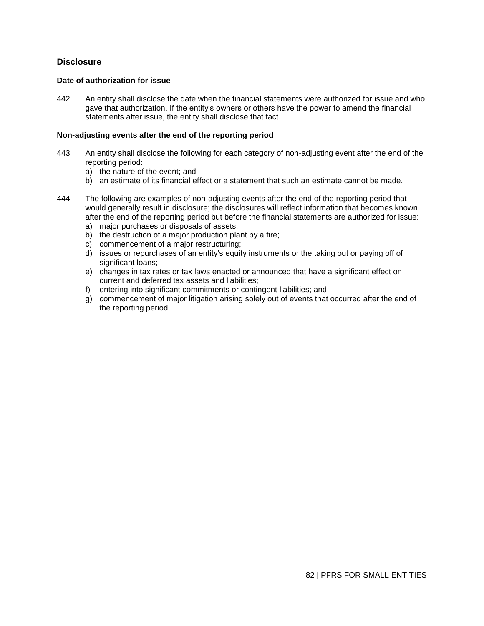### **Disclosure**

#### **Date of authorization for issue**

442 An entity shall disclose the date when the financial statements were authorized for issue and who gave that authorization. If the entity's owners or others have the power to amend the financial statements after issue, the entity shall disclose that fact.

#### **Non-adjusting events after the end of the reporting period**

- 443 An entity shall disclose the following for each category of non-adjusting event after the end of the reporting period:
	- a) the nature of the event; and
	- b) an estimate of its financial effect or a statement that such an estimate cannot be made.
- 444 The following are examples of non-adjusting events after the end of the reporting period that would generally result in disclosure; the disclosures will reflect information that becomes known after the end of the reporting period but before the financial statements are authorized for issue:
	- a) major purchases or disposals of assets;
	- b) the destruction of a major production plant by a fire;
	- c) commencement of a major restructuring;
	- d) issues or repurchases of an entity's equity instruments or the taking out or paying off of significant loans;
	- e) changes in tax rates or tax laws enacted or announced that have a significant effect on current and deferred tax assets and liabilities;
	- f) entering into significant commitments or contingent liabilities; and
	- g) commencement of major litigation arising solely out of events that occurred after the end of the reporting period.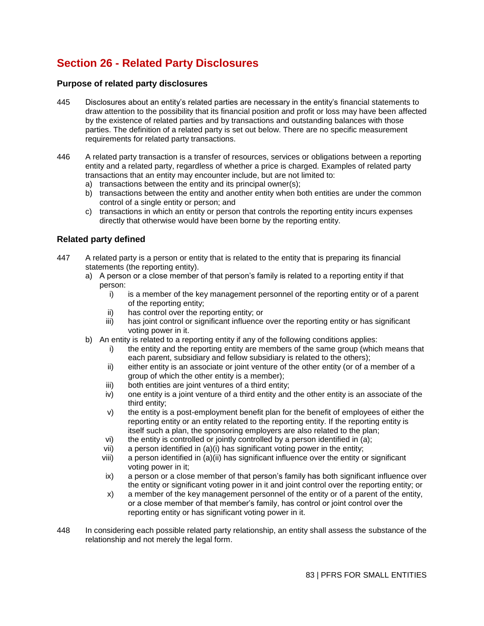## **Section 26 - Related Party Disclosures**

### **Purpose of related party disclosures**

- 445 Disclosures about an entity's related parties are necessary in the entity's financial statements to draw attention to the possibility that its financial position and profit or loss may have been affected by the existence of related parties and by transactions and outstanding balances with those parties. The definition of a related party is set out below. There are no specific measurement requirements for related party transactions.
- 446 A related party transaction is a transfer of resources, services or obligations between a reporting entity and a related party, regardless of whether a price is charged. Examples of related party transactions that an entity may encounter include, but are not limited to:
	- a) transactions between the entity and its principal owner(s);
	- b) transactions between the entity and another entity when both entities are under the common control of a single entity or person; and
	- c) transactions in which an entity or person that controls the reporting entity incurs expenses directly that otherwise would have been borne by the reporting entity.

## **Related party defined**

- 447 A related party is a person or entity that is related to the entity that is preparing its financial statements (the reporting entity).
	- a) A person or a close member of that person's family is related to a reporting entity if that person:
		- i) is a member of the key management personnel of the reporting entity or of a parent of the reporting entity;
		- ii) has control over the reporting entity; or
		- iii) has joint control or significant influence over the reporting entity or has significant voting power in it.
	- b) An entity is related to a reporting entity if any of the following conditions applies:
		- i) the entity and the reporting entity are members of the same group (which means that each parent, subsidiary and fellow subsidiary is related to the others);
		- ii) either entity is an associate or joint venture of the other entity (or of a member of a group of which the other entity is a member);
		- iii) both entities are joint ventures of a third entity;
		- iv) one entity is a joint venture of a third entity and the other entity is an associate of the third entity;
		- v) the entity is a post-employment benefit plan for the benefit of employees of either the reporting entity or an entity related to the reporting entity. If the reporting entity is itself such a plan, the sponsoring employers are also related to the plan;
		- vi) the entity is controlled or jointly controlled by a person identified in (a);
		- vii) a person identified in (a)(i) has significant voting power in the entity;
		- viii) a person identified in (a)(ii) has significant influence over the entity or significant voting power in it;
		- ix) a person or a close member of that person's family has both significant influence over the entity or significant voting power in it and joint control over the reporting entity; or
		- x) a member of the key management personnel of the entity or of a parent of the entity, or a close member of that member's family, has control or joint control over the reporting entity or has significant voting power in it.
- 448 In considering each possible related party relationship, an entity shall assess the substance of the relationship and not merely the legal form.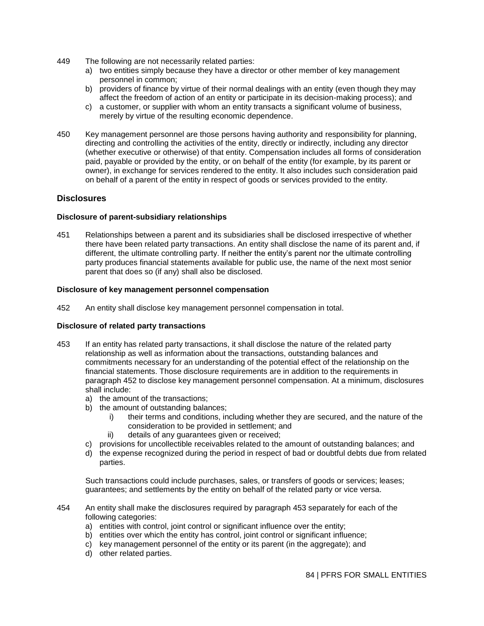- 449 The following are not necessarily related parties:
	- a) two entities simply because they have a director or other member of key management personnel in common;
	- b) providers of finance by virtue of their normal dealings with an entity (even though they may affect the freedom of action of an entity or participate in its decision-making process); and
	- c) a customer, or supplier with whom an entity transacts a significant volume of business, merely by virtue of the resulting economic dependence.
- 450 Key management personnel are those persons having authority and responsibility for planning, directing and controlling the activities of the entity, directly or indirectly, including any director (whether executive or otherwise) of that entity. Compensation includes all forms of consideration paid, payable or provided by the entity, or on behalf of the entity (for example, by its parent or owner), in exchange for services rendered to the entity. It also includes such consideration paid on behalf of a parent of the entity in respect of goods or services provided to the entity.

#### **Disclosures**

#### **Disclosure of parent-subsidiary relationships**

451 Relationships between a parent and its subsidiaries shall be disclosed irrespective of whether there have been related party transactions. An entity shall disclose the name of its parent and, if different, the ultimate controlling party. If neither the entity's parent nor the ultimate controlling party produces financial statements available for public use, the name of the next most senior parent that does so (if any) shall also be disclosed.

#### **Disclosure of key management personnel compensation**

452 An entity shall disclose key management personnel compensation in total.

#### **Disclosure of related party transactions**

- 453 If an entity has related party transactions, it shall disclose the nature of the related party relationship as well as information about the transactions, outstanding balances and commitments necessary for an understanding of the potential effect of the relationship on the financial statements. Those disclosure requirements are in addition to the requirements in paragraph 452 to disclose key management personnel compensation. At a minimum, disclosures shall include:
	- a) the amount of the transactions;
	- b) the amount of outstanding balances;
		- i) their terms and conditions, including whether they are secured, and the nature of the consideration to be provided in settlement; and
		- ii) details of any guarantees given or received;
	- c) provisions for uncollectible receivables related to the amount of outstanding balances; and
	- d) the expense recognized during the period in respect of bad or doubtful debts due from related parties.

Such transactions could include purchases, sales, or transfers of goods or services; leases; guarantees; and settlements by the entity on behalf of the related party or vice versa.

- 454 An entity shall make the disclosures required by paragraph 453 separately for each of the following categories:
	- a) entities with control, joint control or significant influence over the entity;
	- b) entities over which the entity has control, joint control or significant influence;
	- c) key management personnel of the entity or its parent (in the aggregate); and
	- d) other related parties.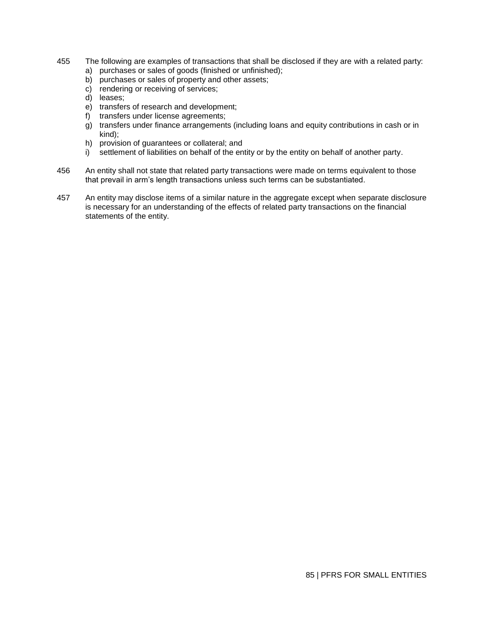- 455 The following are examples of transactions that shall be disclosed if they are with a related party:
	- a) purchases or sales of goods (finished or unfinished);
	- b) purchases or sales of property and other assets;
	- c) rendering or receiving of services;
	- d) leases;
	- e) transfers of research and development;
	- f) transfers under license agreements;
	- g) transfers under finance arrangements (including loans and equity contributions in cash or in kind);
	- h) provision of guarantees or collateral; and
	- i) settlement of liabilities on behalf of the entity or by the entity on behalf of another party.
- 456 An entity shall not state that related party transactions were made on terms equivalent to those that prevail in arm's length transactions unless such terms can be substantiated.
- 457 An entity may disclose items of a similar nature in the aggregate except when separate disclosure is necessary for an understanding of the effects of related party transactions on the financial statements of the entity.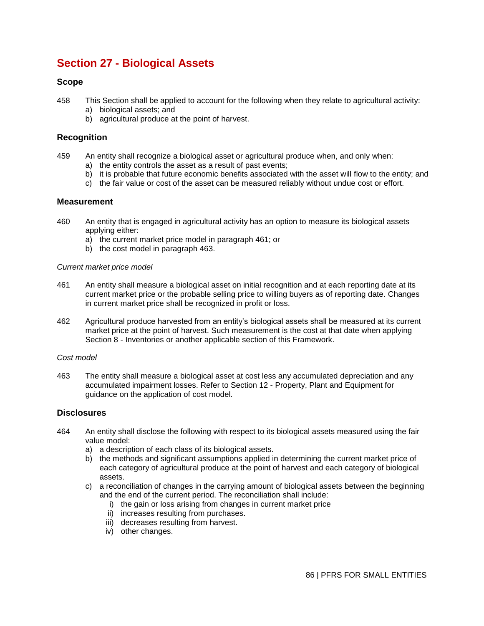## **Section 27 - Biological Assets**

### **Scope**

- 458 This Section shall be applied to account for the following when they relate to agricultural activity:
	- a) biological assets; and
	- b) agricultural produce at the point of harvest.

## **Recognition**

- 459 An entity shall recognize a biological asset or agricultural produce when, and only when:
	- a) the entity controls the asset as a result of past events;
	- b) it is probable that future economic benefits associated with the asset will flow to the entity; and
	- c) the fair value or cost of the asset can be measured reliably without undue cost or effort.

### **Measurement**

- 460 An entity that is engaged in agricultural activity has an option to measure its biological assets applying either:
	- a) the current market price model in paragraph 461; or
	- b) the cost model in paragraph 463.

#### *Current market price model*

- 461 An entity shall measure a biological asset on initial recognition and at each reporting date at its current market price or the probable selling price to willing buyers as of reporting date. Changes in current market price shall be recognized in profit or loss.
- 462 Agricultural produce harvested from an entity's biological assets shall be measured at its current market price at the point of harvest. Such measurement is the cost at that date when applying Section 8 - Inventories or another applicable section of this Framework.

#### *Cost model*

463 The entity shall measure a biological asset at cost less any accumulated depreciation and any accumulated impairment losses. Refer to Section 12 - Property, Plant and Equipment for guidance on the application of cost model.

### **Disclosures**

- 464 An entity shall disclose the following with respect to its biological assets measured using the fair value model:
	- a) a description of each class of its biological assets.
	- b) the methods and significant assumptions applied in determining the current market price of each category of agricultural produce at the point of harvest and each category of biological assets.
	- c) a reconciliation of changes in the carrying amount of biological assets between the beginning and the end of the current period. The reconciliation shall include:
		- i) the gain or loss arising from changes in current market price
		- ii) increases resulting from purchases.
		- iii) decreases resulting from harvest.
		- iv) other changes.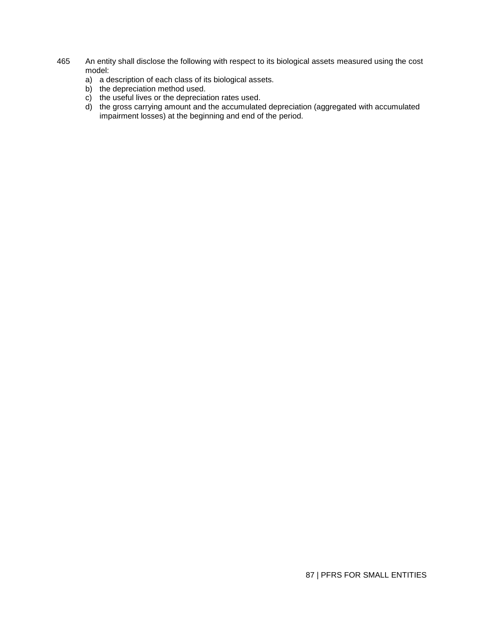- 465 An entity shall disclose the following with respect to its biological assets measured using the cost model:
	- a) a description of each class of its biological assets.
	- b) the depreciation method used.
	- c) the useful lives or the depreciation rates used.
	- d) the gross carrying amount and the accumulated depreciation (aggregated with accumulated impairment losses) at the beginning and end of the period.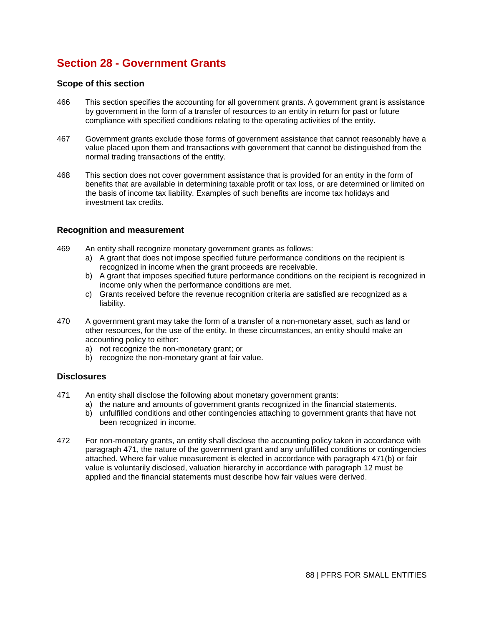## **Section 28 - Government Grants**

## **Scope of this section**

- 466 This section specifies the accounting for all government grants. A government grant is assistance by government in the form of a transfer of resources to an entity in return for past or future compliance with specified conditions relating to the operating activities of the entity.
- 467 Government grants exclude those forms of government assistance that cannot reasonably have a value placed upon them and transactions with government that cannot be distinguished from the normal trading transactions of the entity.
- 468 This section does not cover government assistance that is provided for an entity in the form of benefits that are available in determining taxable profit or tax loss, or are determined or limited on the basis of income tax liability. Examples of such benefits are income tax holidays and investment tax credits.

#### **Recognition and measurement**

- 469 An entity shall recognize monetary government grants as follows:
	- a) A grant that does not impose specified future performance conditions on the recipient is recognized in income when the grant proceeds are receivable.
	- b) A grant that imposes specified future performance conditions on the recipient is recognized in income only when the performance conditions are met.
	- c) Grants received before the revenue recognition criteria are satisfied are recognized as a liability.
- 470 A government grant may take the form of a transfer of a non-monetary asset, such as land or other resources, for the use of the entity. In these circumstances, an entity should make an accounting policy to either:
	- a) not recognize the non-monetary grant; or
	- b) recognize the non-monetary grant at fair value.

#### **Disclosures**

- 471 An entity shall disclose the following about monetary government grants:
	- a) the nature and amounts of government grants recognized in the financial statements.
	- b) unfulfilled conditions and other contingencies attaching to government grants that have not been recognized in income.
- 472 For non-monetary grants, an entity shall disclose the accounting policy taken in accordance with paragraph 471, the nature of the government grant and any unfulfilled conditions or contingencies attached. Where fair value measurement is elected in accordance with paragraph 471(b) or fair value is voluntarily disclosed, valuation hierarchy in accordance with paragraph 12 must be applied and the financial statements must describe how fair values were derived.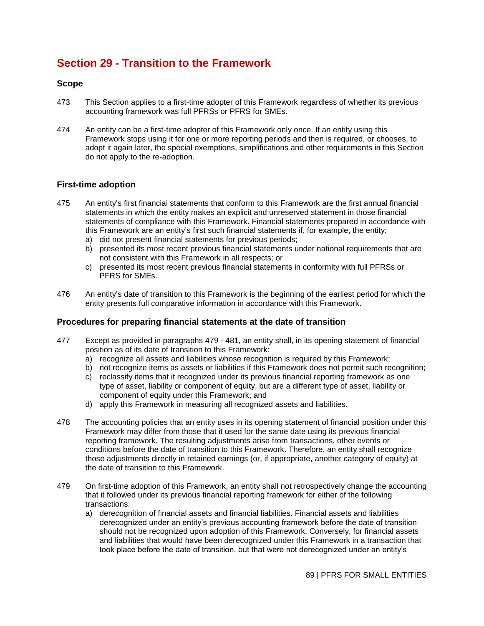## **Section 29 - Transition to the Framework**

### **Scope**

- 473 This Section applies to a first-time adopter of this Framework regardless of whether its previous accounting framework was full PFRSs or PFRS for SMEs.
- 474 An entity can be a first-time adopter of this Framework only once. If an entity using this Framework stops using it for one or more reporting periods and then is required, or chooses, to adopt it again later, the special exemptions, simplifications and other requirements in this Section do not apply to the re-adoption.

## **First-time adoption**

- 475 An entity's first financial statements that conform to this Framework are the first annual financial statements in which the entity makes an explicit and unreserved statement in those financial statements of compliance with this Framework. Financial statements prepared in accordance with this Framework are an entity's first such financial statements if, for example, the entity:
	- a) did not present financial statements for previous periods;
	- b) presented its most recent previous financial statements under national requirements that are not consistent with this Framework in all respects; or
	- c) presented its most recent previous financial statements in conformity with full PFRSs or PFRS for SMEs.
- 476 An entity's date of transition to this Framework is the beginning of the earliest period for which the entity presents full comparative information in accordance with this Framework.

### **Procedures for preparing financial statements at the date of transition**

- 477 Except as provided in paragraphs 479 481, an entity shall, in its opening statement of financial position as of its date of transition to this Framework:
	- a) recognize all assets and liabilities whose recognition is required by this Framework;
	- b) not recognize items as assets or liabilities if this Framework does not permit such recognition;
	- c) reclassify items that it recognized under its previous financial reporting framework as one type of asset, liability or component of equity, but are a different type of asset, liability or component of equity under this Framework; and
	- d) apply this Framework in measuring all recognized assets and liabilities.
- 478 The accounting policies that an entity uses in its opening statement of financial position under this Framework may differ from those that it used for the same date using its previous financial reporting framework. The resulting adjustments arise from transactions, other events or conditions before the date of transition to this Framework. Therefore, an entity shall recognize those adjustments directly in retained earnings (or, if appropriate, another category of equity) at the date of transition to this Framework.
- 479 On first-time adoption of this Framework, an entity shall not retrospectively change the accounting that it followed under its previous financial reporting framework for either of the following transactions:
	- a) derecognition of financial assets and financial liabilities. Financial assets and liabilities derecognized under an entity's previous accounting framework before the date of transition should not be recognized upon adoption of this Framework. Conversely, for financial assets and liabilities that would have been derecognized under this Framework in a transaction that took place before the date of transition, but that were not derecognized under an entity's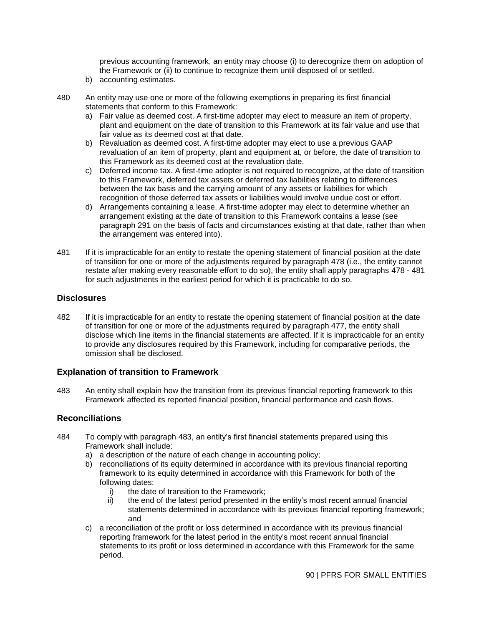previous accounting framework, an entity may choose (i) to derecognize them on adoption of the Framework or (ii) to continue to recognize them until disposed of or settled.

- b) accounting estimates.
- 480 An entity may use one or more of the following exemptions in preparing its first financial statements that conform to this Framework:
	- a) Fair value as deemed cost. A first-time adopter may elect to measure an item of property, plant and equipment on the date of transition to this Framework at its fair value and use that fair value as its deemed cost at that date.
	- b) Revaluation as deemed cost. A first-time adopter may elect to use a previous GAAP revaluation of an item of property, plant and equipment at, or before, the date of transition to this Framework as its deemed cost at the revaluation date.
	- c) Deferred income tax. A first-time adopter is not required to recognize, at the date of transition to this Framework, deferred tax assets or deferred tax liabilities relating to differences between the tax basis and the carrying amount of any assets or liabilities for which recognition of those deferred tax assets or liabilities would involve undue cost or effort.
	- d) Arrangements containing a lease. A first-time adopter may elect to determine whether an arrangement existing at the date of transition to this Framework contains a lease (see paragraph 291 on the basis of facts and circumstances existing at that date, rather than when the arrangement was entered into).
- 481 If it is impracticable for an entity to restate the opening statement of financial position at the date of transition for one or more of the adjustments required by paragraph 478 (i.e., the entity cannot restate after making every reasonable effort to do so), the entity shall apply paragraphs 478 - 481 for such adjustments in the earliest period for which it is practicable to do so.

## **Disclosures**

482 If it is impracticable for an entity to restate the opening statement of financial position at the date of transition for one or more of the adjustments required by paragraph 477, the entity shall disclose which line items in the financial statements are affected. If it is impracticable for an entity to provide any disclosures required by this Framework, including for comparative periods, the omission shall be disclosed.

## **Explanation of transition to Framework**

483 An entity shall explain how the transition from its previous financial reporting framework to this Framework affected its reported financial position, financial performance and cash flows.

### **Reconciliations**

- 484 To comply with paragraph 483, an entity's first financial statements prepared using this Framework shall include:
	- a) a description of the nature of each change in accounting policy;
	- b) reconciliations of its equity determined in accordance with its previous financial reporting framework to its equity determined in accordance with this Framework for both of the following dates:
		- i) the date of transition to the Framework;
		- ii) the end of the latest period presented in the entity's most recent annual financial statements determined in accordance with its previous financial reporting framework; and
	- c) a reconciliation of the profit or loss determined in accordance with its previous financial reporting framework for the latest period in the entity's most recent annual financial statements to its profit or loss determined in accordance with this Framework for the same period.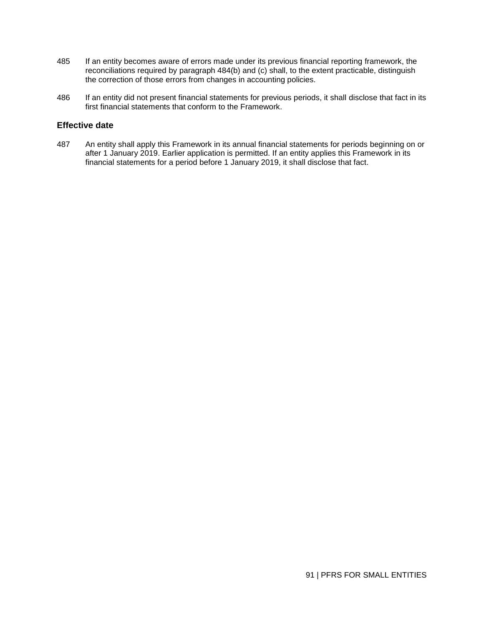- 485 If an entity becomes aware of errors made under its previous financial reporting framework, the reconciliations required by paragraph 484(b) and (c) shall, to the extent practicable, distinguish the correction of those errors from changes in accounting policies.
- 486 If an entity did not present financial statements for previous periods, it shall disclose that fact in its first financial statements that conform to the Framework.

## **Effective date**

487 An entity shall apply this Framework in its annual financial statements for periods beginning on or after 1 January 2019. Earlier application is permitted. If an entity applies this Framework in its financial statements for a period before 1 January 2019, it shall disclose that fact.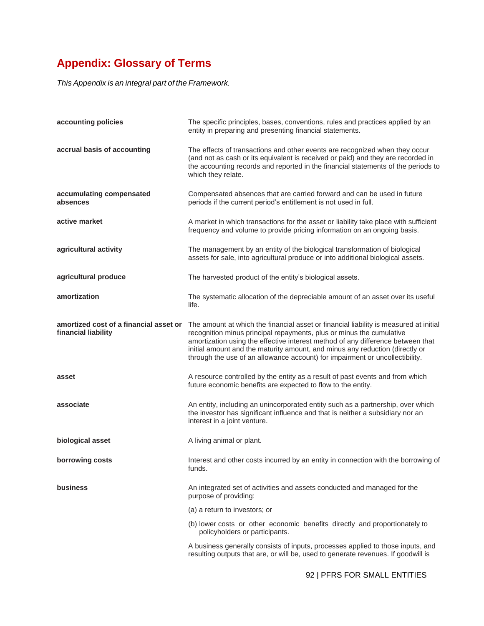# **Appendix: Glossary of Terms**

*This Appendix is an integral part of the Framework.*

| accounting policies                                           | The specific principles, bases, conventions, rules and practices applied by an<br>entity in preparing and presenting financial statements.                                                                                                                                                                                                                                                                       |  |
|---------------------------------------------------------------|------------------------------------------------------------------------------------------------------------------------------------------------------------------------------------------------------------------------------------------------------------------------------------------------------------------------------------------------------------------------------------------------------------------|--|
| accrual basis of accounting                                   | The effects of transactions and other events are recognized when they occur<br>(and not as cash or its equivalent is received or paid) and they are recorded in<br>the accounting records and reported in the financial statements of the periods to<br>which they relate.                                                                                                                                       |  |
| accumulating compensated<br>absences                          | Compensated absences that are carried forward and can be used in future<br>periods if the current period's entitlement is not used in full.                                                                                                                                                                                                                                                                      |  |
| active market                                                 | A market in which transactions for the asset or liability take place with sufficient<br>frequency and volume to provide pricing information on an ongoing basis.                                                                                                                                                                                                                                                 |  |
| agricultural activity                                         | The management by an entity of the biological transformation of biological<br>assets for sale, into agricultural produce or into additional biological assets.                                                                                                                                                                                                                                                   |  |
| agricultural produce                                          | The harvested product of the entity's biological assets.                                                                                                                                                                                                                                                                                                                                                         |  |
| amortization                                                  | The systematic allocation of the depreciable amount of an asset over its useful<br>life.                                                                                                                                                                                                                                                                                                                         |  |
| amortized cost of a financial asset or<br>financial liability | The amount at which the financial asset or financial liability is measured at initial<br>recognition minus principal repayments, plus or minus the cumulative<br>amortization using the effective interest method of any difference between that<br>initial amount and the maturity amount, and minus any reduction (directly or<br>through the use of an allowance account) for impairment or uncollectibility. |  |
| asset                                                         | A resource controlled by the entity as a result of past events and from which<br>future economic benefits are expected to flow to the entity.                                                                                                                                                                                                                                                                    |  |
| associate                                                     | An entity, including an unincorporated entity such as a partnership, over which<br>the investor has significant influence and that is neither a subsidiary nor an<br>interest in a joint venture.                                                                                                                                                                                                                |  |
| biological asset                                              | A living animal or plant.                                                                                                                                                                                                                                                                                                                                                                                        |  |
| borrowing costs                                               | Interest and other costs incurred by an entity in connection with the borrowing of<br>funds.                                                                                                                                                                                                                                                                                                                     |  |
| business                                                      | An integrated set of activities and assets conducted and managed for the<br>purpose of providing:                                                                                                                                                                                                                                                                                                                |  |
|                                                               | (a) a return to investors; or                                                                                                                                                                                                                                                                                                                                                                                    |  |
|                                                               | (b) lower costs or other economic benefits directly and proportionately to<br>policyholders or participants.                                                                                                                                                                                                                                                                                                     |  |
|                                                               | A business generally consists of inputs, processes applied to those inputs, and<br>resulting outputs that are, or will be, used to generate revenues. If goodwill is                                                                                                                                                                                                                                             |  |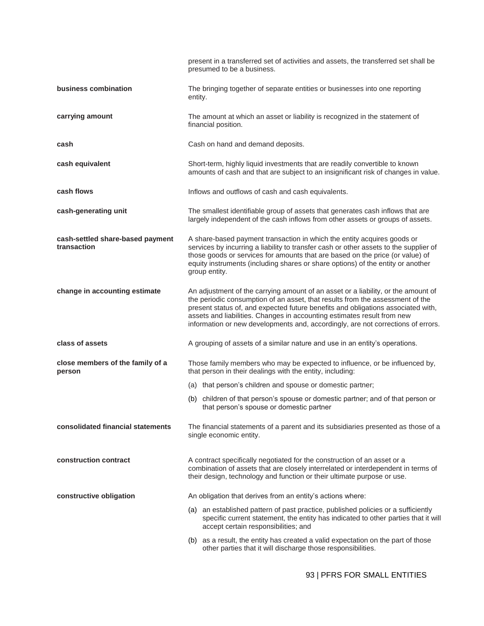|                                                 | present in a transferred set of activities and assets, the transferred set shall be<br>presumed to be a business.                                                                                                                                                                                                                                                                                                     |  |  |
|-------------------------------------------------|-----------------------------------------------------------------------------------------------------------------------------------------------------------------------------------------------------------------------------------------------------------------------------------------------------------------------------------------------------------------------------------------------------------------------|--|--|
| business combination                            | The bringing together of separate entities or businesses into one reporting<br>entity.                                                                                                                                                                                                                                                                                                                                |  |  |
| carrying amount                                 | The amount at which an asset or liability is recognized in the statement of<br>financial position.                                                                                                                                                                                                                                                                                                                    |  |  |
| cash                                            | Cash on hand and demand deposits.                                                                                                                                                                                                                                                                                                                                                                                     |  |  |
| cash equivalent                                 | Short-term, highly liquid investments that are readily convertible to known<br>amounts of cash and that are subject to an insignificant risk of changes in value.                                                                                                                                                                                                                                                     |  |  |
| cash flows                                      | Inflows and outflows of cash and cash equivalents.                                                                                                                                                                                                                                                                                                                                                                    |  |  |
| cash-generating unit                            | The smallest identifiable group of assets that generates cash inflows that are<br>largely independent of the cash inflows from other assets or groups of assets.                                                                                                                                                                                                                                                      |  |  |
| cash-settled share-based payment<br>transaction | A share-based payment transaction in which the entity acquires goods or<br>services by incurring a liability to transfer cash or other assets to the supplier of<br>those goods or services for amounts that are based on the price (or value) of<br>equity instruments (including shares or share options) of the entity or another<br>group entity.                                                                 |  |  |
| change in accounting estimate                   | An adjustment of the carrying amount of an asset or a liability, or the amount of<br>the periodic consumption of an asset, that results from the assessment of the<br>present status of, and expected future benefits and obligations associated with,<br>assets and liabilities. Changes in accounting estimates result from new<br>information or new developments and, accordingly, are not corrections of errors. |  |  |
| class of assets                                 | A grouping of assets of a similar nature and use in an entity's operations.                                                                                                                                                                                                                                                                                                                                           |  |  |
| close members of the family of a<br>person      | Those family members who may be expected to influence, or be influenced by,<br>that person in their dealings with the entity, including:                                                                                                                                                                                                                                                                              |  |  |
|                                                 | (a) that person's children and spouse or domestic partner;                                                                                                                                                                                                                                                                                                                                                            |  |  |
|                                                 | (b) children of that person's spouse or domestic partner; and of that person or<br>that person's spouse or domestic partner                                                                                                                                                                                                                                                                                           |  |  |
| consolidated financial statements               | The financial statements of a parent and its subsidiaries presented as those of a<br>single economic entity.                                                                                                                                                                                                                                                                                                          |  |  |
| construction contract                           | A contract specifically negotiated for the construction of an asset or a<br>combination of assets that are closely interrelated or interdependent in terms of<br>their design, technology and function or their ultimate purpose or use.                                                                                                                                                                              |  |  |
| constructive obligation                         | An obligation that derives from an entity's actions where:                                                                                                                                                                                                                                                                                                                                                            |  |  |
|                                                 | (a) an established pattern of past practice, published policies or a sufficiently<br>specific current statement, the entity has indicated to other parties that it will<br>accept certain responsibilities; and                                                                                                                                                                                                       |  |  |
|                                                 | (b) as a result, the entity has created a valid expectation on the part of those<br>other parties that it will discharge those responsibilities.                                                                                                                                                                                                                                                                      |  |  |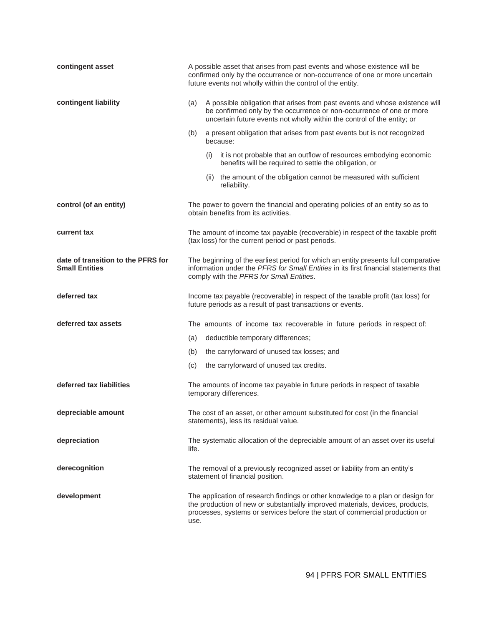| contingent asset                                            | A possible asset that arises from past events and whose existence will be<br>confirmed only by the occurrence or non-occurrence of one or more uncertain<br>future events not wholly within the control of the entity.                                  |  |  |
|-------------------------------------------------------------|---------------------------------------------------------------------------------------------------------------------------------------------------------------------------------------------------------------------------------------------------------|--|--|
| contingent liability                                        | A possible obligation that arises from past events and whose existence will<br>(a)<br>be confirmed only by the occurrence or non-occurrence of one or more<br>uncertain future events not wholly within the control of the entity; or                   |  |  |
|                                                             | a present obligation that arises from past events but is not recognized<br>(b)<br>because:                                                                                                                                                              |  |  |
|                                                             | it is not probable that an outflow of resources embodying economic<br>(i)<br>benefits will be required to settle the obligation, or                                                                                                                     |  |  |
|                                                             | (ii) the amount of the obligation cannot be measured with sufficient<br>reliability.                                                                                                                                                                    |  |  |
| control (of an entity)                                      | The power to govern the financial and operating policies of an entity so as to<br>obtain benefits from its activities.                                                                                                                                  |  |  |
| current tax                                                 | The amount of income tax payable (recoverable) in respect of the taxable profit<br>(tax loss) for the current period or past periods.                                                                                                                   |  |  |
| date of transition to the PFRS for<br><b>Small Entities</b> | The beginning of the earliest period for which an entity presents full comparative<br>information under the PFRS for Small Entities in its first financial statements that<br>comply with the PFRS for Small Entities.                                  |  |  |
| deferred tax                                                | Income tax payable (recoverable) in respect of the taxable profit (tax loss) for<br>future periods as a result of past transactions or events.                                                                                                          |  |  |
| deferred tax assets                                         | The amounts of income tax recoverable in future periods in respect of:                                                                                                                                                                                  |  |  |
|                                                             | (a)<br>deductible temporary differences;                                                                                                                                                                                                                |  |  |
|                                                             | the carryforward of unused tax losses; and<br>(b)                                                                                                                                                                                                       |  |  |
|                                                             | the carryforward of unused tax credits.<br>(c)                                                                                                                                                                                                          |  |  |
| deferred tax liabilities                                    | The amounts of income tax payable in future periods in respect of taxable<br>temporary differences.                                                                                                                                                     |  |  |
| depreciable amount                                          | The cost of an asset, or other amount substituted for cost (in the financial<br>statements), less its residual value.                                                                                                                                   |  |  |
| depreciation                                                | The systematic allocation of the depreciable amount of an asset over its useful<br>life.                                                                                                                                                                |  |  |
| derecognition                                               | The removal of a previously recognized asset or liability from an entity's<br>statement of financial position.                                                                                                                                          |  |  |
| development                                                 | The application of research findings or other knowledge to a plan or design for<br>the production of new or substantially improved materials, devices, products,<br>processes, systems or services before the start of commercial production or<br>use. |  |  |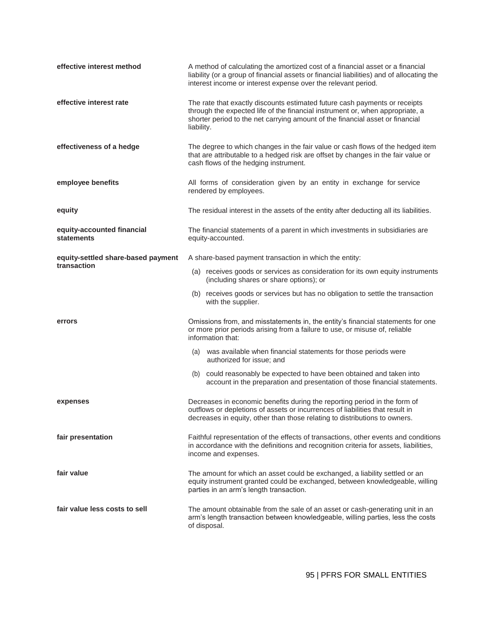| effective interest method                         | A method of calculating the amortized cost of a financial asset or a financial<br>liability (or a group of financial assets or financial liabilities) and of allocating the<br>interest income or interest expense over the relevant period.               |  |  |
|---------------------------------------------------|------------------------------------------------------------------------------------------------------------------------------------------------------------------------------------------------------------------------------------------------------------|--|--|
| effective interest rate                           | The rate that exactly discounts estimated future cash payments or receipts<br>through the expected life of the financial instrument or, when appropriate, a<br>shorter period to the net carrying amount of the financial asset or financial<br>liability. |  |  |
| effectiveness of a hedge                          | The degree to which changes in the fair value or cash flows of the hedged item<br>that are attributable to a hedged risk are offset by changes in the fair value or<br>cash flows of the hedging instrument.                                               |  |  |
| employee benefits                                 | All forms of consideration given by an entity in exchange for service<br>rendered by employees.                                                                                                                                                            |  |  |
| equity                                            | The residual interest in the assets of the entity after deducting all its liabilities.                                                                                                                                                                     |  |  |
| equity-accounted financial<br><b>statements</b>   | The financial statements of a parent in which investments in subsidiaries are<br>equity-accounted.                                                                                                                                                         |  |  |
| equity-settled share-based payment<br>transaction | A share-based payment transaction in which the entity:                                                                                                                                                                                                     |  |  |
|                                                   | (a) receives goods or services as consideration for its own equity instruments<br>(including shares or share options); or                                                                                                                                  |  |  |
|                                                   | (b) receives goods or services but has no obligation to settle the transaction<br>with the supplier.                                                                                                                                                       |  |  |
| errors                                            | Omissions from, and misstatements in, the entity's financial statements for one<br>or more prior periods arising from a failure to use, or misuse of, reliable<br>information that:                                                                        |  |  |
|                                                   | (a) was available when financial statements for those periods were<br>authorized for issue; and                                                                                                                                                            |  |  |
|                                                   | (b) could reasonably be expected to have been obtained and taken into<br>account in the preparation and presentation of those financial statements.                                                                                                        |  |  |
| expenses                                          | Decreases in economic benefits during the reporting period in the form of<br>outflows or depletions of assets or incurrences of liabilities that result in<br>decreases in equity, other than those relating to distributions to owners.                   |  |  |
| fair presentation                                 | Faithful representation of the effects of transactions, other events and conditions<br>in accordance with the definitions and recognition criteria for assets, liabilities,<br>income and expenses.                                                        |  |  |
| fair value                                        | The amount for which an asset could be exchanged, a liability settled or an<br>equity instrument granted could be exchanged, between knowledgeable, willing<br>parties in an arm's length transaction.                                                     |  |  |
| fair value less costs to sell                     | The amount obtainable from the sale of an asset or cash-generating unit in an<br>arm's length transaction between knowledgeable, willing parties, less the costs<br>of disposal.                                                                           |  |  |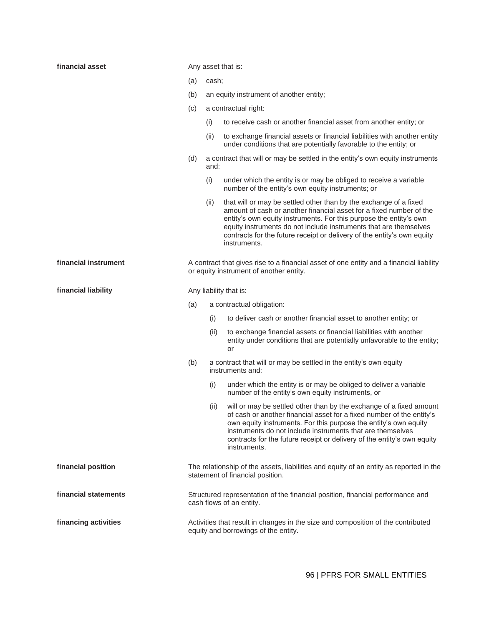| financial asset      | Any asset that is:                                                                                                       |       |                                                                                                                                                                                                                                                                                                                                                                                |
|----------------------|--------------------------------------------------------------------------------------------------------------------------|-------|--------------------------------------------------------------------------------------------------------------------------------------------------------------------------------------------------------------------------------------------------------------------------------------------------------------------------------------------------------------------------------|
|                      | (a)                                                                                                                      | cash; |                                                                                                                                                                                                                                                                                                                                                                                |
|                      | (b)                                                                                                                      |       | an equity instrument of another entity;                                                                                                                                                                                                                                                                                                                                        |
|                      | (c)                                                                                                                      |       | a contractual right:                                                                                                                                                                                                                                                                                                                                                           |
|                      |                                                                                                                          | (i)   | to receive cash or another financial asset from another entity; or                                                                                                                                                                                                                                                                                                             |
|                      |                                                                                                                          | (ii)  | to exchange financial assets or financial liabilities with another entity<br>under conditions that are potentially favorable to the entity; or                                                                                                                                                                                                                                 |
|                      | (d)                                                                                                                      | and:  | a contract that will or may be settled in the entity's own equity instruments                                                                                                                                                                                                                                                                                                  |
|                      |                                                                                                                          | (i)   | under which the entity is or may be obliged to receive a variable<br>number of the entity's own equity instruments; or                                                                                                                                                                                                                                                         |
|                      |                                                                                                                          | (ii)  | that will or may be settled other than by the exchange of a fixed<br>amount of cash or another financial asset for a fixed number of the<br>entity's own equity instruments. For this purpose the entity's own<br>equity instruments do not include instruments that are themselves<br>contracts for the future receipt or delivery of the entity's own equity<br>instruments. |
| financial instrument |                                                                                                                          |       | A contract that gives rise to a financial asset of one entity and a financial liability<br>or equity instrument of another entity.                                                                                                                                                                                                                                             |
| financial liability  | Any liability that is:                                                                                                   |       |                                                                                                                                                                                                                                                                                                                                                                                |
|                      | (a)                                                                                                                      |       | a contractual obligation:                                                                                                                                                                                                                                                                                                                                                      |
|                      |                                                                                                                          | (i)   | to deliver cash or another financial asset to another entity; or                                                                                                                                                                                                                                                                                                               |
|                      |                                                                                                                          | (ii)  | to exchange financial assets or financial liabilities with another<br>entity under conditions that are potentially unfavorable to the entity;<br>or                                                                                                                                                                                                                            |
|                      | (b)                                                                                                                      |       | a contract that will or may be settled in the entity's own equity<br>instruments and:                                                                                                                                                                                                                                                                                          |
|                      |                                                                                                                          | (i)   | under which the entity is or may be obliged to deliver a variable<br>number of the entity's own equity instruments, or                                                                                                                                                                                                                                                         |
|                      |                                                                                                                          | (ii)  | will or may be settled other than by the exchange of a fixed amount<br>of cash or another financial asset for a fixed number of the entity's<br>own equity instruments. For this purpose the entity's own equity<br>instruments do not include instruments that are themselves<br>contracts for the future receipt or delivery of the entity's own equity<br>instruments.      |
| financial position   |                                                                                                                          |       | The relationship of the assets, liabilities and equity of an entity as reported in the<br>statement of financial position.                                                                                                                                                                                                                                                     |
| financial statements | Structured representation of the financial position, financial performance and<br>cash flows of an entity.               |       |                                                                                                                                                                                                                                                                                                                                                                                |
| financing activities | Activities that result in changes in the size and composition of the contributed<br>equity and borrowings of the entity. |       |                                                                                                                                                                                                                                                                                                                                                                                |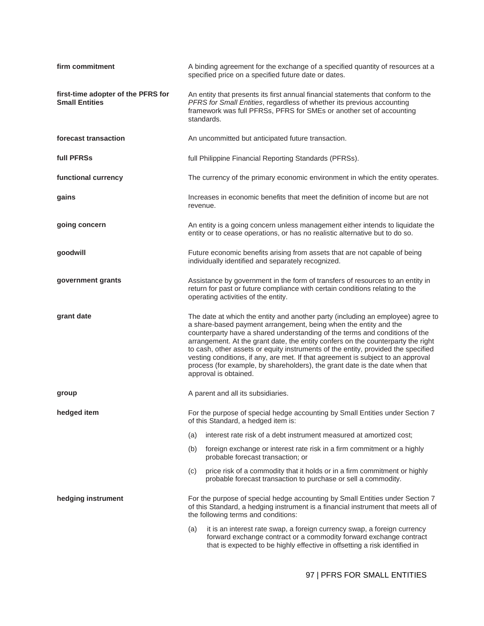| firm commitment                                             | A binding agreement for the exchange of a specified quantity of resources at a<br>specified price on a specified future date or dates.                                                                                                                                                                                                                                                                                                                                                                                                                                                                   |  |  |
|-------------------------------------------------------------|----------------------------------------------------------------------------------------------------------------------------------------------------------------------------------------------------------------------------------------------------------------------------------------------------------------------------------------------------------------------------------------------------------------------------------------------------------------------------------------------------------------------------------------------------------------------------------------------------------|--|--|
| first-time adopter of the PFRS for<br><b>Small Entities</b> | An entity that presents its first annual financial statements that conform to the<br>PFRS for Small Entities, regardless of whether its previous accounting<br>framework was full PFRSs, PFRS for SMEs or another set of accounting<br>standards.                                                                                                                                                                                                                                                                                                                                                        |  |  |
| forecast transaction                                        | An uncommitted but anticipated future transaction.                                                                                                                                                                                                                                                                                                                                                                                                                                                                                                                                                       |  |  |
| full PFRSs                                                  | full Philippine Financial Reporting Standards (PFRSs).                                                                                                                                                                                                                                                                                                                                                                                                                                                                                                                                                   |  |  |
| functional currency                                         | The currency of the primary economic environment in which the entity operates.                                                                                                                                                                                                                                                                                                                                                                                                                                                                                                                           |  |  |
| gains                                                       | Increases in economic benefits that meet the definition of income but are not<br>revenue.                                                                                                                                                                                                                                                                                                                                                                                                                                                                                                                |  |  |
| going concern                                               | An entity is a going concern unless management either intends to liquidate the<br>entity or to cease operations, or has no realistic alternative but to do so.                                                                                                                                                                                                                                                                                                                                                                                                                                           |  |  |
| goodwill                                                    | Future economic benefits arising from assets that are not capable of being<br>individually identified and separately recognized.                                                                                                                                                                                                                                                                                                                                                                                                                                                                         |  |  |
| government grants                                           | Assistance by government in the form of transfers of resources to an entity in<br>return for past or future compliance with certain conditions relating to the<br>operating activities of the entity.                                                                                                                                                                                                                                                                                                                                                                                                    |  |  |
| grant date                                                  | The date at which the entity and another party (including an employee) agree to<br>a share-based payment arrangement, being when the entity and the<br>counterparty have a shared understanding of the terms and conditions of the<br>arrangement. At the grant date, the entity confers on the counterparty the right<br>to cash, other assets or equity instruments of the entity, provided the specified<br>vesting conditions, if any, are met. If that agreement is subject to an approval<br>process (for example, by shareholders), the grant date is the date when that<br>approval is obtained. |  |  |
| group                                                       | A parent and all its subsidiaries.                                                                                                                                                                                                                                                                                                                                                                                                                                                                                                                                                                       |  |  |
| hedged item                                                 | For the purpose of special hedge accounting by Small Entities under Section 7<br>of this Standard, a hedged item is:                                                                                                                                                                                                                                                                                                                                                                                                                                                                                     |  |  |
|                                                             | interest rate risk of a debt instrument measured at amortized cost;<br>(a)                                                                                                                                                                                                                                                                                                                                                                                                                                                                                                                               |  |  |
|                                                             | foreign exchange or interest rate risk in a firm commitment or a highly<br>(b)<br>probable forecast transaction; or                                                                                                                                                                                                                                                                                                                                                                                                                                                                                      |  |  |
|                                                             | price risk of a commodity that it holds or in a firm commitment or highly<br>(c)<br>probable forecast transaction to purchase or sell a commodity.                                                                                                                                                                                                                                                                                                                                                                                                                                                       |  |  |
| hedging instrument                                          | For the purpose of special hedge accounting by Small Entities under Section 7<br>of this Standard, a hedging instrument is a financial instrument that meets all of<br>the following terms and conditions:                                                                                                                                                                                                                                                                                                                                                                                               |  |  |
|                                                             | it is an interest rate swap, a foreign currency swap, a foreign currency<br>(a)<br>forward exchange contract or a commodity forward exchange contract<br>that is expected to be highly effective in offsetting a risk identified in                                                                                                                                                                                                                                                                                                                                                                      |  |  |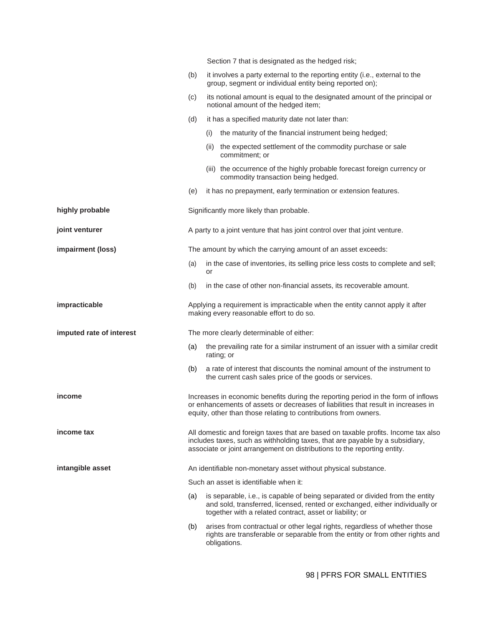|                          | Section 7 that is designated as the hedged risk;                                                                                                                                                                                              |                                                                                                                                                                                                                          |  |
|--------------------------|-----------------------------------------------------------------------------------------------------------------------------------------------------------------------------------------------------------------------------------------------|--------------------------------------------------------------------------------------------------------------------------------------------------------------------------------------------------------------------------|--|
|                          | (b)                                                                                                                                                                                                                                           | it involves a party external to the reporting entity (i.e., external to the<br>group, segment or individual entity being reported on);                                                                                   |  |
|                          | (c)                                                                                                                                                                                                                                           | its notional amount is equal to the designated amount of the principal or<br>notional amount of the hedged item;                                                                                                         |  |
|                          | (d)                                                                                                                                                                                                                                           | it has a specified maturity date not later than:                                                                                                                                                                         |  |
|                          |                                                                                                                                                                                                                                               | the maturity of the financial instrument being hedged;<br>(1)                                                                                                                                                            |  |
|                          |                                                                                                                                                                                                                                               | (ii) the expected settlement of the commodity purchase or sale<br>commitment; or                                                                                                                                         |  |
|                          |                                                                                                                                                                                                                                               | (iii) the occurrence of the highly probable forecast foreign currency or<br>commodity transaction being hedged.                                                                                                          |  |
|                          | (e)                                                                                                                                                                                                                                           | it has no prepayment, early termination or extension features.                                                                                                                                                           |  |
| highly probable          |                                                                                                                                                                                                                                               | Significantly more likely than probable.                                                                                                                                                                                 |  |
| joint venturer           |                                                                                                                                                                                                                                               | A party to a joint venture that has joint control over that joint venture.                                                                                                                                               |  |
| impairment (loss)        | The amount by which the carrying amount of an asset exceeds:                                                                                                                                                                                  |                                                                                                                                                                                                                          |  |
|                          | (a)                                                                                                                                                                                                                                           | in the case of inventories, its selling price less costs to complete and sell;<br>or                                                                                                                                     |  |
|                          | (b)                                                                                                                                                                                                                                           | in the case of other non-financial assets, its recoverable amount.                                                                                                                                                       |  |
| impracticable            |                                                                                                                                                                                                                                               | Applying a requirement is impracticable when the entity cannot apply it after<br>making every reasonable effort to do so.                                                                                                |  |
| imputed rate of interest |                                                                                                                                                                                                                                               | The more clearly determinable of either:                                                                                                                                                                                 |  |
|                          | (a)                                                                                                                                                                                                                                           | the prevailing rate for a similar instrument of an issuer with a similar credit<br>rating; or                                                                                                                            |  |
|                          | (b)                                                                                                                                                                                                                                           | a rate of interest that discounts the nominal amount of the instrument to<br>the current cash sales price of the goods or services.                                                                                      |  |
| income                   | Increases in economic benefits during the reporting period in the form of inflows<br>or enhancements of assets or decreases of liabilities that result in increases in<br>equity, other than those relating to contributions from owners.     |                                                                                                                                                                                                                          |  |
| income tax               | All domestic and foreign taxes that are based on taxable profits. Income tax also<br>includes taxes, such as withholding taxes, that are payable by a subsidiary,<br>associate or joint arrangement on distributions to the reporting entity. |                                                                                                                                                                                                                          |  |
| intangible asset         |                                                                                                                                                                                                                                               | An identifiable non-monetary asset without physical substance.                                                                                                                                                           |  |
|                          |                                                                                                                                                                                                                                               | Such an asset is identifiable when it:                                                                                                                                                                                   |  |
|                          | (a)                                                                                                                                                                                                                                           | is separable, i.e., is capable of being separated or divided from the entity<br>and sold, transferred, licensed, rented or exchanged, either individually or<br>together with a related contract, asset or liability; or |  |
|                          | (b)                                                                                                                                                                                                                                           | arises from contractual or other legal rights, regardless of whether those<br>rights are transferable or separable from the entity or from other rights and<br>obligations.                                              |  |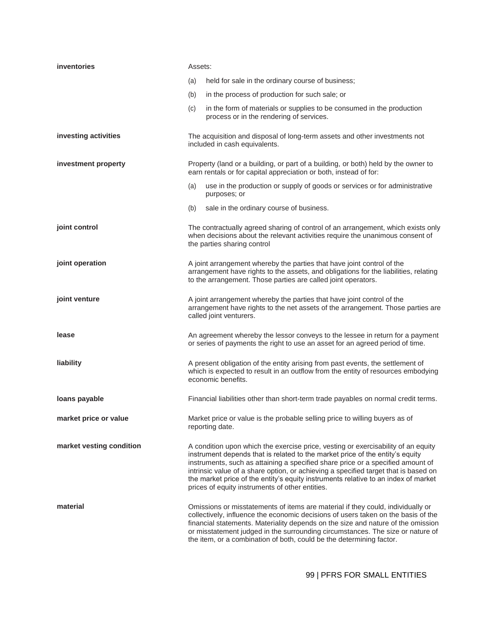| inventories              | Assets:                                                                                                                                                                                                                                                                                                                                                                                                                                                                               |  |  |
|--------------------------|---------------------------------------------------------------------------------------------------------------------------------------------------------------------------------------------------------------------------------------------------------------------------------------------------------------------------------------------------------------------------------------------------------------------------------------------------------------------------------------|--|--|
|                          | (a)<br>held for sale in the ordinary course of business;                                                                                                                                                                                                                                                                                                                                                                                                                              |  |  |
|                          | in the process of production for such sale; or<br>(b)                                                                                                                                                                                                                                                                                                                                                                                                                                 |  |  |
|                          | (c)<br>in the form of materials or supplies to be consumed in the production<br>process or in the rendering of services.                                                                                                                                                                                                                                                                                                                                                              |  |  |
| investing activities     | The acquisition and disposal of long-term assets and other investments not<br>included in cash equivalents.                                                                                                                                                                                                                                                                                                                                                                           |  |  |
| investment property      | Property (land or a building, or part of a building, or both) held by the owner to<br>earn rentals or for capital appreciation or both, instead of for:                                                                                                                                                                                                                                                                                                                               |  |  |
|                          | use in the production or supply of goods or services or for administrative<br>(a)<br>purposes; or                                                                                                                                                                                                                                                                                                                                                                                     |  |  |
|                          | sale in the ordinary course of business.<br>(b)                                                                                                                                                                                                                                                                                                                                                                                                                                       |  |  |
| joint control            | The contractually agreed sharing of control of an arrangement, which exists only<br>when decisions about the relevant activities require the unanimous consent of<br>the parties sharing control                                                                                                                                                                                                                                                                                      |  |  |
| joint operation          | A joint arrangement whereby the parties that have joint control of the<br>arrangement have rights to the assets, and obligations for the liabilities, relating<br>to the arrangement. Those parties are called joint operators.                                                                                                                                                                                                                                                       |  |  |
| joint venture            | A joint arrangement whereby the parties that have joint control of the<br>arrangement have rights to the net assets of the arrangement. Those parties are<br>called joint venturers.                                                                                                                                                                                                                                                                                                  |  |  |
| lease                    | An agreement whereby the lessor conveys to the lessee in return for a payment<br>or series of payments the right to use an asset for an agreed period of time.                                                                                                                                                                                                                                                                                                                        |  |  |
| liability                | A present obligation of the entity arising from past events, the settlement of<br>which is expected to result in an outflow from the entity of resources embodying<br>economic benefits.                                                                                                                                                                                                                                                                                              |  |  |
| loans payable            | Financial liabilities other than short-term trade payables on normal credit terms.                                                                                                                                                                                                                                                                                                                                                                                                    |  |  |
| market price or value    | Market price or value is the probable selling price to willing buyers as of<br>reporting date.                                                                                                                                                                                                                                                                                                                                                                                        |  |  |
| market vesting condition | A condition upon which the exercise price, vesting or exercisability of an equity<br>instrument depends that is related to the market price of the entity's equity<br>instruments, such as attaining a specified share price or a specified amount of<br>intrinsic value of a share option, or achieving a specified target that is based on<br>the market price of the entity's equity instruments relative to an index of market<br>prices of equity instruments of other entities. |  |  |
| material                 | Omissions or misstatements of items are material if they could, individually or<br>collectively, influence the economic decisions of users taken on the basis of the<br>financial statements. Materiality depends on the size and nature of the omission<br>or misstatement judged in the surrounding circumstances. The size or nature of<br>the item, or a combination of both, could be the determining factor.                                                                    |  |  |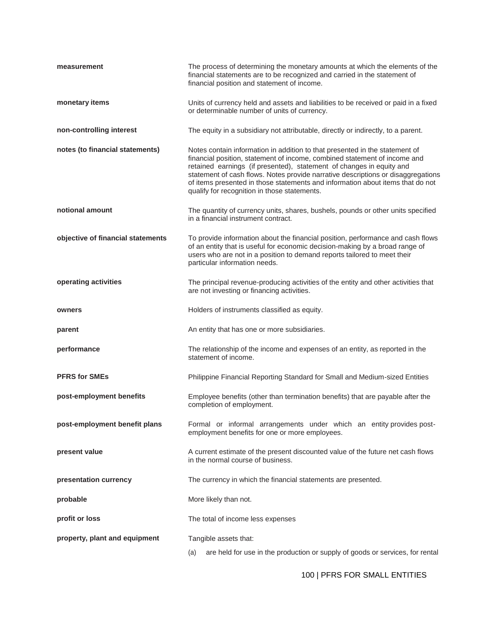| measurement                       | The process of determining the monetary amounts at which the elements of the<br>financial statements are to be recognized and carried in the statement of<br>financial position and statement of income.                                                                                                                                                                                                                                               |  |  |
|-----------------------------------|--------------------------------------------------------------------------------------------------------------------------------------------------------------------------------------------------------------------------------------------------------------------------------------------------------------------------------------------------------------------------------------------------------------------------------------------------------|--|--|
| monetary items                    | Units of currency held and assets and liabilities to be received or paid in a fixed<br>or determinable number of units of currency.                                                                                                                                                                                                                                                                                                                    |  |  |
| non-controlling interest          | The equity in a subsidiary not attributable, directly or indirectly, to a parent.                                                                                                                                                                                                                                                                                                                                                                      |  |  |
| notes (to financial statements)   | Notes contain information in addition to that presented in the statement of<br>financial position, statement of income, combined statement of income and<br>retained earnings (if presented), statement of changes in equity and<br>statement of cash flows. Notes provide narrative descriptions or disaggregations<br>of items presented in those statements and information about items that do not<br>qualify for recognition in those statements. |  |  |
| notional amount                   | The quantity of currency units, shares, bushels, pounds or other units specified<br>in a financial instrument contract.                                                                                                                                                                                                                                                                                                                                |  |  |
| objective of financial statements | To provide information about the financial position, performance and cash flows<br>of an entity that is useful for economic decision-making by a broad range of<br>users who are not in a position to demand reports tailored to meet their<br>particular information needs.                                                                                                                                                                           |  |  |
| operating activities              | The principal revenue-producing activities of the entity and other activities that<br>are not investing or financing activities.                                                                                                                                                                                                                                                                                                                       |  |  |
| owners                            | Holders of instruments classified as equity.                                                                                                                                                                                                                                                                                                                                                                                                           |  |  |
| parent                            | An entity that has one or more subsidiaries.                                                                                                                                                                                                                                                                                                                                                                                                           |  |  |
| performance                       | The relationship of the income and expenses of an entity, as reported in the<br>statement of income.                                                                                                                                                                                                                                                                                                                                                   |  |  |
| <b>PFRS for SMEs</b>              | Philippine Financial Reporting Standard for Small and Medium-sized Entities                                                                                                                                                                                                                                                                                                                                                                            |  |  |
| post-employment benefits          | Employee benefits (other than termination benefits) that are payable after the<br>completion of employment.                                                                                                                                                                                                                                                                                                                                            |  |  |
| post-employment benefit plans     | Formal or informal arrangements under which an entity provides post-<br>employment benefits for one or more employees.                                                                                                                                                                                                                                                                                                                                 |  |  |
| present value                     | A current estimate of the present discounted value of the future net cash flows<br>in the normal course of business.                                                                                                                                                                                                                                                                                                                                   |  |  |
| presentation currency             | The currency in which the financial statements are presented.                                                                                                                                                                                                                                                                                                                                                                                          |  |  |
| probable                          | More likely than not.                                                                                                                                                                                                                                                                                                                                                                                                                                  |  |  |
| profit or loss                    | The total of income less expenses                                                                                                                                                                                                                                                                                                                                                                                                                      |  |  |
| property, plant and equipment     | Tangible assets that:<br>are held for use in the production or supply of goods or services, for rental<br>(a)                                                                                                                                                                                                                                                                                                                                          |  |  |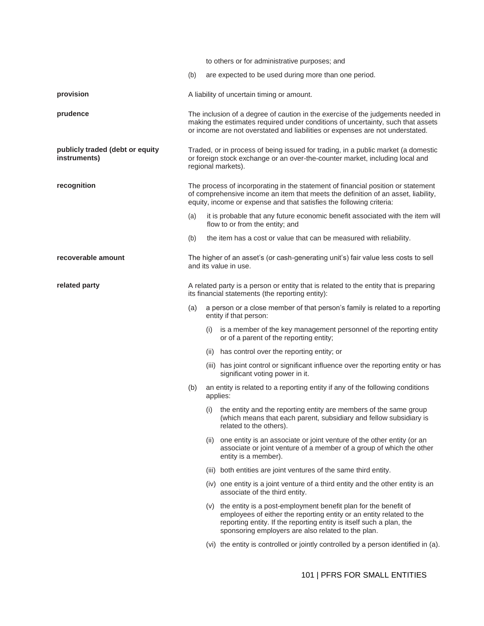|                                                 |                                                                                                                                                                                                                                                      |      | to others or for administrative purposes; and                                                                                                                                                                                                                             |
|-------------------------------------------------|------------------------------------------------------------------------------------------------------------------------------------------------------------------------------------------------------------------------------------------------------|------|---------------------------------------------------------------------------------------------------------------------------------------------------------------------------------------------------------------------------------------------------------------------------|
|                                                 | (b)                                                                                                                                                                                                                                                  |      | are expected to be used during more than one period.                                                                                                                                                                                                                      |
| provision                                       | A liability of uncertain timing or amount.                                                                                                                                                                                                           |      |                                                                                                                                                                                                                                                                           |
| prudence                                        | The inclusion of a degree of caution in the exercise of the judgements needed in<br>making the estimates required under conditions of uncertainty, such that assets<br>or income are not overstated and liabilities or expenses are not understated. |      |                                                                                                                                                                                                                                                                           |
| publicly traded (debt or equity<br>instruments) | Traded, or in process of being issued for trading, in a public market (a domestic<br>or foreign stock exchange or an over-the-counter market, including local and<br>regional markets).                                                              |      |                                                                                                                                                                                                                                                                           |
| recognition                                     | The process of incorporating in the statement of financial position or statement<br>of comprehensive income an item that meets the definition of an asset, liability,<br>equity, income or expense and that satisfies the following criteria:        |      |                                                                                                                                                                                                                                                                           |
|                                                 | (a)                                                                                                                                                                                                                                                  |      | it is probable that any future economic benefit associated with the item will<br>flow to or from the entity; and                                                                                                                                                          |
|                                                 | (b)                                                                                                                                                                                                                                                  |      | the item has a cost or value that can be measured with reliability.                                                                                                                                                                                                       |
| recoverable amount                              |                                                                                                                                                                                                                                                      |      | The higher of an asset's (or cash-generating unit's) fair value less costs to sell<br>and its value in use.                                                                                                                                                               |
| related party                                   | A related party is a person or entity that is related to the entity that is preparing<br>its financial statements (the reporting entity):                                                                                                            |      |                                                                                                                                                                                                                                                                           |
|                                                 | (a)                                                                                                                                                                                                                                                  |      | a person or a close member of that person's family is related to a reporting<br>entity if that person:                                                                                                                                                                    |
|                                                 |                                                                                                                                                                                                                                                      | (i)  | is a member of the key management personnel of the reporting entity<br>or of a parent of the reporting entity;                                                                                                                                                            |
|                                                 |                                                                                                                                                                                                                                                      |      | (ii) has control over the reporting entity; or                                                                                                                                                                                                                            |
|                                                 |                                                                                                                                                                                                                                                      |      | (iii) has joint control or significant influence over the reporting entity or has<br>significant voting power in it.                                                                                                                                                      |
|                                                 | (b)                                                                                                                                                                                                                                                  |      | an entity is related to a reporting entity if any of the following conditions<br>applies:                                                                                                                                                                                 |
|                                                 |                                                                                                                                                                                                                                                      |      | (i) the entity and the reporting entity are members of the same group<br>(which means that each parent, subsidiary and fellow subsidiary is<br>related to the others).                                                                                                    |
|                                                 |                                                                                                                                                                                                                                                      | (11) | one entity is an associate or joint venture of the other entity (or an<br>associate or joint venture of a member of a group of which the other<br>entity is a member).                                                                                                    |
|                                                 |                                                                                                                                                                                                                                                      |      | (iii) both entities are joint ventures of the same third entity.                                                                                                                                                                                                          |
|                                                 |                                                                                                                                                                                                                                                      |      | (iv) one entity is a joint venture of a third entity and the other entity is an<br>associate of the third entity.                                                                                                                                                         |
|                                                 |                                                                                                                                                                                                                                                      |      | (v) the entity is a post-employment benefit plan for the benefit of<br>employees of either the reporting entity or an entity related to the<br>reporting entity. If the reporting entity is itself such a plan, the<br>sponsoring employers are also related to the plan. |
|                                                 |                                                                                                                                                                                                                                                      |      | (vi) the entity is controlled or jointly controlled by a person identified in (a).                                                                                                                                                                                        |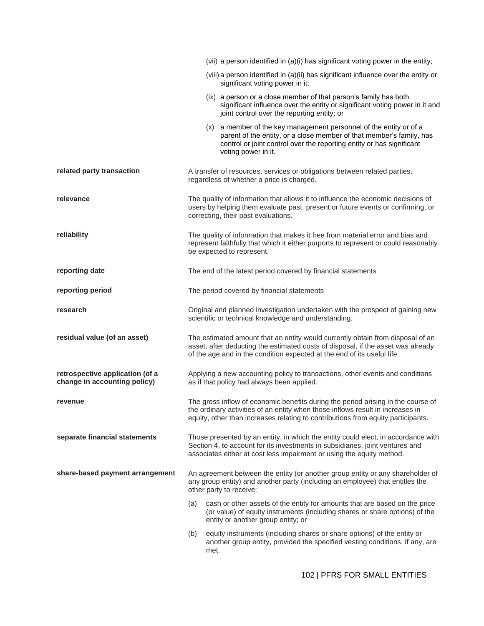|                                                                 | (vii) a person identified in (a)(i) has significant voting power in the entity;                                                                                                                                                                        |  |  |
|-----------------------------------------------------------------|--------------------------------------------------------------------------------------------------------------------------------------------------------------------------------------------------------------------------------------------------------|--|--|
|                                                                 | (viii) a person identified in (a)(ii) has significant influence over the entity or<br>significant voting power in it;                                                                                                                                  |  |  |
|                                                                 | (ix) a person or a close member of that person's family has both<br>significant influence over the entity or significant voting power in it and<br>joint control over the reporting entity; or                                                         |  |  |
|                                                                 | (x) a member of the key management personnel of the entity or of a<br>parent of the entity, or a close member of that member's family, has<br>control or joint control over the reporting entity or has significant<br>voting power in it.             |  |  |
| related party transaction                                       | A transfer of resources, services or obligations between related parties,<br>regardless of whether a price is charged.                                                                                                                                 |  |  |
| relevance                                                       | The quality of information that allows it to influence the economic decisions of<br>users by helping them evaluate past, present or future events or confirming, or<br>correcting, their past evaluations.                                             |  |  |
| reliability                                                     | The quality of information that makes it free from material error and bias and<br>represent faithfully that which it either purports to represent or could reasonably<br>be expected to represent.                                                     |  |  |
| reporting date                                                  | The end of the latest period covered by financial statements                                                                                                                                                                                           |  |  |
| reporting period                                                | The period covered by financial statements                                                                                                                                                                                                             |  |  |
| research                                                        | Original and planned investigation undertaken with the prospect of gaining new<br>scientific or technical knowledge and understanding.                                                                                                                 |  |  |
| residual value (of an asset)                                    | The estimated amount that an entity would currently obtain from disposal of an<br>asset, after deducting the estimated costs of disposal, if the asset was already<br>of the age and in the condition expected at the end of its useful life.          |  |  |
| retrospective application (of a<br>change in accounting policy) | Applying a new accounting policy to transactions, other events and conditions<br>as if that policy had always been applied.                                                                                                                            |  |  |
| revenue                                                         | The gross inflow of economic benefits during the period arising in the course of<br>the ordinary activities of an entity when those inflows result in increases in<br>equity, other than increases relating to contributions from equity participants. |  |  |
| separate financial statements                                   | Those presented by an entity, in which the entity could elect, in accordance with<br>Section 4, to account for its investments in subsidiaries, joint ventures and<br>associates either at cost less impairment or using the equity method.            |  |  |
| share-based payment arrangement                                 | An agreement between the entity (or another group entity or any shareholder of<br>any group entity) and another party (including an employee) that entitles the<br>other party to receive:                                                             |  |  |
|                                                                 | cash or other assets of the entity for amounts that are based on the price<br>(a)<br>(or value) of equity instruments (including shares or share options) of the<br>entity or another group entity; or                                                 |  |  |
|                                                                 | equity instruments (including shares or share options) of the entity or<br>(b)<br>another group entity, provided the specified vesting conditions, if any, are<br>met.                                                                                 |  |  |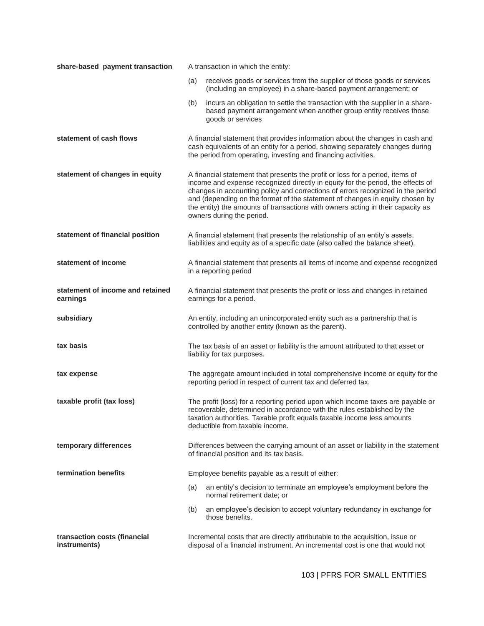| share-based payment transaction              | A transaction in which the entity:                                                                                                                                                                                                                                                                                                                                                                                                                  |  |  |
|----------------------------------------------|-----------------------------------------------------------------------------------------------------------------------------------------------------------------------------------------------------------------------------------------------------------------------------------------------------------------------------------------------------------------------------------------------------------------------------------------------------|--|--|
|                                              | receives goods or services from the supplier of those goods or services<br>(a)<br>(including an employee) in a share-based payment arrangement; or                                                                                                                                                                                                                                                                                                  |  |  |
|                                              | incurs an obligation to settle the transaction with the supplier in a share-<br>(b)<br>based payment arrangement when another group entity receives those<br>goods or services                                                                                                                                                                                                                                                                      |  |  |
| statement of cash flows                      | A financial statement that provides information about the changes in cash and<br>cash equivalents of an entity for a period, showing separately changes during<br>the period from operating, investing and financing activities.                                                                                                                                                                                                                    |  |  |
| statement of changes in equity               | A financial statement that presents the profit or loss for a period, items of<br>income and expense recognized directly in equity for the period, the effects of<br>changes in accounting policy and corrections of errors recognized in the period<br>and (depending on the format of the statement of changes in equity chosen by<br>the entity) the amounts of transactions with owners acting in their capacity as<br>owners during the period. |  |  |
| statement of financial position              | A financial statement that presents the relationship of an entity's assets,<br>liabilities and equity as of a specific date (also called the balance sheet).                                                                                                                                                                                                                                                                                        |  |  |
| statement of income                          | A financial statement that presents all items of income and expense recognized<br>in a reporting period                                                                                                                                                                                                                                                                                                                                             |  |  |
| statement of income and retained<br>earnings | A financial statement that presents the profit or loss and changes in retained<br>earnings for a period.                                                                                                                                                                                                                                                                                                                                            |  |  |
| subsidiary                                   | An entity, including an unincorporated entity such as a partnership that is<br>controlled by another entity (known as the parent).                                                                                                                                                                                                                                                                                                                  |  |  |
| tax basis                                    | The tax basis of an asset or liability is the amount attributed to that asset or<br>liability for tax purposes.                                                                                                                                                                                                                                                                                                                                     |  |  |
| tax expense                                  | The aggregate amount included in total comprehensive income or equity for the<br>reporting period in respect of current tax and deferred tax.                                                                                                                                                                                                                                                                                                       |  |  |
| taxable profit (tax loss)                    | The profit (loss) for a reporting period upon which income taxes are payable or<br>recoverable, determined in accordance with the rules established by the<br>taxation authorities. Taxable profit equals taxable income less amounts<br>deductible from taxable income.                                                                                                                                                                            |  |  |
| temporary differences                        | Differences between the carrying amount of an asset or liability in the statement<br>of financial position and its tax basis.                                                                                                                                                                                                                                                                                                                       |  |  |
| termination benefits                         | Employee benefits payable as a result of either:                                                                                                                                                                                                                                                                                                                                                                                                    |  |  |
|                                              | an entity's decision to terminate an employee's employment before the<br>(a)<br>normal retirement date; or                                                                                                                                                                                                                                                                                                                                          |  |  |
|                                              | an employee's decision to accept voluntary redundancy in exchange for<br>(b)<br>those benefits.                                                                                                                                                                                                                                                                                                                                                     |  |  |
| transaction costs (financial<br>instruments) | Incremental costs that are directly attributable to the acquisition, issue or<br>disposal of a financial instrument. An incremental cost is one that would not                                                                                                                                                                                                                                                                                      |  |  |